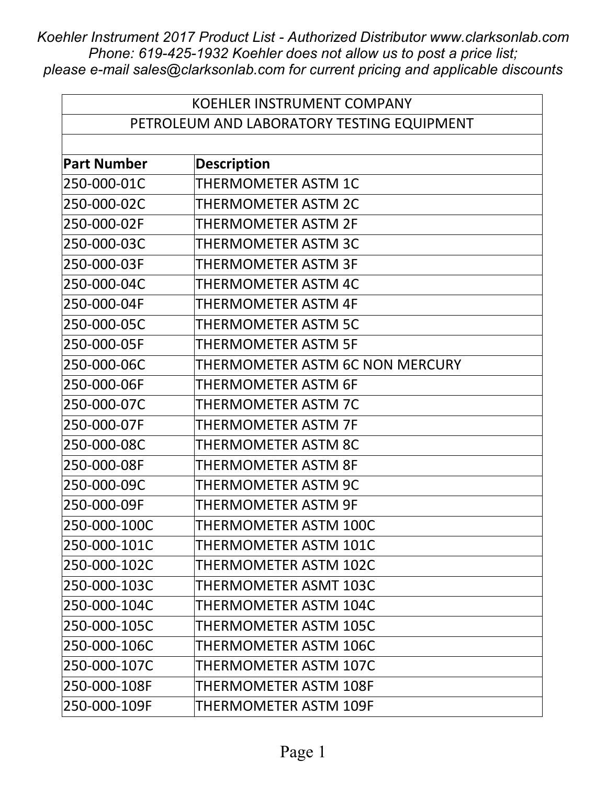| <b>KOEHLER INSTRUMENT COMPANY</b> |                                            |  |
|-----------------------------------|--------------------------------------------|--|
|                                   | PETROLEUM AND LABORATORY TESTING EQUIPMENT |  |
|                                   |                                            |  |
| <b>Part Number</b>                | <b>Description</b>                         |  |
| 250-000-01C                       | THERMOMETER ASTM 1C                        |  |
| 250-000-02C                       | THERMOMETER ASTM 2C                        |  |
| 250-000-02F                       | <b>THERMOMETER ASTM 2F</b>                 |  |
| 250-000-03C                       | <b>THERMOMETER ASTM 3C</b>                 |  |
| 250-000-03F                       | THERMOMETER ASTM 3F                        |  |
| 250-000-04C                       | <b>THERMOMETER ASTM 4C</b>                 |  |
| 250-000-04F                       | <b>THERMOMETER ASTM 4F</b>                 |  |
| 250-000-05C                       | THERMOMETER ASTM 5C                        |  |
| 250-000-05F                       | <b>THERMOMETER ASTM 5F</b>                 |  |
| 250-000-06C                       | THERMOMETER ASTM 6C NON MERCURY            |  |
| 250-000-06F                       | THERMOMETER ASTM 6F                        |  |
| 250-000-07C                       | <b>THERMOMETER ASTM 7C</b>                 |  |
| 250-000-07F                       | <b>THERMOMETER ASTM 7F</b>                 |  |
| 250-000-08C                       | THERMOMETER ASTM 8C                        |  |
| 250-000-08F                       | THERMOMETER ASTM 8F                        |  |
| 250-000-09C                       | THERMOMETER ASTM 9C                        |  |
| 250-000-09F                       | <b>THERMOMETER ASTM 9F</b>                 |  |
| 250-000-100C                      | THERMOMETER ASTM 100C                      |  |
| 250-000-101C                      | THERMOMETER ASTM 101C                      |  |
| 250-000-102C                      | THERMOMETER ASTM 102C                      |  |
| 250-000-103C                      | THERMOMETER ASMT 103C                      |  |
| 250-000-104C                      | THERMOMETER ASTM 104C                      |  |
| 250-000-105C                      | THERMOMETER ASTM 105C                      |  |
| 250-000-106C                      | THERMOMETER ASTM 106C                      |  |
| 250-000-107C                      | THERMOMETER ASTM 107C                      |  |
| 250-000-108F                      | THERMOMETER ASTM 108F                      |  |
| 250-000-109F                      | THERMOMETER ASTM 109F                      |  |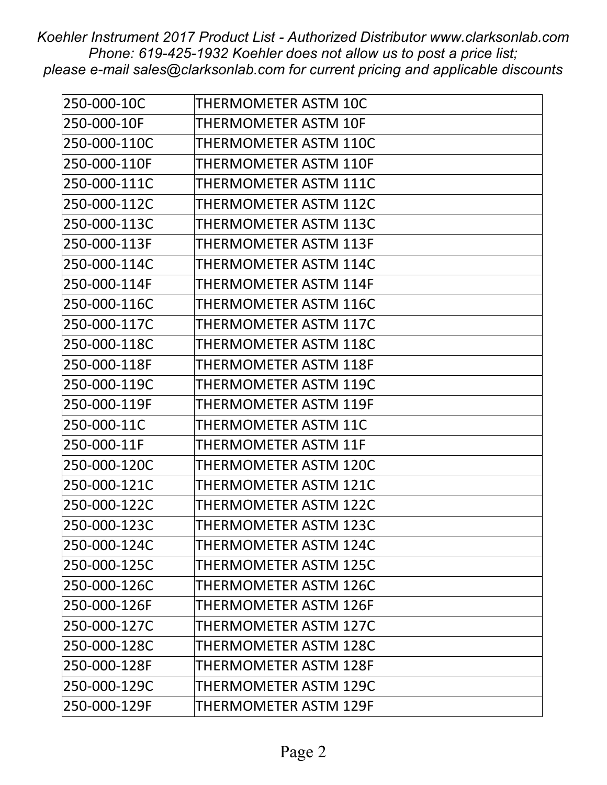| 250-000-10C  | THERMOMETER ASTM 10C         |
|--------------|------------------------------|
| 250-000-10F  | THERMOMETER ASTM 10F         |
| 250-000-110C | THERMOMETER ASTM 110C        |
| 250-000-110F | <b>THERMOMETER ASTM 110F</b> |
| 250-000-111C | THERMOMETER ASTM 111C        |
| 250-000-112C | THERMOMETER ASTM 112C        |
| 250-000-113C | THERMOMETER ASTM 113C        |
| 250-000-113F | THERMOMETER ASTM 113F        |
| 250-000-114C | THERMOMETER ASTM 114C        |
| 250-000-114F | THERMOMETER ASTM 114F        |
| 250-000-116C | THERMOMETER ASTM 116C        |
| 250-000-117C | THERMOMETER ASTM 117C        |
| 250-000-118C | THERMOMETER ASTM 118C        |
| 250-000-118F | <b>THERMOMETER ASTM 118F</b> |
| 250-000-119C | THERMOMETER ASTM 119C        |
| 250-000-119F | <b>THERMOMETER ASTM 119F</b> |
| 250-000-11C  | THERMOMETER ASTM 11C         |
| 250-000-11F  | THERMOMETER ASTM 11F         |
| 250-000-120C | THERMOMETER ASTM 120C        |
| 250-000-121C | THERMOMETER ASTM 121C        |
| 250-000-122C | THERMOMETER ASTM 122C        |
| 250-000-123C | THERMOMETER ASTM 123C        |
| 250-000-124C | THERMOMETER ASTM 124C        |
| 250-000-125C | THERMOMETER ASTM 125C        |
| 250-000-126C | THERMOMETER ASTM 126C        |
| 250-000-126F | THERMOMETER ASTM 126F        |
| 250-000-127C | THERMOMETER ASTM 127C        |
| 250-000-128C | THERMOMETER ASTM 128C        |
| 250-000-128F | THERMOMETER ASTM 128F        |
| 250-000-129C | THERMOMETER ASTM 129C        |
| 250-000-129F | THERMOMETER ASTM 129F        |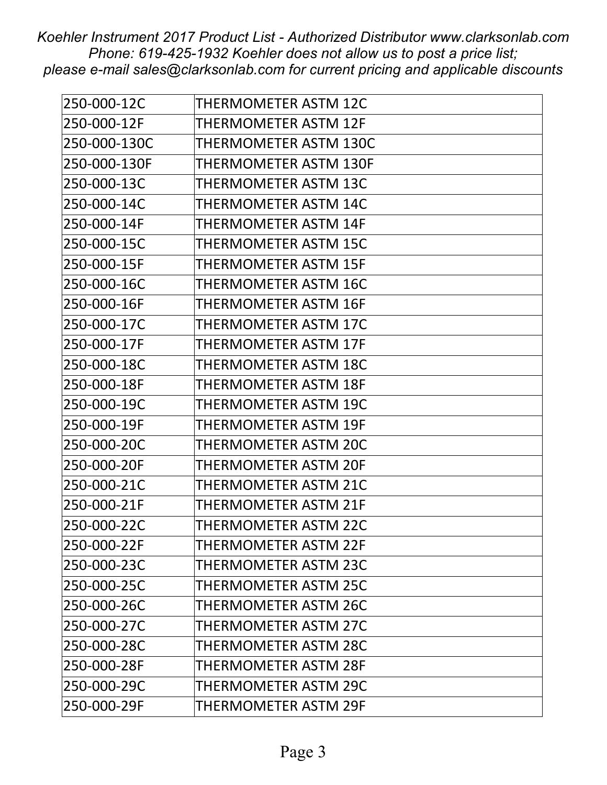| 250-000-12C  | THERMOMETER ASTM 12C         |
|--------------|------------------------------|
| 250-000-12F  | THERMOMETER ASTM 12F         |
| 250-000-130C | <b>THERMOMETER ASTM 130C</b> |
| 250-000-130F | THERMOMETER ASTM 130F        |
| 250-000-13C  | THERMOMETER ASTM 13C         |
| 250-000-14C  | THERMOMETER ASTM 14C         |
| 250-000-14F  | <b>THERMOMETER ASTM 14F</b>  |
| 250-000-15C  | THERMOMETER ASTM 15C         |
| 250-000-15F  | THERMOMETER ASTM 15F         |
| 250-000-16C  | THERMOMETER ASTM 16C         |
| 250-000-16F  | <b>THERMOMETER ASTM 16F</b>  |
| 250-000-17C  | THERMOMETER ASTM 17C         |
| 250-000-17F  | <b>THERMOMETER ASTM 17F</b>  |
| 250-000-18C  | <b>THERMOMETER ASTM 18C</b>  |
| 250-000-18F  | THERMOMETER ASTM 18F         |
| 250-000-19C  | THERMOMETER ASTM 19C         |
| 250-000-19F  | <b>THERMOMETER ASTM 19F</b>  |
| 250-000-20C  | THERMOMETER ASTM 20C         |
| 250-000-20F  | <b>THERMOMETER ASTM 20F</b>  |
| 250-000-21C  | <b>THERMOMETER ASTM 21C</b>  |
| 250-000-21F  | <b>THERMOMETER ASTM 21F</b>  |
| 250-000-22C  | THERMOMETER ASTM 22C         |
| 250-000-22F  | <b>THERMOMETER ASTM 22F</b>  |
| 250-000-23C  | THERMOMETER ASTM 23C         |
| 250-000-25C  | THERMOMETER ASTM 25C         |
| 250-000-26C  | THERMOMETER ASTM 26C         |
| 250-000-27C  | THERMOMETER ASTM 27C         |
| 250-000-28C  | THERMOMETER ASTM 28C         |
| 250-000-28F  | THERMOMETER ASTM 28F         |
| 250-000-29C  | THERMOMETER ASTM 29C         |
| 250-000-29F  | THERMOMETER ASTM 29F         |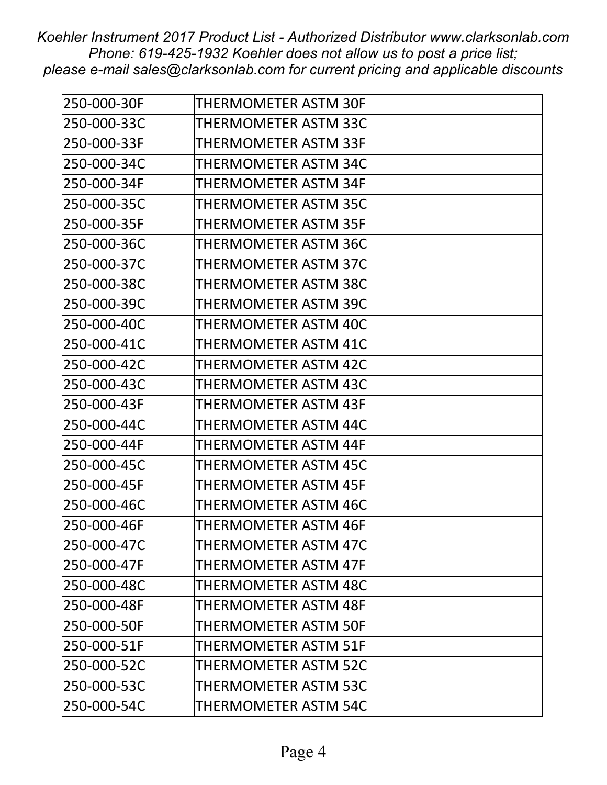| 250-000-30F | <b>THERMOMETER ASTM 30F</b> |
|-------------|-----------------------------|
| 250-000-33C | THERMOMETER ASTM 33C        |
| 250-000-33F | THERMOMETER ASTM 33F        |
| 250-000-34C | <b>THERMOMETER ASTM 34C</b> |
| 250-000-34F | THERMOMETER ASTM 34F        |
| 250-000-35C | THERMOMETER ASTM 35C        |
| 250-000-35F | <b>THERMOMETER ASTM 35F</b> |
| 250-000-36C | THERMOMETER ASTM 36C        |
| 250-000-37C | THERMOMETER ASTM 37C        |
| 250-000-38C | THERMOMETER ASTM 38C        |
| 250-000-39C | THERMOMETER ASTM 39C        |
| 250-000-40C | THERMOMETER ASTM 40C        |
| 250-000-41C | <b>THERMOMETER ASTM 41C</b> |
| 250-000-42C | <b>THERMOMETER ASTM 42C</b> |
| 250-000-43C | THERMOMETER ASTM 43C        |
| 250-000-43F | <b>THERMOMETER ASTM 43F</b> |
| 250-000-44C | THERMOMETER ASTM 44C        |
| 250-000-44F | THERMOMETER ASTM 44F        |
| 250-000-45C | THERMOMETER ASTM 45C        |
| 250-000-45F | <b>THERMOMETER ASTM 45F</b> |
| 250-000-46C | THERMOMETER ASTM 46C        |
| 250-000-46F | THERMOMETER ASTM 46F        |
| 250-000-47C | THERMOMETER ASTM 47C        |
| 250-000-47F | THERMOMETER ASTM 47F        |
| 250-000-48C | THERMOMETER ASTM 48C        |
| 250-000-48F | THERMOMETER ASTM 48F        |
| 250-000-50F | <b>THERMOMETER ASTM 50F</b> |
| 250-000-51F | <b>THERMOMETER ASTM 51F</b> |
| 250-000-52C | THERMOMETER ASTM 52C        |
| 250-000-53C | THERMOMETER ASTM 53C        |
| 250-000-54C | THERMOMETER ASTM 54C        |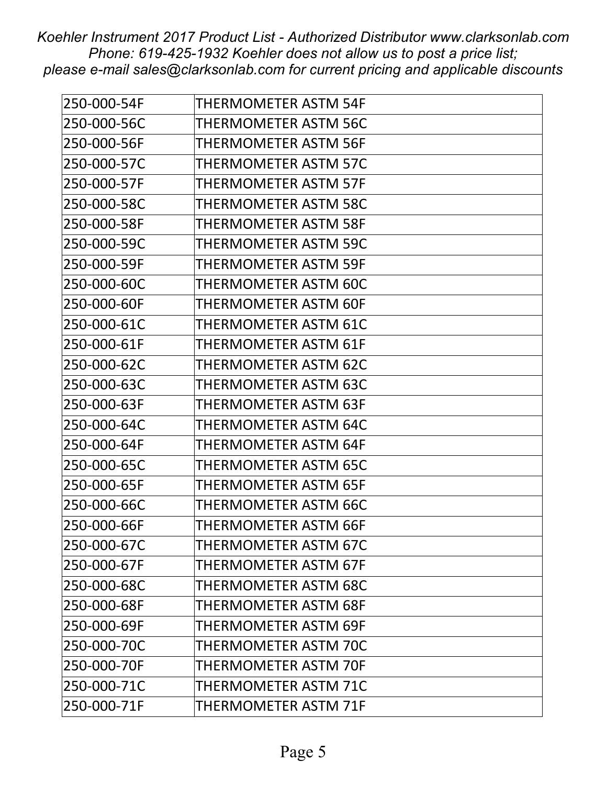| 250-000-54F | <b>THERMOMETER ASTM 54F</b> |
|-------------|-----------------------------|
| 250-000-56C | THERMOMETER ASTM 56C        |
| 250-000-56F | <b>THERMOMETER ASTM 56F</b> |
| 250-000-57C | <b>THERMOMETER ASTM 57C</b> |
| 250-000-57F | THERMOMETER ASTM 57F        |
| 250-000-58C | <b>THERMOMETER ASTM 58C</b> |
| 250-000-58F | <b>THERMOMETER ASTM 58F</b> |
| 250-000-59C | THERMOMETER ASTM 59C        |
| 250-000-59F | THERMOMETER ASTM 59F        |
| 250-000-60C | THERMOMETER ASTM 60C        |
| 250-000-60F | <b>THERMOMETER ASTM 60F</b> |
| 250-000-61C | THERMOMETER ASTM 61C        |
| 250-000-61F | THERMOMETER ASTM 61F        |
| 250-000-62C | <b>THERMOMETER ASTM 62C</b> |
| 250-000-63C | THERMOMETER ASTM 63C        |
| 250-000-63F | <b>THERMOMETER ASTM 63F</b> |
| 250-000-64C | <b>THERMOMETER ASTM 64C</b> |
| 250-000-64F | THERMOMETER ASTM 64F        |
| 250-000-65C | <b>THERMOMETER ASTM 65C</b> |
| 250-000-65F | <b>THERMOMETER ASTM 65F</b> |
| 250-000-66C | THERMOMETER ASTM 66C        |
| 250-000-66F | THERMOMETER ASTM 66F        |
| 250-000-67C | THERMOMETER ASTM 67C        |
| 250-000-67F | THERMOMETER ASTM 67F        |
| 250-000-68C | THERMOMETER ASTM 68C        |
| 250-000-68F | THERMOMETER ASTM 68F        |
| 250-000-69F | THERMOMETER ASTM 69F        |
| 250-000-70C | THERMOMETER ASTM 70C        |
| 250-000-70F | THERMOMETER ASTM 70F        |
| 250-000-71C | THERMOMETER ASTM 71C        |
| 250-000-71F | THERMOMETER ASTM 71F        |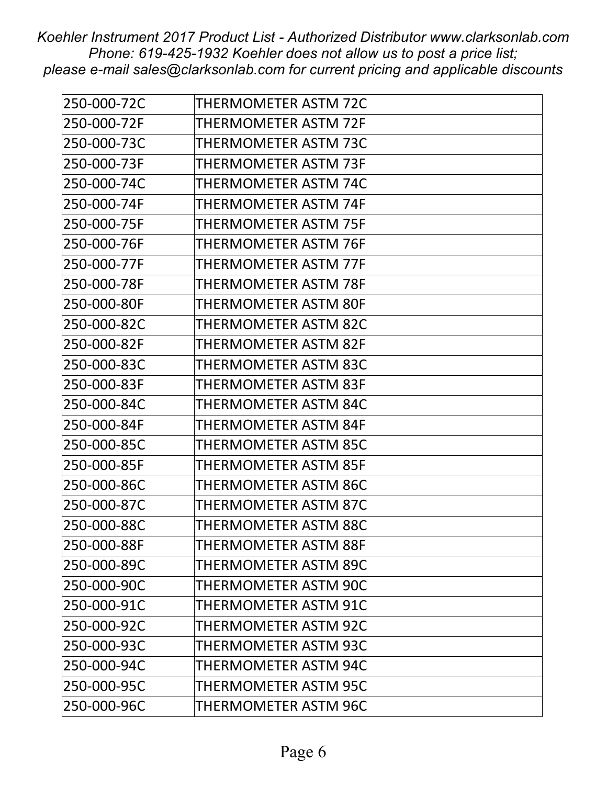| 250-000-72C | <b>THERMOMETER ASTM 72C</b> |
|-------------|-----------------------------|
| 250-000-72F | THERMOMETER ASTM 72F        |
| 250-000-73C | THERMOMETER ASTM 73C        |
| 250-000-73F | <b>THERMOMETER ASTM 73F</b> |
| 250-000-74C | THERMOMETER ASTM 74C        |
| 250-000-74F | <b>THERMOMETER ASTM 74F</b> |
| 250-000-75F | <b>THERMOMETER ASTM 75F</b> |
| 250-000-76F | THERMOMETER ASTM 76F        |
| 250-000-77F | THERMOMETER ASTM 77F        |
| 250-000-78F | <b>THERMOMETER ASTM 78F</b> |
| 250-000-80F | <b>THERMOMETER ASTM 80F</b> |
| 250-000-82C | THERMOMETER ASTM 82C        |
| 250-000-82F | <b>THERMOMETER ASTM 82F</b> |
| 250-000-83C | <b>THERMOMETER ASTM 83C</b> |
| 250-000-83F | THERMOMETER ASTM 83F        |
| 250-000-84C | <b>THERMOMETER ASTM 84C</b> |
| 250-000-84F | <b>THERMOMETER ASTM 84F</b> |
| 250-000-85C | THERMOMETER ASTM 85C        |
| 250-000-85F | <b>THERMOMETER ASTM 85F</b> |
| 250-000-86C | <b>THERMOMETER ASTM 86C</b> |
| 250-000-87C | <b>THERMOMETER ASTM 87C</b> |
| 250-000-88C | THERMOMETER ASTM 88C        |
| 250-000-88F | <b>THERMOMETER ASTM 88F</b> |
| 250-000-89C | THERMOMETER ASTM 89C        |
| 250-000-90C | <b>THERMOMETER ASTM 90C</b> |
| 250-000-91C | THERMOMETER ASTM 91C        |
| 250-000-92C | THERMOMETER ASTM 92C        |
| 250-000-93C | THERMOMETER ASTM 93C        |
| 250-000-94C | THERMOMETER ASTM 94C        |
| 250-000-95C | THERMOMETER ASTM 95C        |
| 250-000-96C | THERMOMETER ASTM 96C        |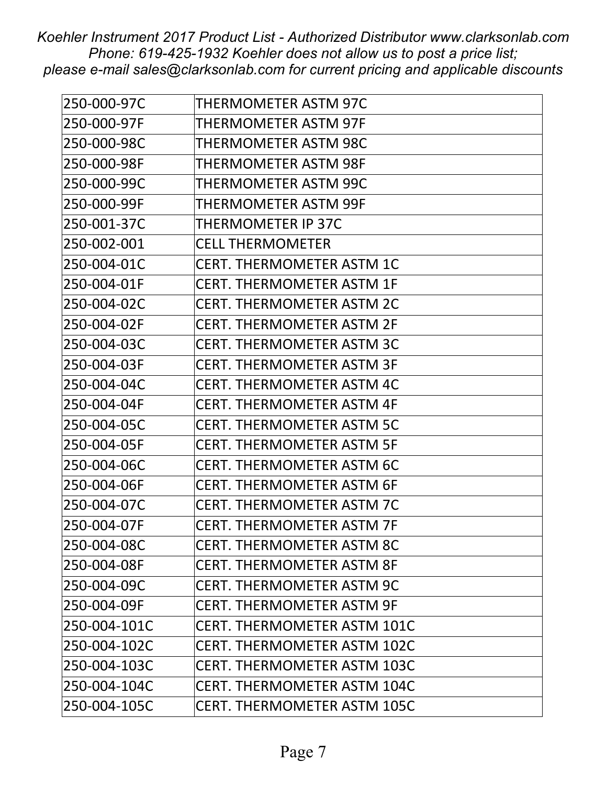| 250-000-97C  | THERMOMETER ASTM 97C               |
|--------------|------------------------------------|
| 250-000-97F  | <b>THERMOMETER ASTM 97F</b>        |
| 250-000-98C  | THERMOMETER ASTM 98C               |
| 250-000-98F  | <b>THERMOMETER ASTM 98F</b>        |
| 250-000-99C  | THERMOMETER ASTM 99C               |
| 250-000-99F  | THERMOMETER ASTM 99F               |
| 250-001-37C  | <b>THERMOMETER IP 37C</b>          |
| 250-002-001  | <b>CELL THERMOMETER</b>            |
| 250-004-01C  | <b>CERT. THERMOMETER ASTM 1C</b>   |
| 250-004-01F  | <b>CERT. THERMOMETER ASTM 1F</b>   |
| 250-004-02C  | <b>CERT. THERMOMETER ASTM 2C</b>   |
| 250-004-02F  | <b>CERT. THERMOMETER ASTM 2F</b>   |
| 250-004-03C  | <b>CERT. THERMOMETER ASTM 3C</b>   |
| 250-004-03F  | <b>CERT. THERMOMETER ASTM 3F</b>   |
| 250-004-04C  | <b>CERT. THERMOMETER ASTM 4C</b>   |
| 250-004-04F  | <b>CERT. THERMOMETER ASTM 4F</b>   |
| 250-004-05C  | <b>CERT. THERMOMETER ASTM 5C</b>   |
| 250-004-05F  | <b>CERT. THERMOMETER ASTM 5F</b>   |
| 250-004-06C  | <b>CERT. THERMOMETER ASTM 6C</b>   |
| 250-004-06F  | <b>CERT. THERMOMETER ASTM 6F</b>   |
| 250-004-07C  | <b>CERT. THERMOMETER ASTM 7C</b>   |
| 250-004-07F  | <b>CERT. THERMOMETER ASTM 7F</b>   |
| 250-004-08C  | <b>CERT. THERMOMETER ASTM 8C</b>   |
| 250-004-08F  | <b>CERT. THERMOMETER ASTM 8F</b>   |
| 250-004-09C  | <b>CERT. THERMOMETER ASTM 9C</b>   |
| 250-004-09F  | <b>CERT. THERMOMETER ASTM 9F</b>   |
| 250-004-101C | <b>CERT. THERMOMETER ASTM 101C</b> |
| 250-004-102C | <b>CERT. THERMOMETER ASTM 102C</b> |
| 250-004-103C | <b>CERT. THERMOMETER ASTM 103C</b> |
| 250-004-104C | <b>CERT. THERMOMETER ASTM 104C</b> |
| 250-004-105C | <b>CERT. THERMOMETER ASTM 105C</b> |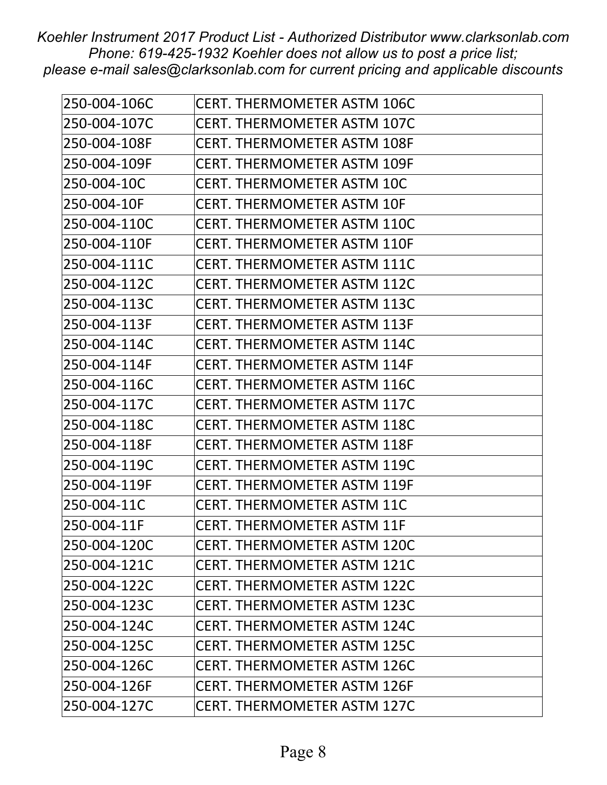| 250-004-106C | <b>CERT. THERMOMETER ASTM 106C</b> |
|--------------|------------------------------------|
| 250-004-107C | <b>CERT. THERMOMETER ASTM 107C</b> |
| 250-004-108F | <b>CERT. THERMOMETER ASTM 108F</b> |
| 250-004-109F | <b>CERT. THERMOMETER ASTM 109F</b> |
| 250-004-10C  | <b>CERT. THERMOMETER ASTM 10C</b>  |
| 250-004-10F  | <b>CERT. THERMOMETER ASTM 10F</b>  |
| 250-004-110C | <b>CERT. THERMOMETER ASTM 110C</b> |
| 250-004-110F | <b>CERT. THERMOMETER ASTM 110F</b> |
| 250-004-111C | <b>CERT. THERMOMETER ASTM 111C</b> |
| 250-004-112C | <b>CERT. THERMOMETER ASTM 112C</b> |
| 250-004-113C | <b>CERT. THERMOMETER ASTM 113C</b> |
| 250-004-113F | <b>CERT. THERMOMETER ASTM 113F</b> |
| 250-004-114C | <b>CERT. THERMOMETER ASTM 114C</b> |
| 250-004-114F | <b>CERT. THERMOMETER ASTM 114F</b> |
| 250-004-116C | <b>CERT. THERMOMETER ASTM 116C</b> |
| 250-004-117C | <b>CERT. THERMOMETER ASTM 117C</b> |
| 250-004-118C | <b>CERT. THERMOMETER ASTM 118C</b> |
| 250-004-118F | <b>CERT. THERMOMETER ASTM 118F</b> |
| 250-004-119C | <b>CERT. THERMOMETER ASTM 119C</b> |
| 250-004-119F | <b>CERT. THERMOMETER ASTM 119F</b> |
| 250-004-11C  | <b>CERT. THERMOMETER ASTM 11C</b>  |
| 250-004-11F  | <b>CERT. THERMOMETER ASTM 11F</b>  |
| 250-004-120C | <b>CERT. THERMOMETER ASTM 120C</b> |
| 250-004-121C | <b>CERT. THERMOMETER ASTM 121C</b> |
| 250-004-122C | <b>CERT. THERMOMETER ASTM 122C</b> |
| 250-004-123C | <b>CERT. THERMOMETER ASTM 123C</b> |
| 250-004-124C | <b>CERT. THERMOMETER ASTM 124C</b> |
| 250-004-125C | <b>CERT. THERMOMETER ASTM 125C</b> |
| 250-004-126C | <b>CERT. THERMOMETER ASTM 126C</b> |
| 250-004-126F | <b>CERT. THERMOMETER ASTM 126F</b> |
| 250-004-127C | <b>CERT. THERMOMETER ASTM 127C</b> |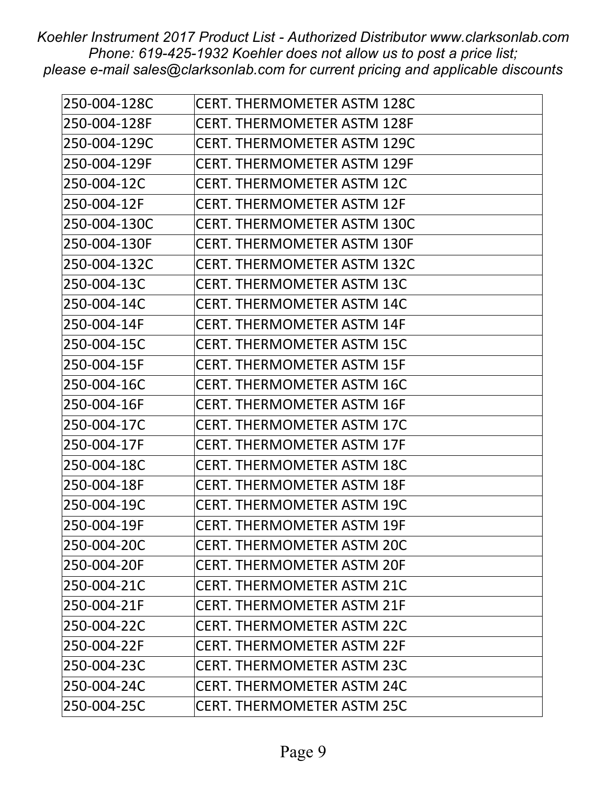| 250-004-128C | <b>CERT. THERMOMETER ASTM 128C</b> |
|--------------|------------------------------------|
| 250-004-128F | <b>CERT. THERMOMETER ASTM 128F</b> |
| 250-004-129C | <b>CERT. THERMOMETER ASTM 129C</b> |
| 250-004-129F | <b>CERT. THERMOMETER ASTM 129F</b> |
| 250-004-12C  | <b>CERT. THERMOMETER ASTM 12C</b>  |
| 250-004-12F  | <b>CERT. THERMOMETER ASTM 12F</b>  |
| 250-004-130C | <b>CERT. THERMOMETER ASTM 130C</b> |
| 250-004-130F | <b>CERT. THERMOMETER ASTM 130F</b> |
| 250-004-132C | <b>CERT. THERMOMETER ASTM 132C</b> |
| 250-004-13C  | <b>CERT. THERMOMETER ASTM 13C</b>  |
| 250-004-14C  | <b>CERT. THERMOMETER ASTM 14C</b>  |
| 250-004-14F  | <b>CERT. THERMOMETER ASTM 14F</b>  |
| 250-004-15C  | <b>CERT. THERMOMETER ASTM 15C</b>  |
| 250-004-15F  | <b>CERT. THERMOMETER ASTM 15F</b>  |
| 250-004-16C  | <b>CERT. THERMOMETER ASTM 16C</b>  |
| 250-004-16F  | <b>CERT. THERMOMETER ASTM 16F</b>  |
| 250-004-17C  | <b>CERT. THERMOMETER ASTM 17C</b>  |
| 250-004-17F  | <b>CERT. THERMOMETER ASTM 17F</b>  |
| 250-004-18C  | <b>CERT. THERMOMETER ASTM 18C</b>  |
| 250-004-18F  | <b>CERT. THERMOMETER ASTM 18F</b>  |
| 250-004-19C  | <b>CERT. THERMOMETER ASTM 19C</b>  |
| 250-004-19F  | <b>CERT. THERMOMETER ASTM 19F</b>  |
| 250-004-20C  | <b>CERT. THERMOMETER ASTM 20C</b>  |
| 250-004-20F  | <b>CERT. THERMOMETER ASTM 20F</b>  |
| 250-004-21C  | <b>CERT. THERMOMETER ASTM 21C</b>  |
| 250-004-21F  | <b>CERT. THERMOMETER ASTM 21F</b>  |
| 250-004-22C  | <b>CERT. THERMOMETER ASTM 22C</b>  |
| 250-004-22F  | <b>CERT. THERMOMETER ASTM 22F</b>  |
| 250-004-23C  | <b>CERT. THERMOMETER ASTM 23C</b>  |
| 250-004-24C  | <b>CERT. THERMOMETER ASTM 24C</b>  |
| 250-004-25C  | <b>CERT. THERMOMETER ASTM 25C</b>  |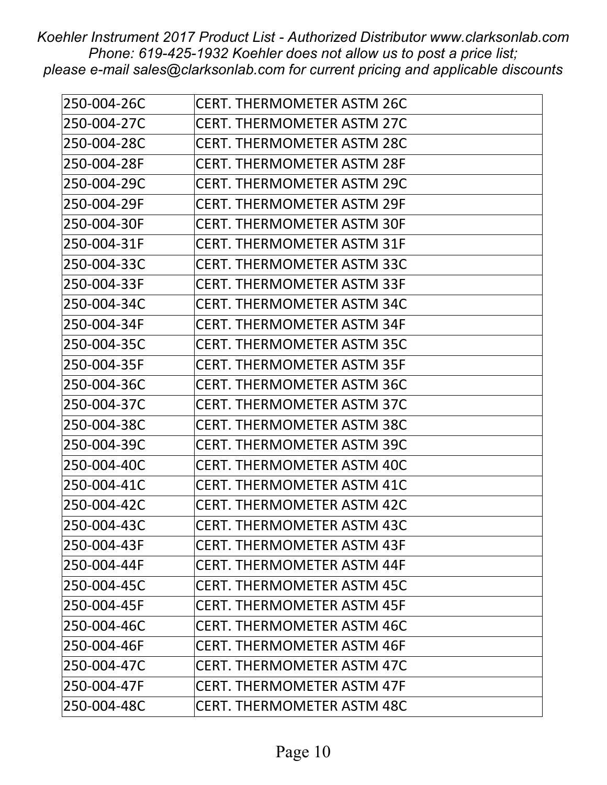| 250-004-26C | <b>CERT. THERMOMETER ASTM 26C</b> |
|-------------|-----------------------------------|
| 250-004-27C | <b>CERT. THERMOMETER ASTM 27C</b> |
| 250-004-28C | <b>CERT. THERMOMETER ASTM 28C</b> |
| 250-004-28F | <b>CERT. THERMOMETER ASTM 28F</b> |
| 250-004-29C | <b>CERT. THERMOMETER ASTM 29C</b> |
| 250-004-29F | <b>CERT. THERMOMETER ASTM 29F</b> |
| 250-004-30F | <b>CERT. THERMOMETER ASTM 30F</b> |
| 250-004-31F | <b>CERT. THERMOMETER ASTM 31F</b> |
| 250-004-33C | <b>CERT. THERMOMETER ASTM 33C</b> |
| 250-004-33F | <b>CERT. THERMOMETER ASTM 33F</b> |
| 250-004-34C | <b>CERT. THERMOMETER ASTM 34C</b> |
| 250-004-34F | <b>CERT. THERMOMETER ASTM 34F</b> |
| 250-004-35C | <b>CERT. THERMOMETER ASTM 35C</b> |
| 250-004-35F | <b>CERT. THERMOMETER ASTM 35F</b> |
| 250-004-36C | <b>CERT. THERMOMETER ASTM 36C</b> |
| 250-004-37C | <b>CERT. THERMOMETER ASTM 37C</b> |
| 250-004-38C | <b>CERT. THERMOMETER ASTM 38C</b> |
| 250-004-39C | <b>CERT. THERMOMETER ASTM 39C</b> |
| 250-004-40C | <b>CERT. THERMOMETER ASTM 40C</b> |
| 250-004-41C | <b>CERT. THERMOMETER ASTM 41C</b> |
| 250-004-42C | <b>CERT. THERMOMETER ASTM 42C</b> |
| 250-004-43C | <b>CERT. THERMOMETER ASTM 43C</b> |
| 250-004-43F | <b>CERT. THERMOMETER ASTM 43F</b> |
| 250-004-44F | <b>CERT. THERMOMETER ASTM 44F</b> |
| 250-004-45C | <b>CERT. THERMOMETER ASTM 45C</b> |
| 250-004-45F | <b>CERT. THERMOMETER ASTM 45F</b> |
| 250-004-46C | <b>CERT. THERMOMETER ASTM 46C</b> |
| 250-004-46F | <b>CERT. THERMOMETER ASTM 46F</b> |
| 250-004-47C | <b>CERT. THERMOMETER ASTM 47C</b> |
| 250-004-47F | <b>CERT. THERMOMETER ASTM 47F</b> |
| 250-004-48C | <b>CERT. THERMOMETER ASTM 48C</b> |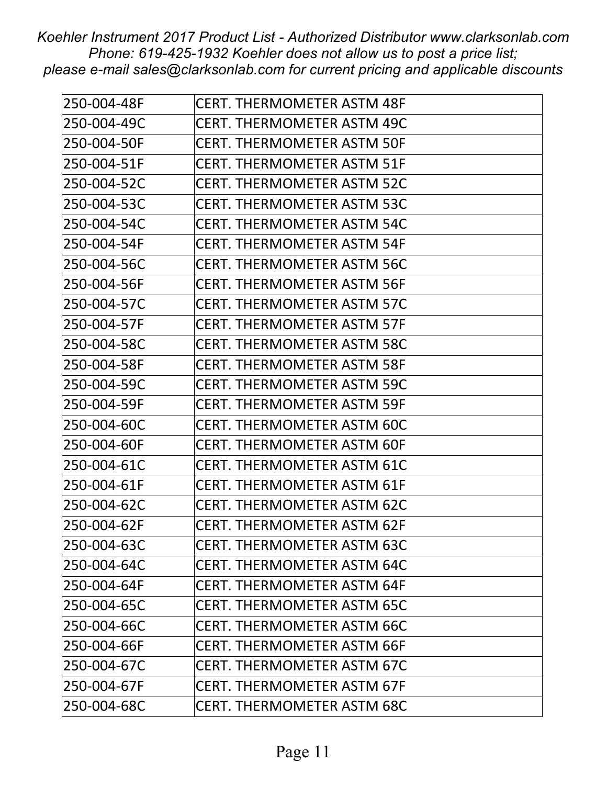| 250-004-48F | <b>CERT. THERMOMETER ASTM 48F</b> |
|-------------|-----------------------------------|
| 250-004-49C | <b>CERT. THERMOMETER ASTM 49C</b> |
| 250-004-50F | <b>CERT. THERMOMETER ASTM 50F</b> |
| 250-004-51F | <b>CERT. THERMOMETER ASTM 51F</b> |
| 250-004-52C | <b>CERT. THERMOMETER ASTM 52C</b> |
| 250-004-53C | <b>CERT. THERMOMETER ASTM 53C</b> |
| 250-004-54C | <b>CERT. THERMOMETER ASTM 54C</b> |
| 250-004-54F | <b>CERT. THERMOMETER ASTM 54F</b> |
| 250-004-56C | <b>CERT. THERMOMETER ASTM 56C</b> |
| 250-004-56F | <b>CERT. THERMOMETER ASTM 56F</b> |
| 250-004-57C | <b>CERT. THERMOMETER ASTM 57C</b> |
| 250-004-57F | <b>CERT. THERMOMETER ASTM 57F</b> |
| 250-004-58C | <b>CERT. THERMOMETER ASTM 58C</b> |
| 250-004-58F | <b>CERT. THERMOMETER ASTM 58F</b> |
| 250-004-59C | <b>CERT. THERMOMETER ASTM 59C</b> |
| 250-004-59F | <b>CERT. THERMOMETER ASTM 59F</b> |
| 250-004-60C | <b>CERT. THERMOMETER ASTM 60C</b> |
| 250-004-60F | <b>CERT. THERMOMETER ASTM 60F</b> |
| 250-004-61C | <b>CERT. THERMOMETER ASTM 61C</b> |
| 250-004-61F | <b>CERT. THERMOMETER ASTM 61F</b> |
| 250-004-62C | <b>CERT. THERMOMETER ASTM 62C</b> |
| 250-004-62F | <b>CERT. THERMOMETER ASTM 62F</b> |
| 250-004-63C | <b>CERT. THERMOMETER ASTM 63C</b> |
| 250-004-64C | <b>CERT. THERMOMETER ASTM 64C</b> |
| 250-004-64F | <b>CERT. THERMOMETER ASTM 64F</b> |
| 250-004-65C | <b>CERT. THERMOMETER ASTM 65C</b> |
| 250-004-66C | <b>CERT. THERMOMETER ASTM 66C</b> |
| 250-004-66F | <b>CERT. THERMOMETER ASTM 66F</b> |
| 250-004-67C | <b>CERT. THERMOMETER ASTM 67C</b> |
| 250-004-67F | <b>CERT. THERMOMETER ASTM 67F</b> |
| 250-004-68C | <b>CERT. THERMOMETER ASTM 68C</b> |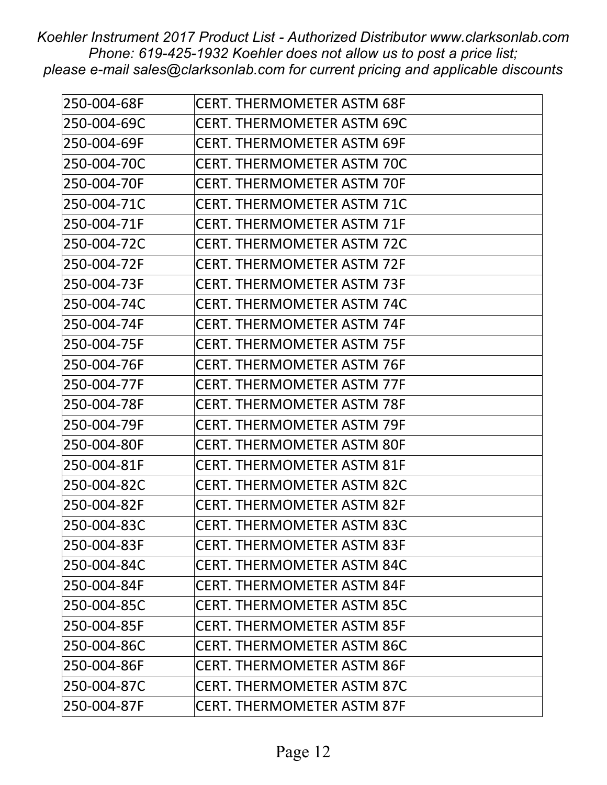| 250-004-68F | <b>CERT. THERMOMETER ASTM 68F</b> |
|-------------|-----------------------------------|
| 250-004-69C | <b>CERT. THERMOMETER ASTM 69C</b> |
| 250-004-69F | <b>CERT. THERMOMETER ASTM 69F</b> |
| 250-004-70C | <b>CERT. THERMOMETER ASTM 70C</b> |
| 250-004-70F | <b>CERT. THERMOMETER ASTM 70F</b> |
| 250-004-71C | <b>CERT. THERMOMETER ASTM 71C</b> |
| 250-004-71F | <b>CERT. THERMOMETER ASTM 71F</b> |
| 250-004-72C | <b>CERT. THERMOMETER ASTM 72C</b> |
| 250-004-72F | <b>CERT. THERMOMETER ASTM 72F</b> |
| 250-004-73F | <b>CERT. THERMOMETER ASTM 73F</b> |
| 250-004-74C | <b>CERT. THERMOMETER ASTM 74C</b> |
| 250-004-74F | <b>CERT. THERMOMETER ASTM 74F</b> |
| 250-004-75F | <b>CERT. THERMOMETER ASTM 75F</b> |
| 250-004-76F | <b>CERT. THERMOMETER ASTM 76F</b> |
| 250-004-77F | <b>CERT. THERMOMETER ASTM 77F</b> |
| 250-004-78F | <b>CERT. THERMOMETER ASTM 78F</b> |
| 250-004-79F | <b>CERT. THERMOMETER ASTM 79F</b> |
| 250-004-80F | <b>CERT. THERMOMETER ASTM 80F</b> |
| 250-004-81F | <b>CERT. THERMOMETER ASTM 81F</b> |
| 250-004-82C | <b>CERT. THERMOMETER ASTM 82C</b> |
| 250-004-82F | <b>CERT. THERMOMETER ASTM 82F</b> |
| 250-004-83C | <b>CERT. THERMOMETER ASTM 83C</b> |
| 250-004-83F | <b>CERT. THERMOMETER ASTM 83F</b> |
| 250-004-84C | <b>CERT. THERMOMETER ASTM 84C</b> |
| 250-004-84F | <b>CERT. THERMOMETER ASTM 84F</b> |
| 250-004-85C | <b>CERT. THERMOMETER ASTM 85C</b> |
| 250-004-85F | <b>CERT. THERMOMETER ASTM 85F</b> |
| 250-004-86C | <b>CERT. THERMOMETER ASTM 86C</b> |
| 250-004-86F | <b>CERT. THERMOMETER ASTM 86F</b> |
| 250-004-87C | <b>CERT. THERMOMETER ASTM 87C</b> |
| 250-004-87F | <b>CERT. THERMOMETER ASTM 87F</b> |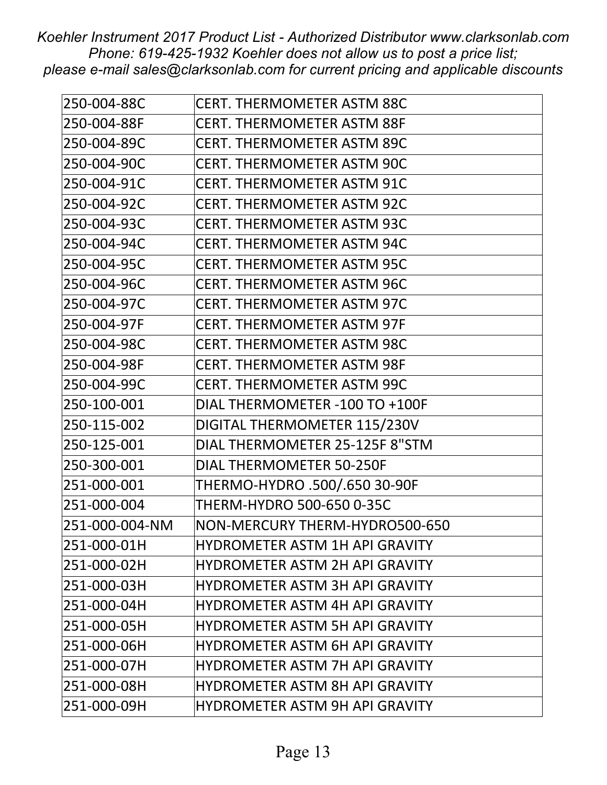| 250-004-88C    | <b>CERT. THERMOMETER ASTM 88C</b>     |
|----------------|---------------------------------------|
| 250-004-88F    | <b>CERT. THERMOMETER ASTM 88F</b>     |
| 250-004-89C    | <b>CERT. THERMOMETER ASTM 89C</b>     |
| 250-004-90C    | <b>CERT. THERMOMETER ASTM 90C</b>     |
| 250-004-91C    | <b>CERT. THERMOMETER ASTM 91C</b>     |
| 250-004-92C    | <b>CERT. THERMOMETER ASTM 92C</b>     |
| 250-004-93C    | <b>CERT. THERMOMETER ASTM 93C</b>     |
| 250-004-94C    | <b>CERT. THERMOMETER ASTM 94C</b>     |
| 250-004-95C    | <b>CERT. THERMOMETER ASTM 95C</b>     |
| 250-004-96C    | <b>CERT. THERMOMETER ASTM 96C</b>     |
| 250-004-97C    | <b>CERT. THERMOMETER ASTM 97C</b>     |
| 250-004-97F    | <b>CERT. THERMOMETER ASTM 97F</b>     |
| 250-004-98C    | <b>CERT. THERMOMETER ASTM 98C</b>     |
| 250-004-98F    | <b>CERT. THERMOMETER ASTM 98F</b>     |
| 250-004-99C    | <b>CERT. THERMOMETER ASTM 99C</b>     |
| 250-100-001    | DIAL THERMOMETER -100 TO +100F        |
| 250-115-002    | DIGITAL THERMOMETER 115/230V          |
| 250-125-001    | DIAL THERMOMETER 25-125F 8"STM        |
| 250-300-001    | <b>DIAL THERMOMETER 50-250F</b>       |
| 251-000-001    | THERMO-HYDRO .500/.650 30-90F         |
| 251-000-004    | THERM-HYDRO 500-650 0-35C             |
| 251-000-004-NM | NON-MERCURY THERM-HYDRO500-650        |
| 251-000-01H    | <b>HYDROMETER ASTM 1H API GRAVITY</b> |
| 251-000-02H    | <b>HYDROMETER ASTM 2H API GRAVITY</b> |
| 251-000-03H    | <b>HYDROMETER ASTM 3H API GRAVITY</b> |
| 251-000-04H    | <b>HYDROMETER ASTM 4H API GRAVITY</b> |
| 251-000-05H    | <b>HYDROMETER ASTM 5H API GRAVITY</b> |
| 251-000-06H    | <b>HYDROMETER ASTM 6H API GRAVITY</b> |
| 251-000-07H    | <b>HYDROMETER ASTM 7H API GRAVITY</b> |
| 251-000-08H    | <b>HYDROMETER ASTM 8H API GRAVITY</b> |
| 251-000-09H    | <b>HYDROMETER ASTM 9H API GRAVITY</b> |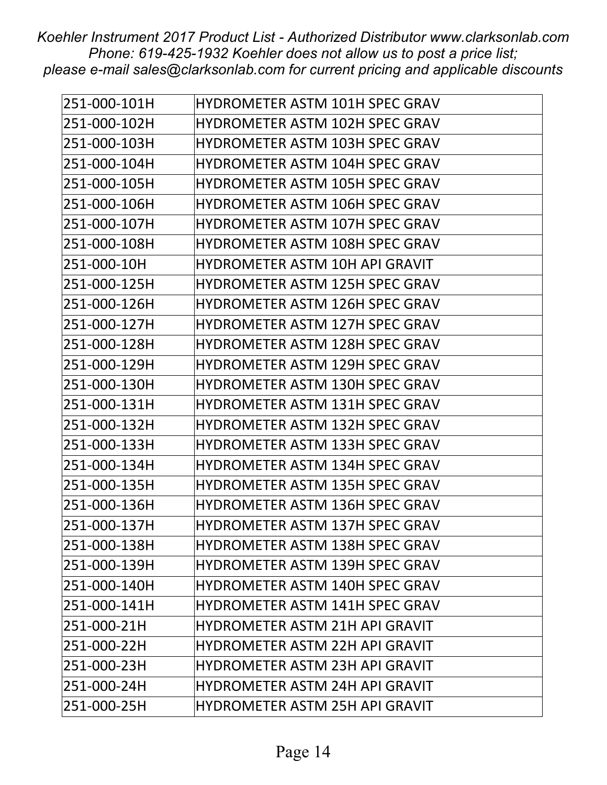| 251-000-101H | HYDROMETER ASTM 101H SPEC GRAV        |
|--------------|---------------------------------------|
| 251-000-102H | <b>HYDROMETER ASTM 102H SPEC GRAV</b> |
| 251-000-103H | <b>HYDROMETER ASTM 103H SPEC GRAV</b> |
| 251-000-104H | <b>HYDROMETER ASTM 104H SPEC GRAV</b> |
| 251-000-105H | <b>HYDROMETER ASTM 105H SPEC GRAV</b> |
| 251-000-106H | HYDROMETER ASTM 106H SPEC GRAV        |
| 251-000-107H | <b>HYDROMETER ASTM 107H SPEC GRAV</b> |
| 251-000-108H | <b>HYDROMETER ASTM 108H SPEC GRAV</b> |
| 251-000-10H  | <b>HYDROMETER ASTM 10H API GRAVIT</b> |
| 251-000-125H | <b>HYDROMETER ASTM 125H SPEC GRAV</b> |
| 251-000-126H | <b>HYDROMETER ASTM 126H SPEC GRAV</b> |
| 251-000-127H | <b>HYDROMETER ASTM 127H SPEC GRAV</b> |
| 251-000-128H | HYDROMETER ASTM 128H SPEC GRAV        |
| 251-000-129H | <b>HYDROMETER ASTM 129H SPEC GRAV</b> |
| 251-000-130H | <b>HYDROMETER ASTM 130H SPEC GRAV</b> |
| 251-000-131H | <b>HYDROMETER ASTM 131H SPEC GRAV</b> |
| 251-000-132H | <b>HYDROMETER ASTM 132H SPEC GRAV</b> |
| 251-000-133H | <b>HYDROMETER ASTM 133H SPEC GRAV</b> |
| 251-000-134H | <b>HYDROMETER ASTM 134H SPEC GRAV</b> |
| 251-000-135H | <b>HYDROMETER ASTM 135H SPEC GRAV</b> |
| 251-000-136H | HYDROMETER ASTM 136H SPEC GRAV        |
| 251-000-137H | <b>HYDROMETER ASTM 137H SPEC GRAV</b> |
| 251-000-138H | <b>HYDROMETER ASTM 138H SPEC GRAV</b> |
| 251-000-139H | HYDROMETER ASTM 139H SPEC GRAV        |
| 251-000-140H | HYDROMETER ASTM 140H SPEC GRAV        |
| 251-000-141H | HYDROMETER ASTM 141H SPEC GRAV        |
| 251-000-21H  | <b>HYDROMETER ASTM 21H API GRAVIT</b> |
| 251-000-22H  | <b>HYDROMETER ASTM 22H API GRAVIT</b> |
| 251-000-23H  | <b>HYDROMETER ASTM 23H API GRAVIT</b> |
| 251-000-24H  | <b>HYDROMETER ASTM 24H API GRAVIT</b> |
| 251-000-25H  | <b>HYDROMETER ASTM 25H API GRAVIT</b> |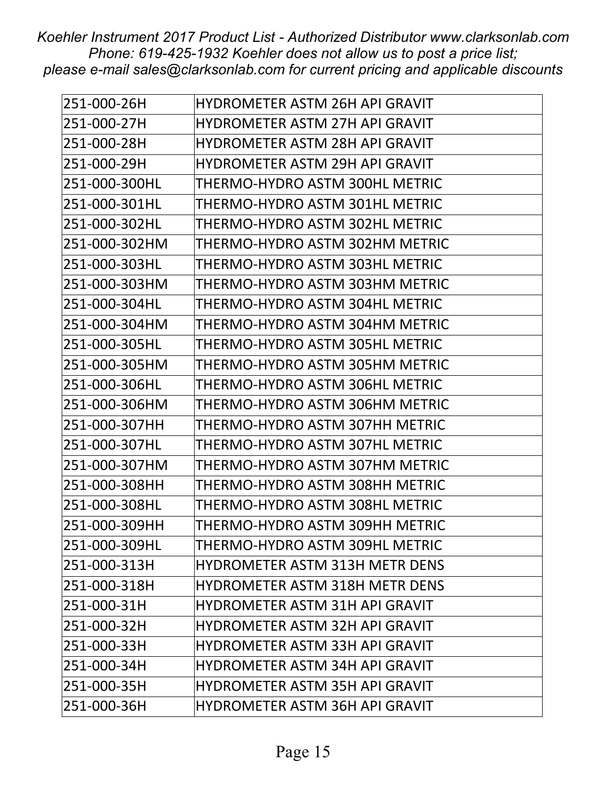| 251-000-26H   | <b>HYDROMETER ASTM 26H API GRAVIT</b> |
|---------------|---------------------------------------|
| 251-000-27H   | <b>HYDROMETER ASTM 27H API GRAVIT</b> |
| 251-000-28H   | <b>HYDROMETER ASTM 28H API GRAVIT</b> |
| 251-000-29H   | <b>HYDROMETER ASTM 29H API GRAVIT</b> |
| 251-000-300HL | THERMO-HYDRO ASTM 300HL METRIC        |
| 251-000-301HL | THERMO-HYDRO ASTM 301HL METRIC        |
| 251-000-302HL | THERMO-HYDRO ASTM 302HL METRIC        |
| 251-000-302HM | THERMO-HYDRO ASTM 302HM METRIC        |
| 251-000-303HL | THERMO-HYDRO ASTM 303HL METRIC        |
| 251-000-303HM | THERMO-HYDRO ASTM 303HM METRIC        |
| 251-000-304HL | THERMO-HYDRO ASTM 304HL METRIC        |
| 251-000-304HM | THERMO-HYDRO ASTM 304HM METRIC        |
| 251-000-305HL | THERMO-HYDRO ASTM 305HL METRIC        |
| 251-000-305HM | THERMO-HYDRO ASTM 305HM METRIC        |
| 251-000-306HL | THERMO-HYDRO ASTM 306HL METRIC        |
| 251-000-306HM | THERMO-HYDRO ASTM 306HM METRIC        |
| 251-000-307HH | THERMO-HYDRO ASTM 307HH METRIC        |
| 251-000-307HL | THERMO-HYDRO ASTM 307HL METRIC        |
| 251-000-307HM | THERMO-HYDRO ASTM 307HM METRIC        |
| 251-000-308HH | THERMO-HYDRO ASTM 308HH METRIC        |
| 251-000-308HL | THERMO-HYDRO ASTM 308HL METRIC        |
| 251-000-309HH | THERMO-HYDRO ASTM 309HH METRIC        |
| 251-000-309HL | THERMO-HYDRO ASTM 309HL METRIC        |
| 251-000-313H  | <b>HYDROMETER ASTM 313H METR DENS</b> |
| 251-000-318H  | <b>HYDROMETER ASTM 318H METR DENS</b> |
| 251-000-31H   | <b>HYDROMETER ASTM 31H API GRAVIT</b> |
| 251-000-32H   | HYDROMETER ASTM 32H API GRAVIT        |
| 251-000-33H   | <b>HYDROMETER ASTM 33H API GRAVIT</b> |
| 251-000-34H   | HYDROMETER ASTM 34H API GRAVIT        |
| 251-000-35H   | <b>HYDROMETER ASTM 35H API GRAVIT</b> |
| 251-000-36H   | <b>HYDROMETER ASTM 36H API GRAVIT</b> |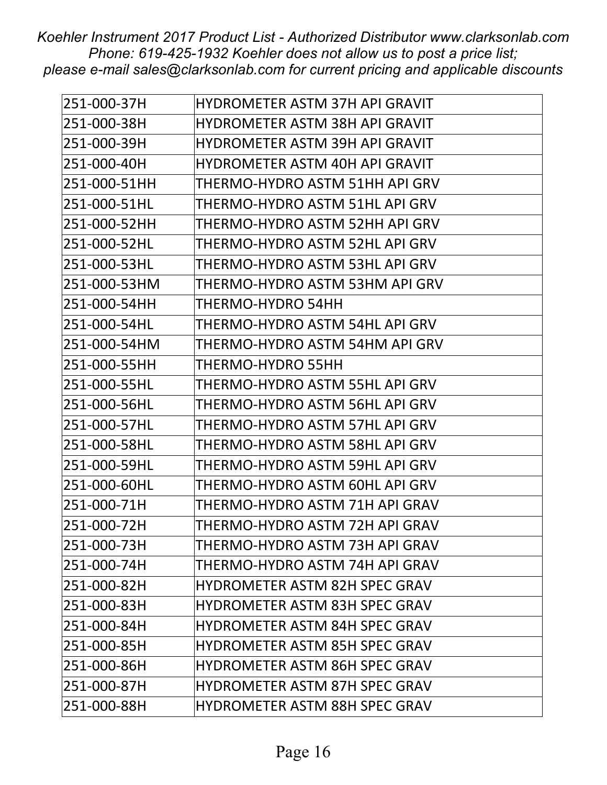| 251-000-37H  | <b>HYDROMETER ASTM 37H API GRAVIT</b> |
|--------------|---------------------------------------|
| 251-000-38H  | <b>HYDROMETER ASTM 38H API GRAVIT</b> |
| 251-000-39H  | <b>HYDROMETER ASTM 39H API GRAVIT</b> |
| 251-000-40H  | <b>HYDROMETER ASTM 40H API GRAVIT</b> |
| 251-000-51HH | THERMO-HYDRO ASTM 51HH API GRV        |
| 251-000-51HL | THERMO-HYDRO ASTM 51HL API GRV        |
| 251-000-52HH | THERMO-HYDRO ASTM 52HH API GRV        |
| 251-000-52HL | THERMO-HYDRO ASTM 52HL API GRV        |
| 251-000-53HL | THERMO-HYDRO ASTM 53HL API GRV        |
| 251-000-53HM | THERMO-HYDRO ASTM 53HM API GRV        |
| 251-000-54HH | <b>THERMO-HYDRO 54HH</b>              |
| 251-000-54HL | THERMO-HYDRO ASTM 54HL API GRV        |
| 251-000-54HM | THERMO-HYDRO ASTM 54HM API GRV        |
| 251-000-55HH | <b>THERMO-HYDRO 55HH</b>              |
| 251-000-55HL | THERMO-HYDRO ASTM 55HL API GRV        |
| 251-000-56HL | THERMO-HYDRO ASTM 56HL API GRV        |
| 251-000-57HL | THERMO-HYDRO ASTM 57HL API GRV        |
| 251-000-58HL | THERMO-HYDRO ASTM 58HL API GRV        |
| 251-000-59HL | THERMO-HYDRO ASTM 59HL API GRV        |
| 251-000-60HL | THERMO-HYDRO ASTM 60HL API GRV        |
| 251-000-71H  | THERMO-HYDRO ASTM 71H API GRAV        |
| 251-000-72H  | THERMO-HYDRO ASTM 72H API GRAV        |
| 251-000-73H  | THERMO-HYDRO ASTM 73H API GRAV        |
| 251-000-74H  | THERMO-HYDRO ASTM 74H API GRAV        |
| 251-000-82H  | <b>HYDROMETER ASTM 82H SPEC GRAV</b>  |
| 251-000-83H  | <b>HYDROMETER ASTM 83H SPEC GRAV</b>  |
| 251-000-84H  | <b>HYDROMETER ASTM 84H SPEC GRAV</b>  |
| 251-000-85H  | <b>HYDROMETER ASTM 85H SPEC GRAV</b>  |
| 251-000-86H  | <b>HYDROMETER ASTM 86H SPEC GRAV</b>  |
| 251-000-87H  | <b>HYDROMETER ASTM 87H SPEC GRAV</b>  |
| 251-000-88H  | HYDROMETER ASTM 88H SPEC GRAV         |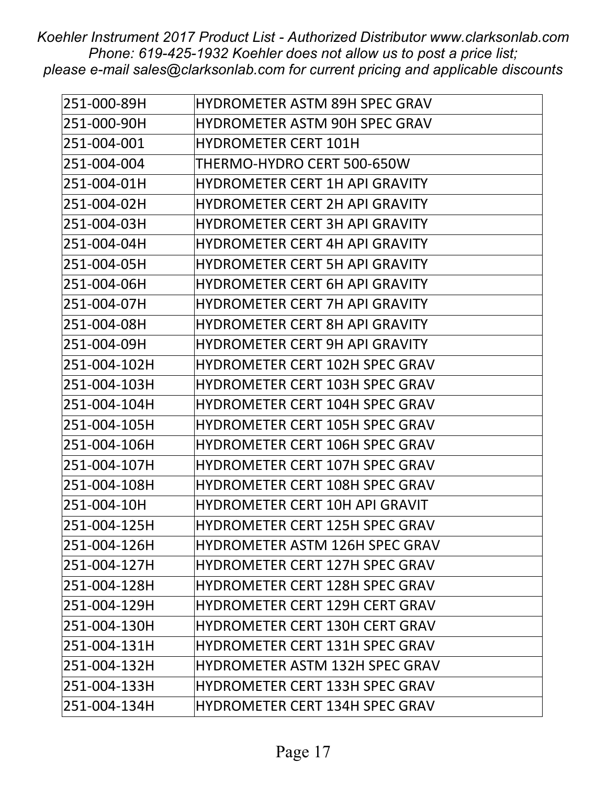| 251-000-89H  | <b>HYDROMETER ASTM 89H SPEC GRAV</b>  |
|--------------|---------------------------------------|
| 251-000-90H  | <b>HYDROMETER ASTM 90H SPEC GRAV</b>  |
| 251-004-001  | <b>HYDROMETER CERT 101H</b>           |
| 251-004-004  | THERMO-HYDRO CERT 500-650W            |
| 251-004-01H  | <b>HYDROMETER CERT 1H API GRAVITY</b> |
| 251-004-02H  | <b>HYDROMETER CERT 2H API GRAVITY</b> |
| 251-004-03H  | <b>HYDROMETER CERT 3H API GRAVITY</b> |
| 251-004-04H  | <b>HYDROMETER CERT 4H API GRAVITY</b> |
| 251-004-05H  | <b>HYDROMETER CERT 5H API GRAVITY</b> |
| 251-004-06H  | <b>HYDROMETER CERT 6H API GRAVITY</b> |
| 251-004-07H  | <b>HYDROMETER CERT 7H API GRAVITY</b> |
| 251-004-08H  | <b>HYDROMETER CERT 8H API GRAVITY</b> |
| 251-004-09H  | <b>HYDROMETER CERT 9H API GRAVITY</b> |
| 251-004-102H | <b>HYDROMETER CERT 102H SPEC GRAV</b> |
| 251-004-103H | <b>HYDROMETER CERT 103H SPEC GRAV</b> |
| 251-004-104H | <b>HYDROMETER CERT 104H SPEC GRAV</b> |
| 251-004-105H | <b>HYDROMETER CERT 105H SPEC GRAV</b> |
| 251-004-106H | <b>HYDROMETER CERT 106H SPEC GRAV</b> |
| 251-004-107H | <b>HYDROMETER CERT 107H SPEC GRAV</b> |
| 251-004-108H | <b>HYDROMETER CERT 108H SPEC GRAV</b> |
| 251-004-10H  | <b>HYDROMETER CERT 10H API GRAVIT</b> |
| 251-004-125H | <b>HYDROMETER CERT 125H SPEC GRAV</b> |
| 251-004-126H | HYDROMETER ASTM 126H SPEC GRAV        |
| 251-004-127H | <b>HYDROMETER CERT 127H SPEC GRAV</b> |
| 251-004-128H | <b>HYDROMETER CERT 128H SPEC GRAV</b> |
| 251-004-129H | <b>HYDROMETER CERT 129H CERT GRAV</b> |
| 251-004-130H | <b>HYDROMETER CERT 130H CERT GRAV</b> |
| 251-004-131H | <b>HYDROMETER CERT 131H SPEC GRAV</b> |
| 251-004-132H | <b>HYDROMETER ASTM 132H SPEC GRAV</b> |
| 251-004-133H | <b>HYDROMETER CERT 133H SPEC GRAV</b> |
| 251-004-134H | <b>HYDROMETER CERT 134H SPEC GRAV</b> |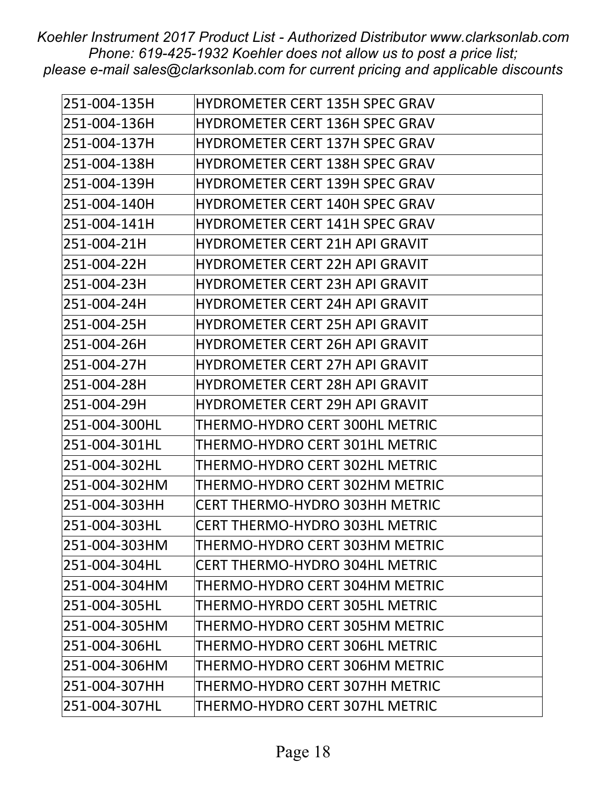| 251-004-135H  | <b>HYDROMETER CERT 135H SPEC GRAV</b> |
|---------------|---------------------------------------|
| 251-004-136H  | <b>HYDROMETER CERT 136H SPEC GRAV</b> |
| 251-004-137H  | <b>HYDROMETER CERT 137H SPEC GRAV</b> |
| 251-004-138H  | <b>HYDROMETER CERT 138H SPEC GRAV</b> |
| 251-004-139H  | <b>HYDROMETER CERT 139H SPEC GRAV</b> |
| 251-004-140H  | <b>HYDROMETER CERT 140H SPEC GRAV</b> |
| 251-004-141H  | <b>HYDROMETER CERT 141H SPEC GRAV</b> |
| 251-004-21H   | <b>HYDROMETER CERT 21H API GRAVIT</b> |
| 251-004-22H   | <b>HYDROMETER CERT 22H API GRAVIT</b> |
| 251-004-23H   | <b>HYDROMETER CERT 23H API GRAVIT</b> |
| 251-004-24H   | <b>HYDROMETER CERT 24H API GRAVIT</b> |
| 251-004-25H   | <b>HYDROMETER CERT 25H API GRAVIT</b> |
| 251-004-26H   | <b>HYDROMETER CERT 26H API GRAVIT</b> |
| 251-004-27H   | HYDROMETER CERT 27H API GRAVIT        |
| 251-004-28H   | <b>HYDROMETER CERT 28H API GRAVIT</b> |
| 251-004-29H   | <b>HYDROMETER CERT 29H API GRAVIT</b> |
| 251-004-300HL | THERMO-HYDRO CERT 300HL METRIC        |
| 251-004-301HL | THERMO-HYDRO CERT 301HL METRIC        |
| 251-004-302HL | THERMO-HYDRO CERT 302HL METRIC        |
| 251-004-302HM | THERMO-HYDRO CERT 302HM METRIC        |
| 251-004-303HH | <b>CERT THERMO-HYDRO 303HH METRIC</b> |
| 251-004-303HL | <b>CERT THERMO-HYDRO 303HL METRIC</b> |
| 251-004-303HM | THERMO-HYDRO CERT 303HM METRIC        |
| 251-004-304HL | CERT THERMO-HYDRO 304HL METRIC        |
| 251-004-304HM | THERMO-HYDRO CERT 304HM METRIC        |
| 251-004-305HL | THERMO-HYRDO CERT 305HL METRIC        |
| 251-004-305HM | THERMO-HYDRO CERT 305HM METRIC        |
| 251-004-306HL | THERMO-HYDRO CERT 306HL METRIC        |
| 251-004-306HM | THERMO-HYDRO CERT 306HM METRIC        |
| 251-004-307HH | THERMO-HYDRO CERT 307HH METRIC        |
| 251-004-307HL | THERMO-HYDRO CERT 307HL METRIC        |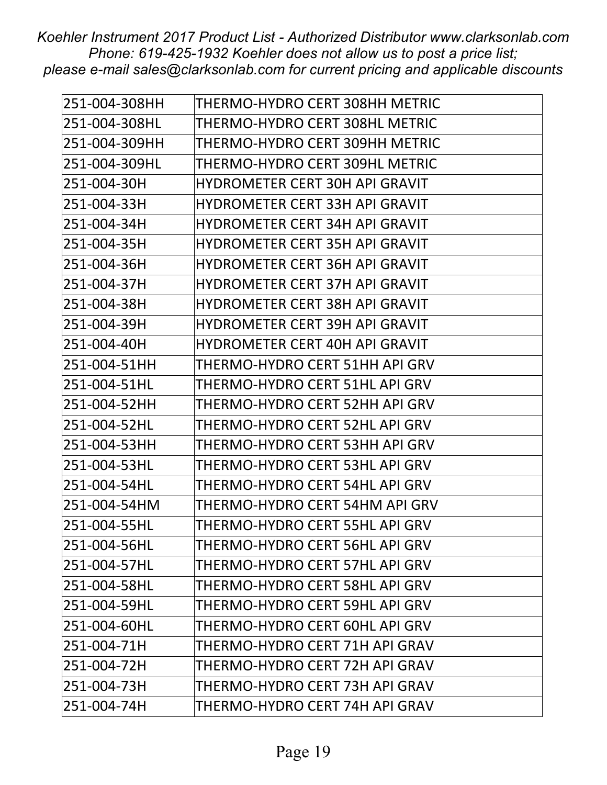| 251-004-308HH | THERMO-HYDRO CERT 308HH METRIC        |
|---------------|---------------------------------------|
| 251-004-308HL | THERMO-HYDRO CERT 308HL METRIC        |
| 251-004-309HH | THERMO-HYDRO CERT 309HH METRIC        |
| 251-004-309HL | THERMO-HYDRO CERT 309HL METRIC        |
| 251-004-30H   | <b>HYDROMETER CERT 30H API GRAVIT</b> |
| 251-004-33H   | <b>HYDROMETER CERT 33H API GRAVIT</b> |
| 251-004-34H   | <b>HYDROMETER CERT 34H API GRAVIT</b> |
| 251-004-35H   | <b>HYDROMETER CERT 35H API GRAVIT</b> |
| 251-004-36H   | <b>HYDROMETER CERT 36H API GRAVIT</b> |
| 251-004-37H   | <b>HYDROMETER CERT 37H API GRAVIT</b> |
| 251-004-38H   | HYDROMETER CERT 38H API GRAVIT        |
| 251-004-39H   | <b>HYDROMETER CERT 39H API GRAVIT</b> |
| 251-004-40H   | <b>HYDROMETER CERT 40H API GRAVIT</b> |
| 251-004-51HH  | THERMO-HYDRO CERT 51HH API GRV        |
| 251-004-51HL  | THERMO-HYDRO CERT 51HL API GRV        |
| 251-004-52HH  | THERMO-HYDRO CERT 52HH API GRV        |
| 251-004-52HL  | THERMO-HYDRO CERT 52HL API GRV        |
| 251-004-53HH  | THERMO-HYDRO CERT 53HH API GRV        |
| 251-004-53HL  | THERMO-HYDRO CERT 53HL API GRV        |
| 251-004-54HL  | THERMO-HYDRO CERT 54HL API GRV        |
| 251-004-54HM  | THERMO-HYDRO CERT 54HM API GRV        |
| 251-004-55HL  | THERMO-HYDRO CERT 55HL API GRV        |
| 251-004-56HL  | THERMO-HYDRO CERT 56HL API GRV        |
| 251-004-57HL  | THERMO-HYDRO CERT 57HL API GRV        |
| 251-004-58HL  | THERMO-HYDRO CERT 58HL API GRV        |
| 251-004-59HL  | THERMO-HYDRO CERT 59HL API GRV        |
| 251-004-60HL  | THERMO-HYDRO CERT 60HL API GRV        |
| 251-004-71H   | THERMO-HYDRO CERT 71H API GRAV        |
| 251-004-72H   | THERMO-HYDRO CERT 72H API GRAV        |
| 251-004-73H   | THERMO-HYDRO CERT 73H API GRAV        |
| 251-004-74H   | THERMO-HYDRO CERT 74H API GRAV        |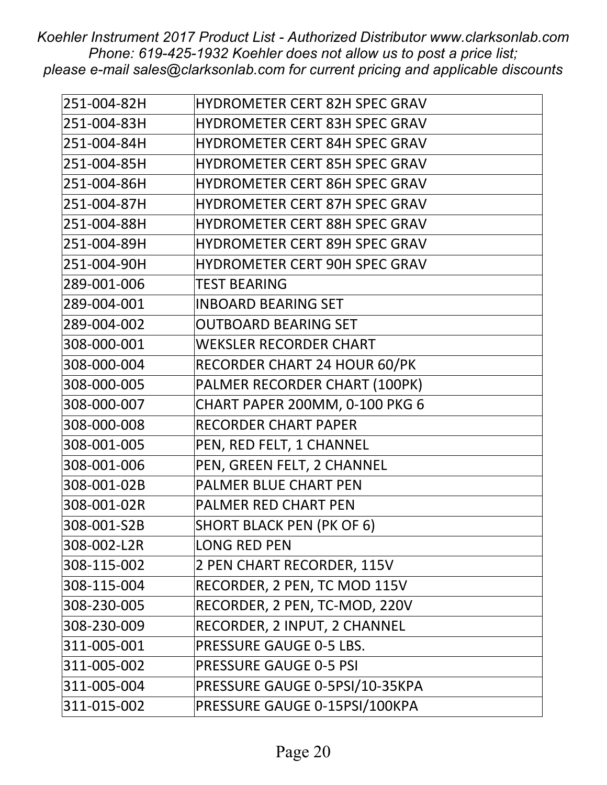| 251-004-82H | <b>HYDROMETER CERT 82H SPEC GRAV</b> |
|-------------|--------------------------------------|
| 251-004-83H | <b>HYDROMETER CERT 83H SPEC GRAV</b> |
| 251-004-84H | <b>HYDROMETER CERT 84H SPEC GRAV</b> |
| 251-004-85H | <b>HYDROMETER CERT 85H SPEC GRAV</b> |
| 251-004-86H | <b>HYDROMETER CERT 86H SPEC GRAV</b> |
| 251-004-87H | <b>HYDROMETER CERT 87H SPEC GRAV</b> |
| 251-004-88H | <b>HYDROMETER CERT 88H SPEC GRAV</b> |
| 251-004-89H | <b>HYDROMETER CERT 89H SPEC GRAV</b> |
| 251-004-90H | <b>HYDROMETER CERT 90H SPEC GRAV</b> |
| 289-001-006 | <b>TEST BEARING</b>                  |
| 289-004-001 | <b>INBOARD BEARING SET</b>           |
| 289-004-002 | <b>OUTBOARD BEARING SET</b>          |
| 308-000-001 | <b>WEKSLER RECORDER CHART</b>        |
| 308-000-004 | RECORDER CHART 24 HOUR 60/PK         |
| 308-000-005 | PALMER RECORDER CHART (100PK)        |
| 308-000-007 | CHART PAPER 200MM, 0-100 PKG 6       |
| 308-000-008 | <b>RECORDER CHART PAPER</b>          |
| 308-001-005 | PEN, RED FELT, 1 CHANNEL             |
| 308-001-006 | PEN, GREEN FELT, 2 CHANNEL           |
| 308-001-02B | PALMER BLUE CHART PEN                |
| 308-001-02R | PALMER RED CHART PEN                 |
| 308-001-S2B | <b>SHORT BLACK PEN (PK OF 6)</b>     |
| 308-002-L2R | <b>LONG RED PEN</b>                  |
| 308-115-002 | 2 PEN CHART RECORDER, 115V           |
| 308-115-004 | RECORDER, 2 PEN, TC MOD 115V         |
| 308-230-005 | RECORDER, 2 PEN, TC-MOD, 220V        |
| 308-230-009 | RECORDER, 2 INPUT, 2 CHANNEL         |
| 311-005-001 | <b>PRESSURE GAUGE 0-5 LBS.</b>       |
| 311-005-002 | <b>PRESSURE GAUGE 0-5 PSI</b>        |
| 311-005-004 | PRESSURE GAUGE 0-5PSI/10-35KPA       |
| 311-015-002 | PRESSURE GAUGE 0-15PSI/100KPA        |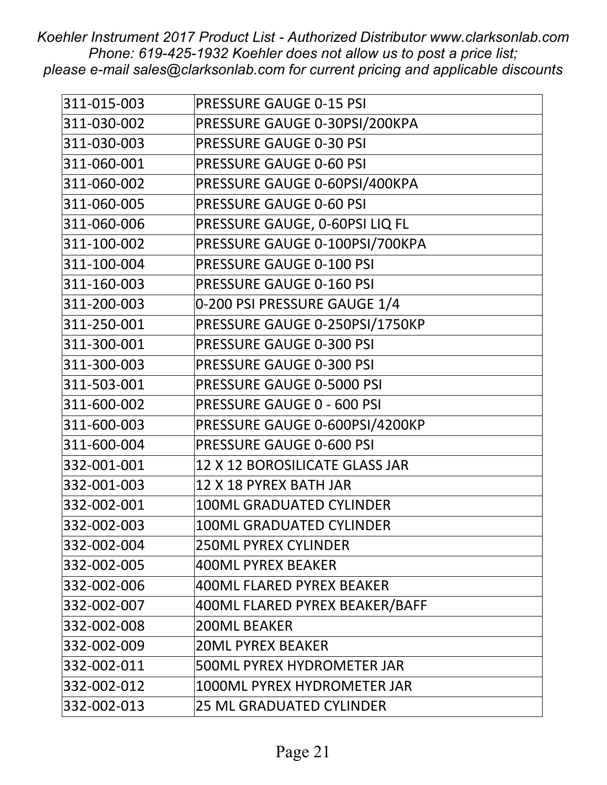| 311-015-003 | PRESSURE GAUGE 0-15 PSI           |
|-------------|-----------------------------------|
| 311-030-002 | PRESSURE GAUGE 0-30PSI/200KPA     |
| 311-030-003 | <b>PRESSURE GAUGE 0-30 PSI</b>    |
| 311-060-001 | <b>PRESSURE GAUGE 0-60 PSI</b>    |
| 311-060-002 | PRESSURE GAUGE 0-60PSI/400KPA     |
| 311-060-005 | <b>PRESSURE GAUGE 0-60 PSI</b>    |
| 311-060-006 | PRESSURE GAUGE, 0-60PSI LIQ FL    |
| 311-100-002 | PRESSURE GAUGE 0-100PSI/700KPA    |
| 311-100-004 | <b>PRESSURE GAUGE 0-100 PSI</b>   |
| 311-160-003 | PRESSURE GAUGE 0-160 PSI          |
| 311-200-003 | 0-200 PSI PRESSURE GAUGE 1/4      |
| 311-250-001 | PRESSURE GAUGE 0-250PSI/1750KP    |
| 311-300-001 | PRESSURE GAUGE 0-300 PSI          |
| 311-300-003 | PRESSURE GAUGE 0-300 PSI          |
| 311-503-001 | PRESSURE GAUGE 0-5000 PSI         |
| 311-600-002 | <b>PRESSURE GAUGE 0 - 600 PSI</b> |
| 311-600-003 | PRESSURE GAUGE 0-600PSI/4200KP    |
| 311-600-004 | PRESSURE GAUGE 0-600 PSI          |
| 332-001-001 | 12 X 12 BOROSILICATE GLASS JAR    |
| 332-001-003 | 12 X 18 PYREX BATH JAR            |
| 332-002-001 | <b>100ML GRADUATED CYLINDER</b>   |
| 332-002-003 | <b>100ML GRADUATED CYLINDER</b>   |
| 332-002-004 | <b>250ML PYREX CYLINDER</b>       |
| 332-002-005 | <b>400ML PYREX BEAKER</b>         |
| 332-002-006 | <b>400ML FLARED PYREX BEAKER</b>  |
| 332-002-007 | 400ML FLARED PYREX BEAKER/BAFF    |
| 332-002-008 | <b>200ML BEAKER</b>               |
| 332-002-009 | <b>20ML PYREX BEAKER</b>          |
| 332-002-011 | 500ML PYREX HYDROMETER JAR        |
| 332-002-012 | 1000ML PYREX HYDROMETER JAR       |
| 332-002-013 | <b>25 ML GRADUATED CYLINDER</b>   |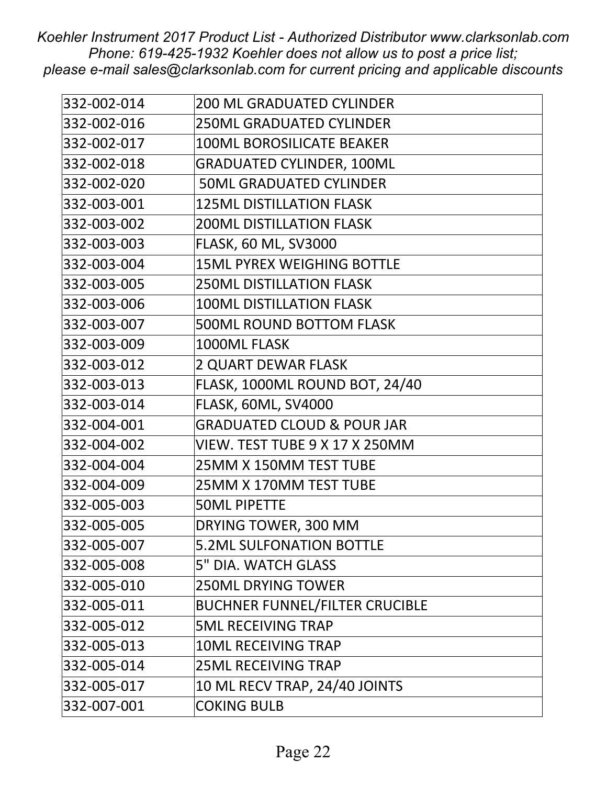| <b>200 ML GRADUATED CYLINDER</b>      |
|---------------------------------------|
|                                       |
| <b>250ML GRADUATED CYLINDER</b>       |
| <b>100ML BOROSILICATE BEAKER</b>      |
| <b>GRADUATED CYLINDER, 100ML</b>      |
| <b>50ML GRADUATED CYLINDER</b>        |
| <b>125ML DISTILLATION FLASK</b>       |
| <b>200ML DISTILLATION FLASK</b>       |
| <b>FLASK, 60 ML, SV3000</b>           |
| <b>15ML PYREX WEIGHING BOTTLE</b>     |
| <b>250ML DISTILLATION FLASK</b>       |
| <b>100ML DISTILLATION FLASK</b>       |
| <b>500ML ROUND BOTTOM FLASK</b>       |
| 1000ML FLASK                          |
| <b>2 QUART DEWAR FLASK</b>            |
| FLASK, 1000ML ROUND BOT, 24/40        |
| FLASK, 60ML, SV4000                   |
| <b>GRADUATED CLOUD &amp; POUR JAR</b> |
| VIEW. TEST TUBE 9 X 17 X 250MM        |
| 25MM X 150MM TEST TUBE                |
| 25MM X 170MM TEST TUBE                |
| <b>50ML PIPETTE</b>                   |
| DRYING TOWER, 300 MM                  |
| <b>5.2ML SULFONATION BOTTLE</b>       |
| 5" DIA. WATCH GLASS                   |
| <b>250ML DRYING TOWER</b>             |
| <b>BUCHNER FUNNEL/FILTER CRUCIBLE</b> |
| <b>5ML RECEIVING TRAP</b>             |
| <b>10ML RECEIVING TRAP</b>            |
| <b>25ML RECEIVING TRAP</b>            |
| 10 ML RECV TRAP, 24/40 JOINTS         |
| <b>COKING BULB</b>                    |
|                                       |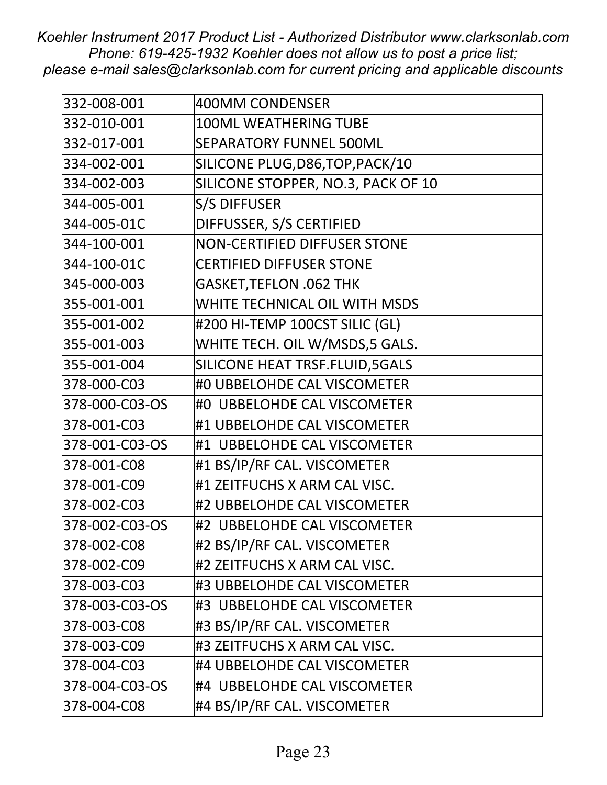| 332-008-001    | <b>400MM CONDENSER</b>              |
|----------------|-------------------------------------|
| 332-010-001    | <b>100ML WEATHERING TUBE</b>        |
| 332-017-001    | <b>SEPARATORY FUNNEL 500ML</b>      |
| 334-002-001    | SILICONE PLUG, D86, TOP, PACK/10    |
| 334-002-003    | SILICONE STOPPER, NO.3, PACK OF 10  |
| 344-005-001    | <b>S/S DIFFUSER</b>                 |
| 344-005-01C    | DIFFUSSER, S/S CERTIFIED            |
| 344-100-001    | <b>NON-CERTIFIED DIFFUSER STONE</b> |
| 344-100-01C    | <b>CERTIFIED DIFFUSER STONE</b>     |
| 345-000-003    | <b>GASKET, TEFLON .062 THK</b>      |
| 355-001-001    | WHITE TECHNICAL OIL WITH MSDS       |
| 355-001-002    | #200 HI-TEMP 100CST SILIC (GL)      |
| 355-001-003    | WHITE TECH. OIL W/MSDS,5 GALS.      |
| 355-001-004    | SILICONE HEAT TRSF.FLUID, 5GALS     |
| 378-000-C03    | #0 UBBELOHDE CAL VISCOMETER         |
| 378-000-C03-OS | #0 UBBELOHDE CAL VISCOMETER         |
| 378-001-C03    | #1 UBBELOHDE CAL VISCOMETER         |
| 378-001-C03-OS | #1 UBBELOHDE CAL VISCOMETER         |
| 378-001-C08    | #1 BS/IP/RF CAL. VISCOMETER         |
| 378-001-C09    | #1 ZEITFUCHS X ARM CAL VISC.        |
| 378-002-C03    | #2 UBBELOHDE CAL VISCOMETER         |
| 378-002-C03-OS | #2 UBBELOHDE CAL VISCOMETER         |
| 378-002-C08    | #2 BS/IP/RF CAL. VISCOMETER         |
| 378-002-C09    | #2 ZEITFUCHS X ARM CAL VISC.        |
| 378-003-C03    | #3 UBBELOHDE CAL VISCOMETER         |
| 378-003-C03-OS | #3 UBBELOHDE CAL VISCOMETER         |
| 378-003-C08    | #3 BS/IP/RF CAL. VISCOMETER         |
| 378-003-C09    | #3 ZEITFUCHS X ARM CAL VISC.        |
| 378-004-C03    | #4 UBBELOHDE CAL VISCOMETER         |
| 378-004-C03-OS | #4 UBBELOHDE CAL VISCOMETER         |
| 378-004-C08    | #4 BS/IP/RF CAL. VISCOMETER         |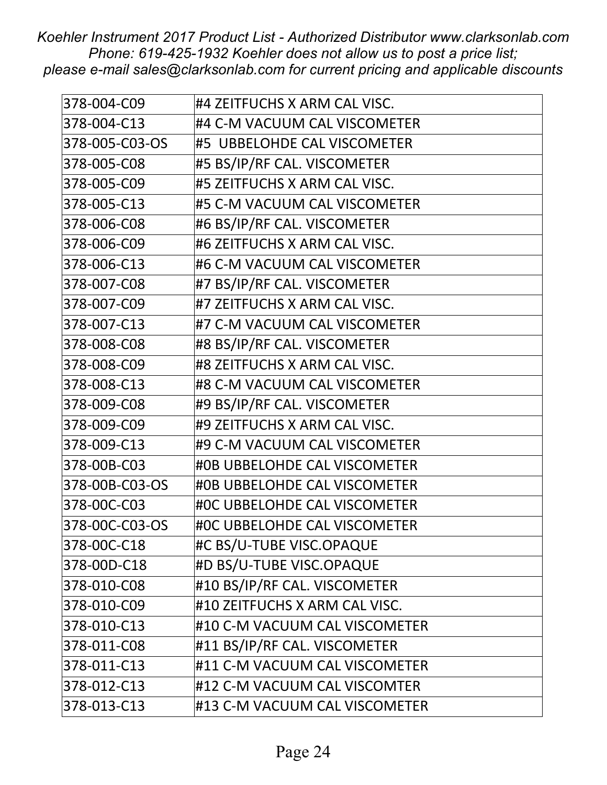| 378-004-C09    | #4 ZEITFUCHS X ARM CAL VISC.  |
|----------------|-------------------------------|
| 378-004-C13    | #4 C-M VACUUM CAL VISCOMETER  |
| 378-005-C03-OS | #5 UBBELOHDE CAL VISCOMETER   |
| 378-005-C08    | #5 BS/IP/RF CAL. VISCOMETER   |
| 378-005-C09    | #5 ZEITFUCHS X ARM CAL VISC.  |
| 378-005-C13    | #5 C-M VACUUM CAL VISCOMETER  |
| 378-006-C08    | #6 BS/IP/RF CAL. VISCOMETER   |
| 378-006-C09    | #6 ZEITFUCHS X ARM CAL VISC.  |
| 378-006-C13    | #6 C-M VACUUM CAL VISCOMETER  |
| 378-007-C08    | #7 BS/IP/RF CAL. VISCOMETER   |
| 378-007-C09    | #7 ZEITFUCHS X ARM CAL VISC.  |
| 378-007-C13    | #7 C-M VACUUM CAL VISCOMETER  |
| 378-008-C08    | #8 BS/IP/RF CAL. VISCOMETER   |
| 378-008-C09    | #8 ZEITFUCHS X ARM CAL VISC.  |
| 378-008-C13    | #8 C-M VACUUM CAL VISCOMETER  |
| 378-009-C08    | #9 BS/IP/RF CAL. VISCOMETER   |
| 378-009-C09    | #9 ZEITFUCHS X ARM CAL VISC.  |
| 378-009-C13    | #9 C-M VACUUM CAL VISCOMETER  |
| 378-00B-C03    | #0B UBBELOHDE CAL VISCOMETER  |
| 378-00B-C03-OS | #0B UBBELOHDE CAL VISCOMETER  |
| 378-00C-C03    | #OC UBBELOHDE CAL VISCOMETER  |
| 378-00C-C03-OS | #OC UBBELOHDE CAL VISCOMETER  |
| 378-00C-C18    | #C BS/U-TUBE VISC.OPAQUE      |
| 378-00D-C18    | #D BS/U-TUBE VISC.OPAQUE      |
| 378-010-C08    | #10 BS/IP/RF CAL. VISCOMETER  |
| 378-010-C09    | #10 ZEITFUCHS X ARM CAL VISC. |
| 378-010-C13    | #10 C-M VACUUM CAL VISCOMETER |
| 378-011-C08    | #11 BS/IP/RF CAL. VISCOMETER  |
| 378-011-C13    | #11 C-M VACUUM CAL VISCOMETER |
| 378-012-C13    | #12 C-M VACUUM CAL VISCOMTER  |
| 378-013-C13    | #13 C-M VACUUM CAL VISCOMETER |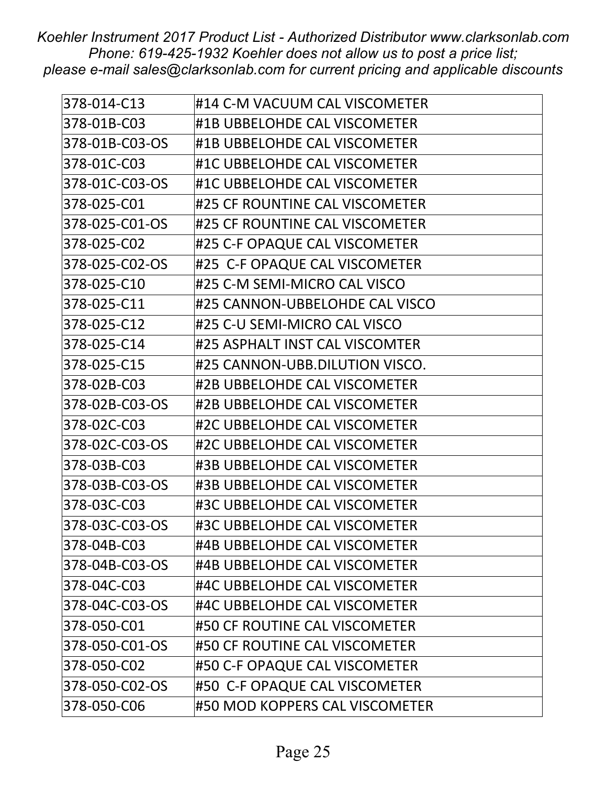| 378-014-C13    | #14 C-M VACUUM CAL VISCOMETER  |
|----------------|--------------------------------|
| 378-01B-C03    | #1B UBBELOHDE CAL VISCOMETER   |
| 378-01B-C03-OS | #1B UBBELOHDE CAL VISCOMETER   |
| 378-01C-C03    | #1C UBBELOHDE CAL VISCOMETER   |
| 378-01C-C03-OS | #1C UBBELOHDE CAL VISCOMETER   |
| 378-025-C01    | #25 CF ROUNTINE CAL VISCOMETER |
| 378-025-C01-OS | #25 CF ROUNTINE CAL VISCOMETER |
| 378-025-C02    | #25 C-F OPAQUE CAL VISCOMETER  |
| 378-025-C02-OS | #25 C-F OPAQUE CAL VISCOMETER  |
| 378-025-C10    | #25 C-M SEMI-MICRO CAL VISCO   |
| 378-025-C11    | #25 CANNON-UBBELOHDE CAL VISCO |
| 378-025-C12    | #25 C-U SEMI-MICRO CAL VISCO   |
| 378-025-C14    | #25 ASPHALT INST CAL VISCOMTER |
| 378-025-C15    | #25 CANNON-UBB.DILUTION VISCO. |
| 378-02B-C03    | #2B UBBELOHDE CAL VISCOMETER   |
| 378-02B-C03-OS | #2B UBBELOHDE CAL VISCOMETER   |
| 378-02C-C03    | #2C UBBELOHDE CAL VISCOMETER   |
| 378-02C-C03-OS | #2C UBBELOHDE CAL VISCOMETER   |
| 378-03B-C03    | #3B UBBELOHDE CAL VISCOMETER   |
| 378-03B-C03-OS | #3B UBBELOHDE CAL VISCOMETER   |
| 378-03C-C03    | #3C UBBELOHDE CAL VISCOMETER   |
| 378-03C-C03-OS | #3C UBBELOHDE CAL VISCOMETER   |
| 378-04B-C03    | #4B UBBELOHDE CAL VISCOMETER   |
| 378-04B-C03-OS | #4B UBBELOHDE CAL VISCOMETER   |
| 378-04C-C03    | #4C UBBELOHDE CAL VISCOMETER   |
| 378-04C-C03-OS | #4C UBBELOHDE CAL VISCOMETER   |
| 378-050-C01    | #50 CF ROUTINE CAL VISCOMETER  |
| 378-050-C01-OS | #50 CF ROUTINE CAL VISCOMETER  |
| 378-050-C02    | #50 C-F OPAQUE CAL VISCOMETER  |
| 378-050-C02-OS | #50 C-F OPAQUE CAL VISCOMETER  |
| 378-050-C06    | #50 MOD KOPPERS CAL VISCOMETER |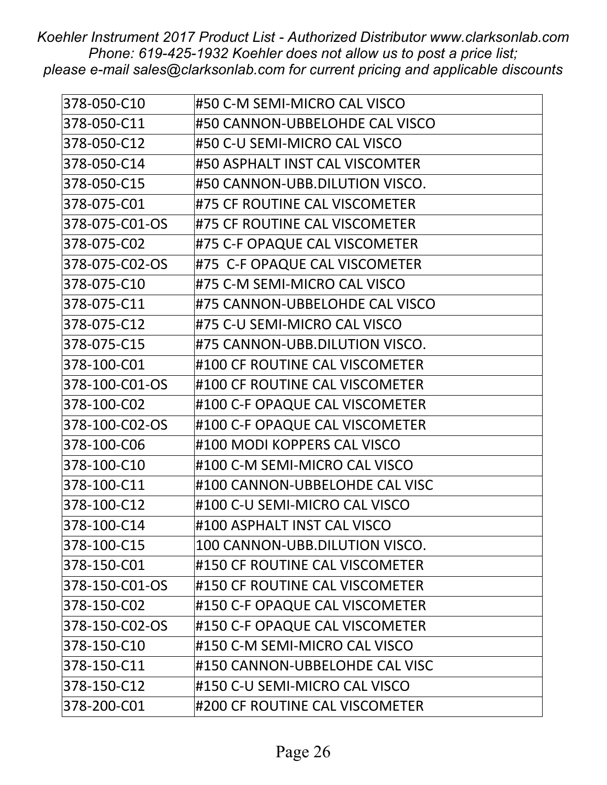| 378-050-C10    | #50 C-M SEMI-MICRO CAL VISCO   |
|----------------|--------------------------------|
| 378-050-C11    | #50 CANNON-UBBELOHDE CAL VISCO |
| 378-050-C12    | #50 C-U SEMI-MICRO CAL VISCO   |
| 378-050-C14    | #50 ASPHALT INST CAL VISCOMTER |
| 378-050-C15    | #50 CANNON-UBB.DILUTION VISCO. |
| 378-075-C01    | #75 CF ROUTINE CAL VISCOMETER  |
| 378-075-C01-OS | #75 CF ROUTINE CAL VISCOMETER  |
| 378-075-C02    | #75 C-F OPAQUE CAL VISCOMETER  |
| 378-075-C02-OS | #75 C-F OPAQUE CAL VISCOMETER  |
| 378-075-C10    | #75 C-M SEMI-MICRO CAL VISCO   |
| 378-075-C11    | #75 CANNON-UBBELOHDE CAL VISCO |
| 378-075-C12    | #75 C-U SEMI-MICRO CAL VISCO   |
| 378-075-C15    | #75 CANNON-UBB.DILUTION VISCO. |
| 378-100-C01    | #100 CF ROUTINE CAL VISCOMETER |
| 378-100-C01-OS | #100 CF ROUTINE CAL VISCOMETER |
| 378-100-C02    | #100 C-F OPAQUE CAL VISCOMETER |
| 378-100-C02-OS | #100 C-F OPAQUE CAL VISCOMETER |
| 378-100-C06    | #100 MODI KOPPERS CAL VISCO    |
| 378-100-C10    | #100 C-M SEMI-MICRO CAL VISCO  |
| 378-100-C11    | #100 CANNON-UBBELOHDE CAL VISC |
| 378-100-C12    | #100 C-U SEMI-MICRO CAL VISCO  |
| 378-100-C14    | #100 ASPHALT INST CAL VISCO    |
| 378-100-C15    | 100 CANNON-UBB.DILUTION VISCO. |
| 378-150-C01    | #150 CF ROUTINE CAL VISCOMETER |
| 378-150-C01-OS | #150 CF ROUTINE CAL VISCOMETER |
| 378-150-C02    | #150 C-F OPAQUE CAL VISCOMETER |
| 378-150-C02-OS | #150 C-F OPAQUE CAL VISCOMETER |
| 378-150-C10    | #150 C-M SEMI-MICRO CAL VISCO  |
| 378-150-C11    | #150 CANNON-UBBELOHDE CAL VISC |
| 378-150-C12    | #150 C-U SEMI-MICRO CAL VISCO  |
| 378-200-C01    | #200 CF ROUTINE CAL VISCOMETER |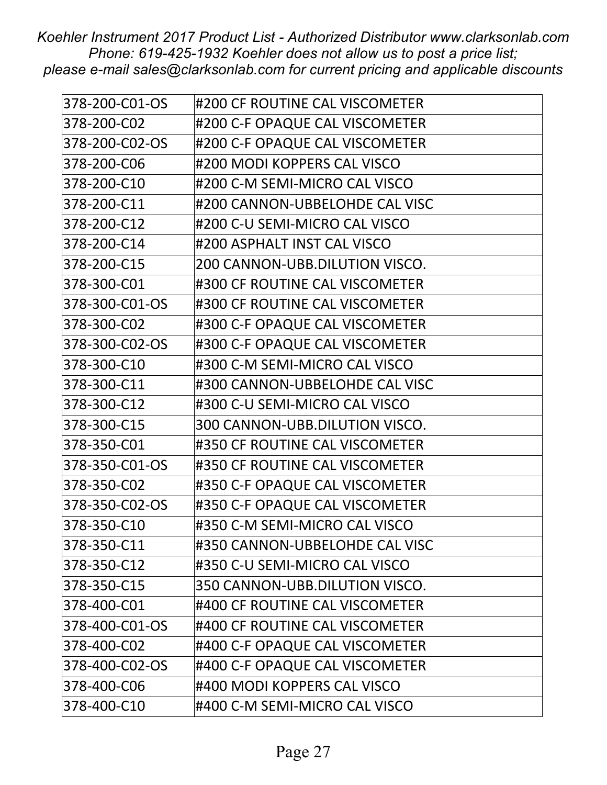| 378-200-C01-OS | #200 CF ROUTINE CAL VISCOMETER |
|----------------|--------------------------------|
| 378-200-C02    | #200 C-F OPAQUE CAL VISCOMETER |
| 378-200-C02-OS | #200 C-F OPAQUE CAL VISCOMETER |
| 378-200-C06    | #200 MODI KOPPERS CAL VISCO    |
| 378-200-C10    | #200 C-M SEMI-MICRO CAL VISCO  |
| 378-200-C11    | #200 CANNON-UBBELOHDE CAL VISC |
| 378-200-C12    | #200 C-U SEMI-MICRO CAL VISCO  |
| 378-200-C14    | #200 ASPHALT INST CAL VISCO    |
| 378-200-C15    | 200 CANNON-UBB.DILUTION VISCO. |
| 378-300-C01    | #300 CF ROUTINE CAL VISCOMETER |
| 378-300-C01-OS | #300 CF ROUTINE CAL VISCOMETER |
| 378-300-C02    | #300 C-F OPAQUE CAL VISCOMETER |
| 378-300-C02-OS | #300 C-F OPAQUE CAL VISCOMETER |
| 378-300-C10    | #300 C-M SEMI-MICRO CAL VISCO  |
| 378-300-C11    | #300 CANNON-UBBELOHDE CAL VISC |
| 378-300-C12    | #300 C-U SEMI-MICRO CAL VISCO  |
| 378-300-C15    | 300 CANNON-UBB.DILUTION VISCO. |
| 378-350-C01    | #350 CF ROUTINE CAL VISCOMETER |
| 378-350-C01-OS | #350 CF ROUTINE CAL VISCOMETER |
| 378-350-C02    | #350 C-F OPAQUE CAL VISCOMETER |
| 378-350-C02-OS | #350 C-F OPAQUE CAL VISCOMETER |
| 378-350-C10    | #350 C-M SEMI-MICRO CAL VISCO  |
| 378-350-C11    | #350 CANNON-UBBELOHDE CAL VISC |
| 378-350-C12    | #350 C-U SEMI-MICRO CAL VISCO  |
| 378-350-C15    | 350 CANNON-UBB.DILUTION VISCO. |
| 378-400-C01    | #400 CF ROUTINE CAL VISCOMETER |
| 378-400-C01-OS | #400 CF ROUTINE CAL VISCOMETER |
| 378-400-C02    | #400 C-F OPAQUE CAL VISCOMETER |
| 378-400-C02-OS | #400 C-F OPAQUE CAL VISCOMETER |
| 378-400-C06    | #400 MODI KOPPERS CAL VISCO    |
| 378-400-C10    | #400 C-M SEMI-MICRO CAL VISCO  |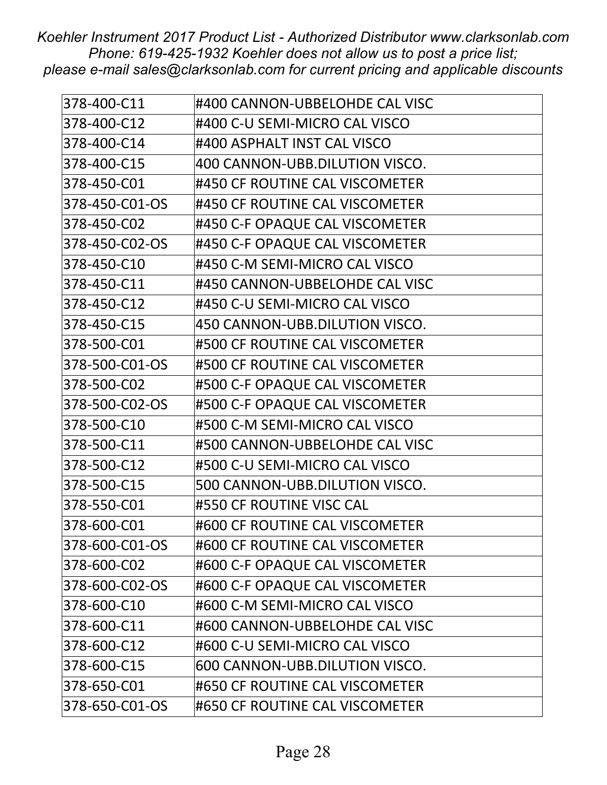| 378-400-C11    | #400 CANNON-UBBELOHDE CAL VISC |
|----------------|--------------------------------|
| 378-400-C12    | #400 C-U SEMI-MICRO CAL VISCO  |
| 378-400-C14    | #400 ASPHALT INST CAL VISCO    |
| 378-400-C15    | 400 CANNON-UBB.DILUTION VISCO. |
| 378-450-C01    | #450 CF ROUTINE CAL VISCOMETER |
| 378-450-C01-OS | #450 CF ROUTINE CAL VISCOMETER |
| 378-450-C02    | #450 C-F OPAQUE CAL VISCOMETER |
| 378-450-C02-OS | #450 C-F OPAQUE CAL VISCOMETER |
| 378-450-C10    | #450 C-M SEMI-MICRO CAL VISCO  |
| 378-450-C11    | #450 CANNON-UBBELOHDE CAL VISC |
| 378-450-C12    | #450 C-U SEMI-MICRO CAL VISCO  |
| 378-450-C15    | 450 CANNON-UBB.DILUTION VISCO. |
| 378-500-C01    | #500 CF ROUTINE CAL VISCOMETER |
| 378-500-C01-OS | #500 CF ROUTINE CAL VISCOMETER |
| 378-500-C02    | #500 C-F OPAQUE CAL VISCOMETER |
| 378-500-C02-OS | #500 C-F OPAQUE CAL VISCOMETER |
| 378-500-C10    | #500 C-M SEMI-MICRO CAL VISCO  |
| 378-500-C11    | #500 CANNON-UBBELOHDE CAL VISC |
| 378-500-C12    | #500 C-U SEMI-MICRO CAL VISCO  |
| 378-500-C15    | 500 CANNON-UBB.DILUTION VISCO. |
| 378-550-C01    | #550 CF ROUTINE VISC CAL       |
| 378-600-C01    | #600 CF ROUTINE CAL VISCOMETER |
| 378-600-C01-OS | #600 CF ROUTINE CAL VISCOMETER |
| 378-600-C02    | #600 C-F OPAQUE CAL VISCOMETER |
| 378-600-C02-OS | #600 C-F OPAQUE CAL VISCOMETER |
| 378-600-C10    | #600 C-M SEMI-MICRO CAL VISCO  |
| 378-600-C11    | #600 CANNON-UBBELOHDE CAL VISC |
| 378-600-C12    | #600 C-U SEMI-MICRO CAL VISCO  |
| 378-600-C15    | 600 CANNON-UBB.DILUTION VISCO. |
| 378-650-C01    | #650 CF ROUTINE CAL VISCOMETER |
| 378-650-C01-OS | #650 CF ROUTINE CAL VISCOMETER |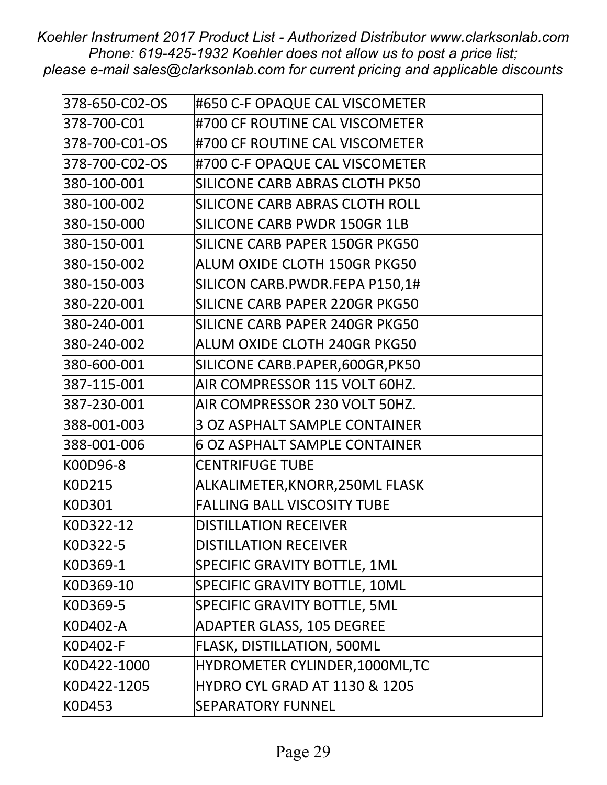| 378-650-C02-OS | #650 C-F OPAQUE CAL VISCOMETER           |
|----------------|------------------------------------------|
| 378-700-C01    | #700 CF ROUTINE CAL VISCOMETER           |
| 378-700-C01-OS | #700 CF ROUTINE CAL VISCOMETER           |
| 378-700-C02-OS | #700 C-F OPAQUE CAL VISCOMETER           |
| 380-100-001    | SILICONE CARB ABRAS CLOTH PK50           |
| 380-100-002    | SILICONE CARB ABRAS CLOTH ROLL           |
| 380-150-000    | SILICONE CARB PWDR 150GR 1LB             |
| 380-150-001    | SILICNE CARB PAPER 150GR PKG50           |
| 380-150-002    | ALUM OXIDE CLOTH 150GR PKG50             |
| 380-150-003    | SILICON CARB.PWDR.FEPA P150,1#           |
| 380-220-001    | SILICNE CARB PAPER 220GR PKG50           |
| 380-240-001    | SILICNE CARB PAPER 240GR PKG50           |
| 380-240-002    | ALUM OXIDE CLOTH 240GR PKG50             |
| 380-600-001    | SILICONE CARB.PAPER,600GR,PK50           |
| 387-115-001    | AIR COMPRESSOR 115 VOLT 60HZ.            |
| 387-230-001    | AIR COMPRESSOR 230 VOLT 50HZ.            |
| 388-001-003    | <b>3 OZ ASPHALT SAMPLE CONTAINER</b>     |
| 388-001-006    | <b>6 OZ ASPHALT SAMPLE CONTAINER</b>     |
| K00D96-8       | <b>CENTRIFUGE TUBE</b>                   |
| K0D215         | ALKALIMETER, KNORR, 250ML FLASK          |
| <b>KOD301</b>  | <b>FALLING BALL VISCOSITY TUBE</b>       |
| K0D322-12      | <b>DISTILLATION RECEIVER</b>             |
| K0D322-5       | <b>DISTILLATION RECEIVER</b>             |
| K0D369-1       | SPECIFIC GRAVITY BOTTLE, 1ML             |
| K0D369-10      | SPECIFIC GRAVITY BOTTLE, 10ML            |
| K0D369-5       | SPECIFIC GRAVITY BOTTLE, 5ML             |
| K0D402-A       | <b>ADAPTER GLASS, 105 DEGREE</b>         |
| K0D402-F       | <b>FLASK, DISTILLATION, 500ML</b>        |
| K0D422-1000    | HYDROMETER CYLINDER, 1000ML, TC          |
| K0D422-1205    | <b>HYDRO CYL GRAD AT 1130 &amp; 1205</b> |
| K0D453         | <b>SEPARATORY FUNNEL</b>                 |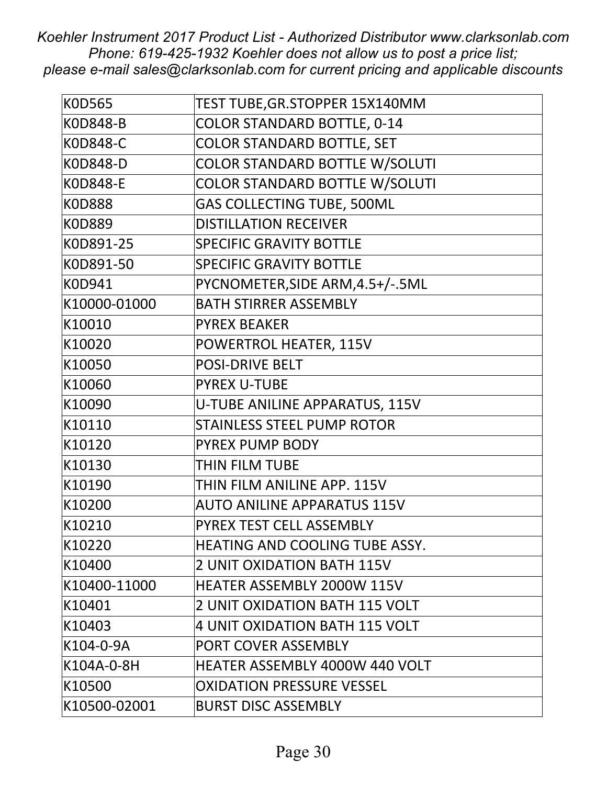| <b>KOD565</b>   | TEST TUBE, GR. STOPPER 15X140MM       |
|-----------------|---------------------------------------|
| <b>KOD848-B</b> | <b>COLOR STANDARD BOTTLE, 0-14</b>    |
| <b>KOD848-C</b> | <b>COLOR STANDARD BOTTLE, SET</b>     |
| <b>KOD848-D</b> | <b>COLOR STANDARD BOTTLE W/SOLUTI</b> |
| <b>KOD848-E</b> | <b>COLOR STANDARD BOTTLE W/SOLUTI</b> |
| <b>KOD888</b>   | <b>GAS COLLECTING TUBE, 500ML</b>     |
| <b>KOD889</b>   | <b>DISTILLATION RECEIVER</b>          |
| K0D891-25       | <b>SPECIFIC GRAVITY BOTTLE</b>        |
| K0D891-50       | <b>SPECIFIC GRAVITY BOTTLE</b>        |
| K0D941          | PYCNOMETER, SIDE ARM, 4.5+/-.5ML      |
| K10000-01000    | <b>BATH STIRRER ASSEMBLY</b>          |
| K10010          | <b>PYREX BEAKER</b>                   |
| K10020          | POWERTROL HEATER, 115V                |
| K10050          | <b>POSI-DRIVE BELT</b>                |
| K10060          | <b>PYREX U-TUBE</b>                   |
| K10090          | U-TUBE ANILINE APPARATUS, 115V        |
| K10110          | <b>STAINLESS STEEL PUMP ROTOR</b>     |
| K10120          | PYREX PUMP BODY                       |
| K10130          | THIN FILM TUBE                        |
| K10190          | THIN FILM ANILINE APP. 115V           |
| K10200          | <b>AUTO ANILINE APPARATUS 115V</b>    |
| K10210          | PYREX TEST CELL ASSEMBLY              |
| K10220          | HEATING AND COOLING TUBE ASSY.        |
| K10400          | <b>2 UNIT OXIDATION BATH 115V</b>     |
| K10400-11000    | <b>HEATER ASSEMBLY 2000W 115V</b>     |
| K10401          | 2 UNIT OXIDATION BATH 115 VOLT        |
| K10403          | <b>4 UNIT OXIDATION BATH 115 VOLT</b> |
| K104-0-9A       | PORT COVER ASSEMBLY                   |
| K104A-0-8H      | <b>HEATER ASSEMBLY 4000W 440 VOLT</b> |
| K10500          | <b>OXIDATION PRESSURE VESSEL</b>      |
| K10500-02001    | <b>BURST DISC ASSEMBLY</b>            |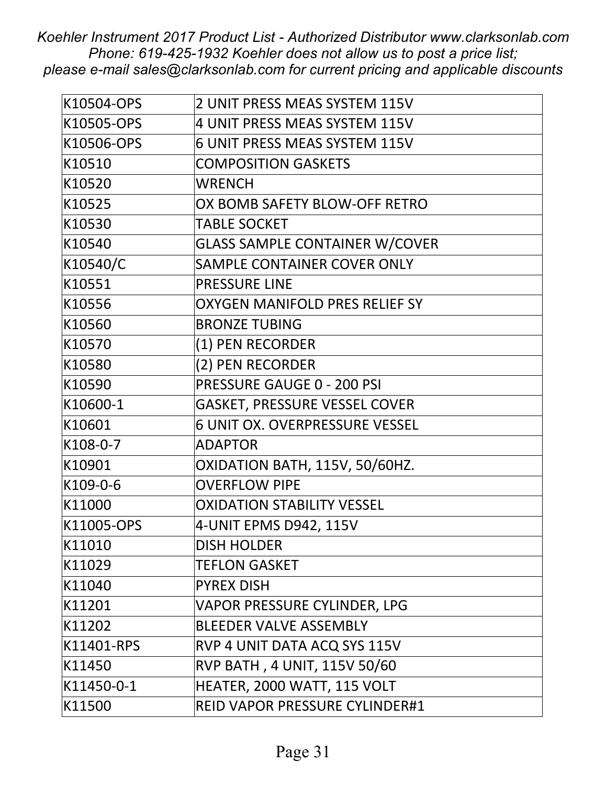| K10504-OPS | 2 UNIT PRESS MEAS SYSTEM 115V         |
|------------|---------------------------------------|
| K10505-OPS | 4 UNIT PRESS MEAS SYSTEM 115V         |
| K10506-OPS | 6 UNIT PRESS MEAS SYSTEM 115V         |
| K10510     | <b>COMPOSITION GASKETS</b>            |
| K10520     | <b>WRENCH</b>                         |
| K10525     | OX BOMB SAFETY BLOW-OFF RETRO         |
| K10530     | <b>TABLE SOCKET</b>                   |
| K10540     | <b>GLASS SAMPLE CONTAINER W/COVER</b> |
| K10540/C   | SAMPLE CONTAINER COVER ONLY           |
| K10551     | <b>PRESSURE LINE</b>                  |
| K10556     | OXYGEN MANIFOLD PRES RELIEF SY        |
| K10560     | <b>BRONZE TUBING</b>                  |
| K10570     | (1) PEN RECORDER                      |
| K10580     | (2) PEN RECORDER                      |
| K10590     | <b>PRESSURE GAUGE 0 - 200 PSI</b>     |
| K10600-1   | GASKET, PRESSURE VESSEL COVER         |
| K10601     | <b>6 UNIT OX. OVERPRESSURE VESSEL</b> |
| K108-0-7   | <b>ADAPTOR</b>                        |
| K10901     | OXIDATION BATH, 115V, 50/60HZ.        |
| K109-0-6   | <b>OVERFLOW PIPE</b>                  |
| K11000     | <b>OXIDATION STABILITY VESSEL</b>     |
| K11005-OPS | 4-UNIT EPMS D942, 115V                |
| K11010     | <b>DISH HOLDER</b>                    |
| K11029     | <b>TEFLON GASKET</b>                  |
| K11040     | <b>PYREX DISH</b>                     |
| K11201     | VAPOR PRESSURE CYLINDER, LPG          |
| K11202     | <b>BLEEDER VALVE ASSEMBLY</b>         |
| K11401-RPS | RVP 4 UNIT DATA ACQ SYS 115V          |
| K11450     | RVP BATH, 4 UNIT, 115V 50/60          |
| K11450-0-1 | HEATER, 2000 WATT, 115 VOLT           |
| K11500     | REID VAPOR PRESSURE CYLINDER#1        |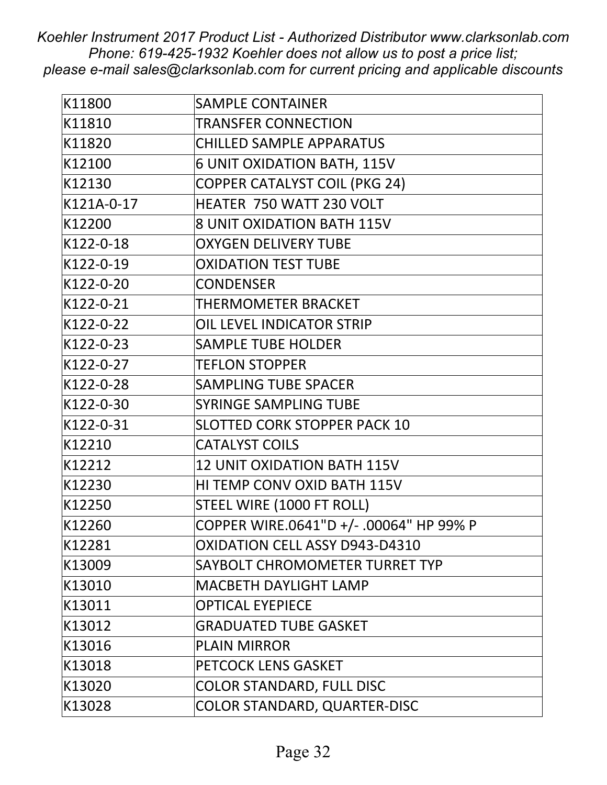| K11800     | <b>SAMPLE CONTAINER</b>                 |
|------------|-----------------------------------------|
| K11810     | <b>TRANSFER CONNECTION</b>              |
| K11820     | <b>CHILLED SAMPLE APPARATUS</b>         |
| K12100     | 6 UNIT OXIDATION BATH, 115V             |
| K12130     | <b>COPPER CATALYST COIL (PKG 24)</b>    |
| K121A-0-17 | HEATER 750 WATT 230 VOLT                |
| K12200     | <b>8 UNIT OXIDATION BATH 115V</b>       |
| K122-0-18  | <b>OXYGEN DELIVERY TUBE</b>             |
| K122-0-19  | <b>OXIDATION TEST TUBE</b>              |
| K122-0-20  | <b>CONDENSER</b>                        |
| K122-0-21  | THERMOMETER BRACKET                     |
| K122-0-22  | OIL LEVEL INDICATOR STRIP               |
| K122-0-23  | <b>SAMPLE TUBE HOLDER</b>               |
| K122-0-27  | <b>TEFLON STOPPER</b>                   |
| K122-0-28  | <b>SAMPLING TUBE SPACER</b>             |
| K122-0-30  | <b>SYRINGE SAMPLING TUBE</b>            |
| K122-0-31  | <b>SLOTTED CORK STOPPER PACK 10</b>     |
| K12210     | <b>CATALYST COILS</b>                   |
| K12212     | <b>12 UNIT OXIDATION BATH 115V</b>      |
| K12230     | HI TEMP CONV OXID BATH 115V             |
| K12250     | STEEL WIRE (1000 FT ROLL)               |
| K12260     | COPPER WIRE.0641"D +/- .00064" HP 99% P |
| K12281     | OXIDATION CELL ASSY D943-D4310          |
| K13009     | SAYBOLT CHROMOMETER TURRET TYP          |
| K13010     | <b>MACBETH DAYLIGHT LAMP</b>            |
| K13011     | <b>OPTICAL EYEPIECE</b>                 |
| K13012     | <b>GRADUATED TUBE GASKET</b>            |
| K13016     | <b>PLAIN MIRROR</b>                     |
| K13018     | <b>PETCOCK LENS GASKET</b>              |
| K13020     | <b>COLOR STANDARD, FULL DISC</b>        |
| K13028     | COLOR STANDARD, QUARTER-DISC            |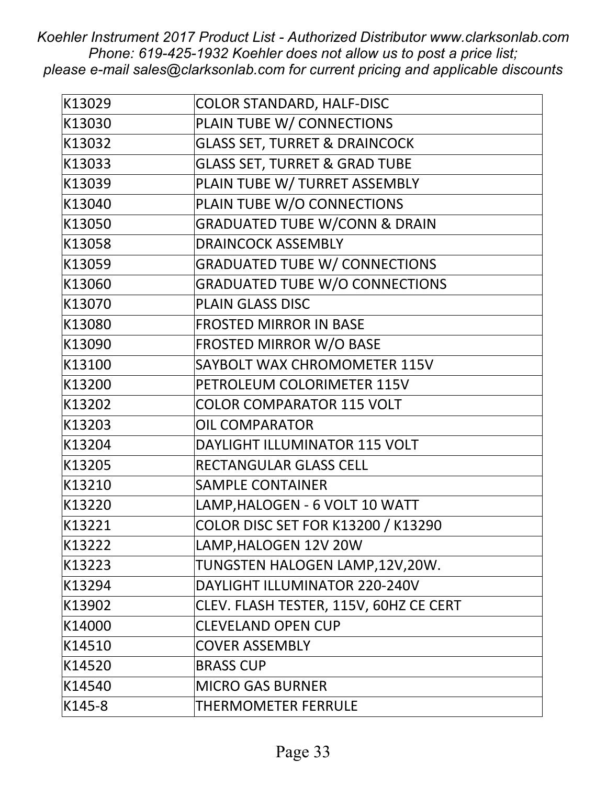| K13029 | <b>COLOR STANDARD, HALF-DISC</b>          |
|--------|-------------------------------------------|
| K13030 | PLAIN TUBE W/ CONNECTIONS                 |
| K13032 | <b>GLASS SET, TURRET &amp; DRAINCOCK</b>  |
| K13033 | <b>GLASS SET, TURRET &amp; GRAD TUBE</b>  |
| K13039 | PLAIN TUBE W/ TURRET ASSEMBLY             |
| K13040 | PLAIN TUBE W/O CONNECTIONS                |
| K13050 | <b>GRADUATED TUBE W/CONN &amp; DRAIN</b>  |
| K13058 | <b>DRAINCOCK ASSEMBLY</b>                 |
| K13059 | <b>GRADUATED TUBE W/ CONNECTIONS</b>      |
| K13060 | <b>GRADUATED TUBE W/O CONNECTIONS</b>     |
| K13070 | <b>PLAIN GLASS DISC</b>                   |
| K13080 | <b>FROSTED MIRROR IN BASE</b>             |
| K13090 | <b>FROSTED MIRROR W/O BASE</b>            |
| K13100 | SAYBOLT WAX CHROMOMETER 115V              |
| K13200 | PETROLEUM COLORIMETER 115V                |
| K13202 | <b>COLOR COMPARATOR 115 VOLT</b>          |
| K13203 | <b>OIL COMPARATOR</b>                     |
| K13204 | DAYLIGHT ILLUMINATOR 115 VOLT             |
| K13205 | <b>RECTANGULAR GLASS CELL</b>             |
| K13210 | <b>SAMPLE CONTAINER</b>                   |
| K13220 | LAMP, HALOGEN - 6 VOLT 10 WATT            |
| K13221 | <b>COLOR DISC SET FOR K13200 / K13290</b> |
| K13222 | LAMP, HALOGEN 12V 20W                     |
| K13223 | TUNGSTEN HALOGEN LAMP,12V,20W.            |
| K13294 | DAYLIGHT ILLUMINATOR 220-240V             |
| K13902 | CLEV. FLASH TESTER, 115V, 60HZ CE CERT    |
| K14000 | <b>CLEVELAND OPEN CUP</b>                 |
| K14510 | <b>COVER ASSEMBLY</b>                     |
| K14520 | <b>BRASS CUP</b>                          |
| K14540 | <b>MICRO GAS BURNER</b>                   |
| K145-8 | THERMOMETER FERRULE                       |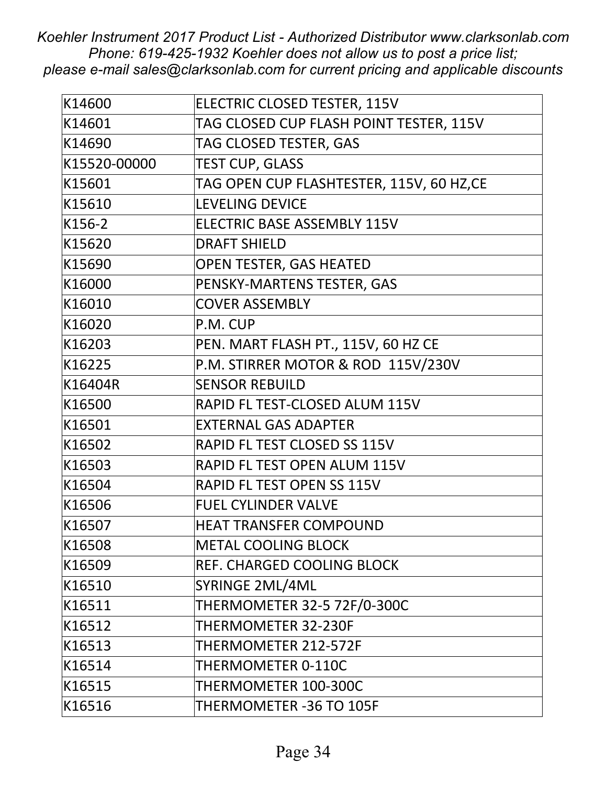| K14600       | ELECTRIC CLOSED TESTER, 115V             |
|--------------|------------------------------------------|
| K14601       | TAG CLOSED CUP FLASH POINT TESTER, 115V  |
| K14690       | TAG CLOSED TESTER, GAS                   |
| K15520-00000 | <b>TEST CUP, GLASS</b>                   |
| K15601       | TAG OPEN CUP FLASHTESTER, 115V, 60 HZ,CE |
| K15610       | <b>LEVELING DEVICE</b>                   |
| K156-2       | ELECTRIC BASE ASSEMBLY 115V              |
| K15620       | <b>DRAFT SHIELD</b>                      |
| K15690       | <b>OPEN TESTER, GAS HEATED</b>           |
| K16000       | PENSKY-MARTENS TESTER, GAS               |
| K16010       | <b>COVER ASSEMBLY</b>                    |
| K16020       | P.M. CUP                                 |
| K16203       | PEN. MART FLASH PT., 115V, 60 HZ CE      |
| K16225       | P.M. STIRRER MOTOR & ROD 115V/230V       |
| K16404R      | <b>SENSOR REBUILD</b>                    |
| K16500       | RAPID FL TEST-CLOSED ALUM 115V           |
| K16501       | <b>EXTERNAL GAS ADAPTER</b>              |
| K16502       | <b>RAPID FL TEST CLOSED SS 115V</b>      |
| K16503       | RAPID FL TEST OPEN ALUM 115V             |
| K16504       | RAPID FL TEST OPEN SS 115V               |
| K16506       | <b>FUEL CYLINDER VALVE</b>               |
| K16507       | <b>HEAT TRANSFER COMPOUND</b>            |
| K16508       | <b>METAL COOLING BLOCK</b>               |
| K16509       | REF. CHARGED COOLING BLOCK               |
| K16510       | SYRINGE 2ML/4ML                          |
| K16511       | THERMOMETER 32-5 72F/0-300C              |
| K16512       | THERMOMETER 32-230F                      |
| K16513       | THERMOMETER 212-572F                     |
| K16514       | THERMOMETER 0-110C                       |
| K16515       | THERMOMETER 100-300C                     |
| K16516       | THERMOMETER -36 TO 105F                  |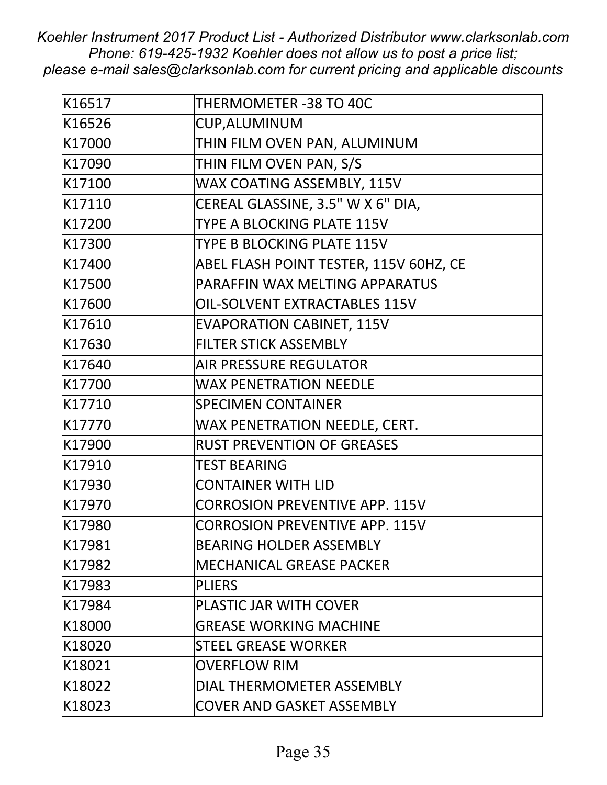| K16517 | THERMOMETER -38 TO 40C                 |
|--------|----------------------------------------|
| K16526 | <b>CUP, ALUMINUM</b>                   |
| K17000 | THIN FILM OVEN PAN, ALUMINUM           |
| K17090 | THIN FILM OVEN PAN, S/S                |
| K17100 | WAX COATING ASSEMBLY, 115V             |
| K17110 | CEREAL GLASSINE, 3.5" W X 6" DIA,      |
| K17200 | TYPE A BLOCKING PLATE 115V             |
| K17300 | TYPE B BLOCKING PLATE 115V             |
| K17400 | ABEL FLASH POINT TESTER, 115V 60HZ, CE |
| K17500 | PARAFFIN WAX MELTING APPARATUS         |
| K17600 | <b>OIL-SOLVENT EXTRACTABLES 115V</b>   |
| K17610 | <b>EVAPORATION CABINET, 115V</b>       |
| K17630 | <b>FILTER STICK ASSEMBLY</b>           |
| K17640 | <b>AIR PRESSURE REGULATOR</b>          |
| K17700 | <b>WAX PENETRATION NEEDLE</b>          |
| K17710 | <b>SPECIMEN CONTAINER</b>              |
| K17770 | WAX PENETRATION NEEDLE, CERT.          |
| K17900 | <b>RUST PREVENTION OF GREASES</b>      |
| K17910 | <b>TEST BEARING</b>                    |
| K17930 | <b>CONTAINER WITH LID</b>              |
| K17970 | <b>CORROSION PREVENTIVE APP. 115V</b>  |
| K17980 | <b>CORROSION PREVENTIVE APP. 115V</b>  |
| K17981 | <b>BEARING HOLDER ASSEMBLY</b>         |
| K17982 | <b>MECHANICAL GREASE PACKER</b>        |
| K17983 | <b>PLIERS</b>                          |
| K17984 | <b>PLASTIC JAR WITH COVER</b>          |
| K18000 | <b>GREASE WORKING MACHINE</b>          |
| K18020 | <b>STEEL GREASE WORKER</b>             |
| K18021 | <b>OVERFLOW RIM</b>                    |
| K18022 | DIAL THERMOMETER ASSEMBLY              |
| K18023 | <b>COVER AND GASKET ASSEMBLY</b>       |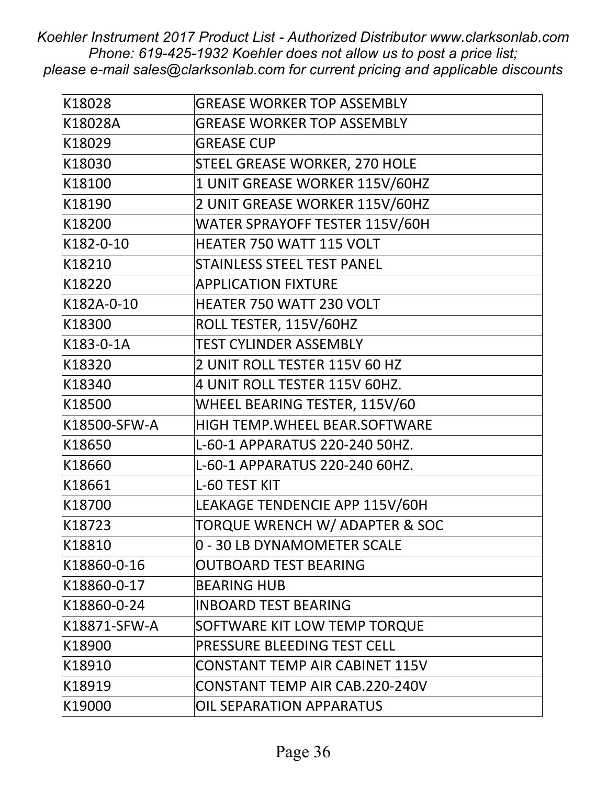| K18028       | <b>GREASE WORKER TOP ASSEMBLY</b>     |
|--------------|---------------------------------------|
| K18028A      | <b>GREASE WORKER TOP ASSEMBLY</b>     |
| K18029       | <b>GREASE CUP</b>                     |
| K18030       | STEEL GREASE WORKER, 270 HOLE         |
| K18100       | 1 UNIT GREASE WORKER 115V/60HZ        |
| K18190       | 2 UNIT GREASE WORKER 115V/60HZ        |
| K18200       | WATER SPRAYOFF TESTER 115V/60H        |
| K182-0-10    | HEATER 750 WATT 115 VOLT              |
| K18210       | <b>STAINLESS STEEL TEST PANEL</b>     |
| K18220       | <b>APPLICATION FIXTURE</b>            |
| K182A-0-10   | HEATER 750 WATT 230 VOLT              |
| K18300       | ROLL TESTER, 115V/60HZ                |
| K183-0-1A    | <b>TEST CYLINDER ASSEMBLY</b>         |
| K18320       | 2 UNIT ROLL TESTER 115V 60 HZ         |
| K18340       | 4 UNIT ROLL TESTER 115V 60HZ.         |
| K18500       | WHEEL BEARING TESTER, 115V/60         |
| K18500-SFW-A | HIGH TEMP. WHEEL BEAR. SOFTWARE       |
| K18650       | L-60-1 APPARATUS 220-240 50HZ.        |
| K18660       | L-60-1 APPARATUS 220-240 60HZ.        |
| K18661       | L-60 TEST KIT                         |
| K18700       | LEAKAGE TENDENCIE APP 115V/60H        |
| K18723       | TORQUE WRENCH W/ ADAPTER & SOC        |
| K18810       | 0 - 30 LB DYNAMOMETER SCALE           |
| K18860-0-16  | <b>OUTBOARD TEST BEARING</b>          |
| K18860-0-17  | <b>BEARING HUB</b>                    |
| K18860-0-24  | <b>INBOARD TEST BEARING</b>           |
| K18871-SFW-A | SOFTWARE KIT LOW TEMP TORQUE          |
| K18900       | PRESSURE BLEEDING TEST CELL           |
| K18910       | <b>CONSTANT TEMP AIR CABINET 115V</b> |
| K18919       | <b>CONSTANT TEMP AIR CAB.220-240V</b> |
| K19000       | <b>OIL SEPARATION APPARATUS</b>       |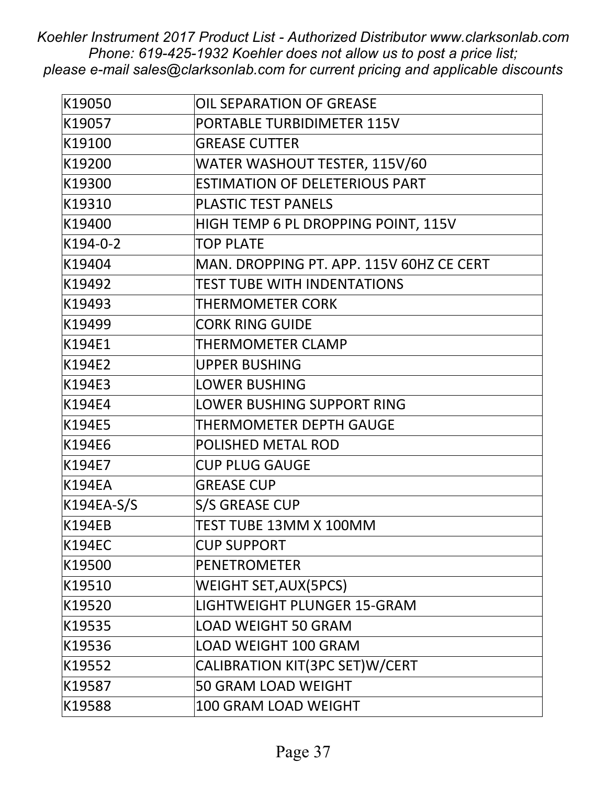| K19050        | OIL SEPARATION OF GREASE                 |
|---------------|------------------------------------------|
| K19057        | PORTABLE TURBIDIMETER 115V               |
| K19100        | <b>GREASE CUTTER</b>                     |
| K19200        | WATER WASHOUT TESTER, 115V/60            |
| K19300        | <b>ESTIMATION OF DELETERIOUS PART</b>    |
| K19310        | PLASTIC TEST PANELS                      |
| K19400        | HIGH TEMP 6 PL DROPPING POINT, 115V      |
| K194-0-2      | <b>TOP PLATE</b>                         |
| K19404        | MAN. DROPPING PT. APP. 115V 60HZ CE CERT |
| K19492        | <b>TEST TUBE WITH INDENTATIONS</b>       |
| K19493        | <b>THERMOMETER CORK</b>                  |
| K19499        | <b>CORK RING GUIDE</b>                   |
| K194E1        | THERMOMETER CLAMP                        |
| K194E2        | <b>UPPER BUSHING</b>                     |
| K194E3        | <b>LOWER BUSHING</b>                     |
| K194E4        | <b>LOWER BUSHING SUPPORT RING</b>        |
| K194E5        | THERMOMETER DEPTH GAUGE                  |
| K194E6        | POLISHED METAL ROD                       |
| K194E7        | <b>CUP PLUG GAUGE</b>                    |
| <b>K194EA</b> | <b>GREASE CUP</b>                        |
| K194EA-S/S    | S/S GREASE CUP                           |
| <b>K194EB</b> | TEST TUBE 13MM X 100MM                   |
| <b>K194EC</b> | <b>CUP SUPPORT</b>                       |
| K19500        | <b>PENETROMETER</b>                      |
| K19510        | <b>WEIGHT SET, AUX (5PCS)</b>            |
| K19520        | LIGHTWEIGHT PLUNGER 15-GRAM              |
| K19535        | <b>LOAD WEIGHT 50 GRAM</b>               |
| K19536        | <b>LOAD WEIGHT 100 GRAM</b>              |
| K19552        | CALIBRATION KIT(3PC SET)W/CERT           |
| K19587        | 50 GRAM LOAD WEIGHT                      |
| K19588        | 100 GRAM LOAD WEIGHT                     |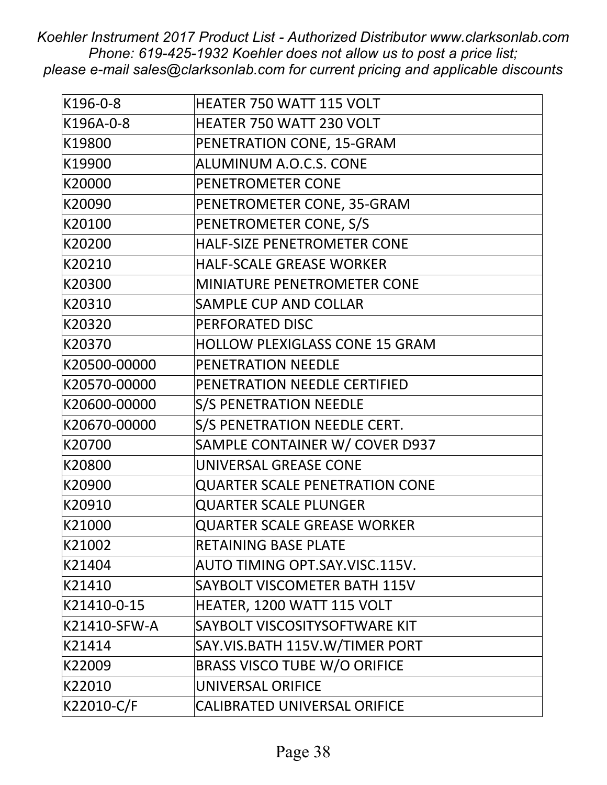| K196-0-8     | <b>HEATER 750 WATT 115 VOLT</b>       |
|--------------|---------------------------------------|
| K196A-0-8    | HEATER 750 WATT 230 VOLT              |
| K19800       | PENETRATION CONE, 15-GRAM             |
| K19900       | <b>ALUMINUM A.O.C.S. CONE</b>         |
| K20000       | PENETROMETER CONE                     |
| K20090       | PENETROMETER CONE, 35-GRAM            |
| K20100       | PENETROMETER CONE, S/S                |
| K20200       | HALF-SIZE PENETROMETER CONE           |
| K20210       | <b>HALF-SCALE GREASE WORKER</b>       |
| K20300       | MINIATURE PENETROMETER CONE           |
| K20310       | <b>SAMPLE CUP AND COLLAR</b>          |
| K20320       | PERFORATED DISC                       |
| K20370       | <b>HOLLOW PLEXIGLASS CONE 15 GRAM</b> |
| K20500-00000 | PENETRATION NEEDLE                    |
| K20570-00000 | PENETRATION NEEDLE CERTIFIED          |
| K20600-00000 | <b>S/S PENETRATION NEEDLE</b>         |
| K20670-00000 | S/S PENETRATION NEEDLE CERT.          |
| K20700       | SAMPLE CONTAINER W/ COVER D937        |
| K20800       | UNIVERSAL GREASE CONE                 |
| K20900       | <b>QUARTER SCALE PENETRATION CONE</b> |
| K20910       | <b>QUARTER SCALE PLUNGER</b>          |
| K21000       | <b>QUARTER SCALE GREASE WORKER</b>    |
| K21002       | <b>RETAINING BASE PLATE</b>           |
| K21404       | AUTO TIMING OPT.SAY.VISC.115V.        |
| K21410       | SAYBOLT VISCOMETER BATH 115V          |
| K21410-0-15  | HEATER, 1200 WATT 115 VOLT            |
| K21410-SFW-A | SAYBOLT VISCOSITYSOFTWARE KIT         |
| K21414       | SAY.VIS.BATH 115V.W/TIMER PORT        |
| K22009       | <b>BRASS VISCO TUBE W/O ORIFICE</b>   |
| K22010       | UNIVERSAL ORIFICE                     |
| K22010-C/F   | <b>CALIBRATED UNIVERSAL ORIFICE</b>   |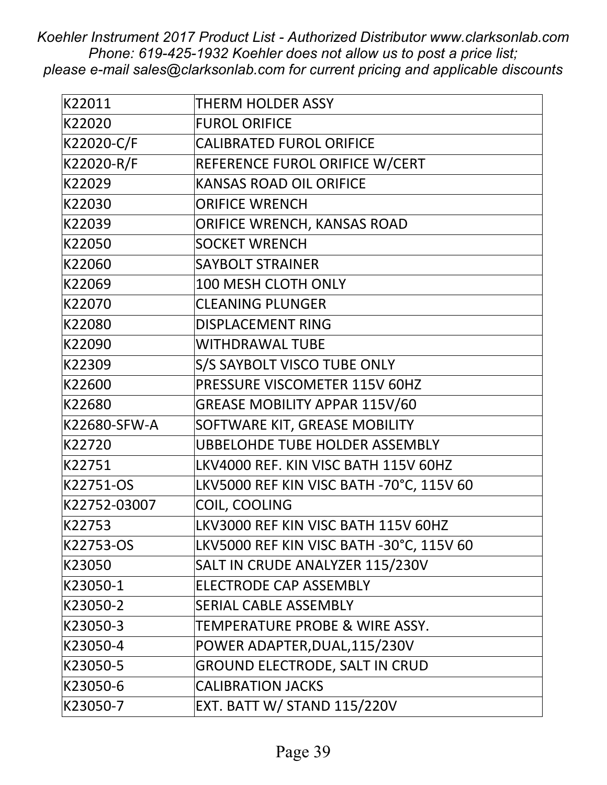| K22011       | THERM HOLDER ASSY                        |
|--------------|------------------------------------------|
| K22020       | <b>FUROL ORIFICE</b>                     |
| K22020-C/F   | <b>CALIBRATED FUROL ORIFICE</b>          |
| K22020-R/F   | REFERENCE FUROL ORIFICE W/CERT           |
| K22029       | <b>KANSAS ROAD OIL ORIFICE</b>           |
| K22030       | <b>ORIFICE WRENCH</b>                    |
| K22039       | ORIFICE WRENCH, KANSAS ROAD              |
| K22050       | <b>SOCKET WRENCH</b>                     |
| K22060       | <b>SAYBOLT STRAINER</b>                  |
| K22069       | <b>100 MESH CLOTH ONLY</b>               |
| K22070       | <b>CLEANING PLUNGER</b>                  |
| K22080       | <b>DISPLACEMENT RING</b>                 |
| K22090       | <b>WITHDRAWAL TUBE</b>                   |
| K22309       | S/S SAYBOLT VISCO TUBE ONLY              |
| K22600       | PRESSURE VISCOMETER 115V 60HZ            |
| K22680       | <b>GREASE MOBILITY APPAR 115V/60</b>     |
| K22680-SFW-A | SOFTWARE KIT, GREASE MOBILITY            |
| K22720       | <b>UBBELOHDE TUBE HOLDER ASSEMBLY</b>    |
| K22751       | LKV4000 REF. KIN VISC BATH 115V 60HZ     |
| K22751-OS    | LKV5000 REF KIN VISC BATH -70°C, 115V 60 |
| K22752-03007 | COIL, COOLING                            |
| K22753       | LKV3000 REF KIN VISC BATH 115V 60HZ      |
| K22753-OS    | LKV5000 REF KIN VISC BATH -30°C, 115V 60 |
| K23050       | SALT IN CRUDE ANALYZER 115/230V          |
| K23050-1     | <b>ELECTRODE CAP ASSEMBLY</b>            |
| K23050-2     | SERIAL CABLE ASSEMBLY                    |
| K23050-3     | TEMPERATURE PROBE & WIRE ASSY.           |
| K23050-4     | POWER ADAPTER, DUAL, 115/230V            |
| K23050-5     | <b>GROUND ELECTRODE, SALT IN CRUD</b>    |
| K23050-6     | <b>CALIBRATION JACKS</b>                 |
| K23050-7     | EXT. BATT W/ STAND 115/220V              |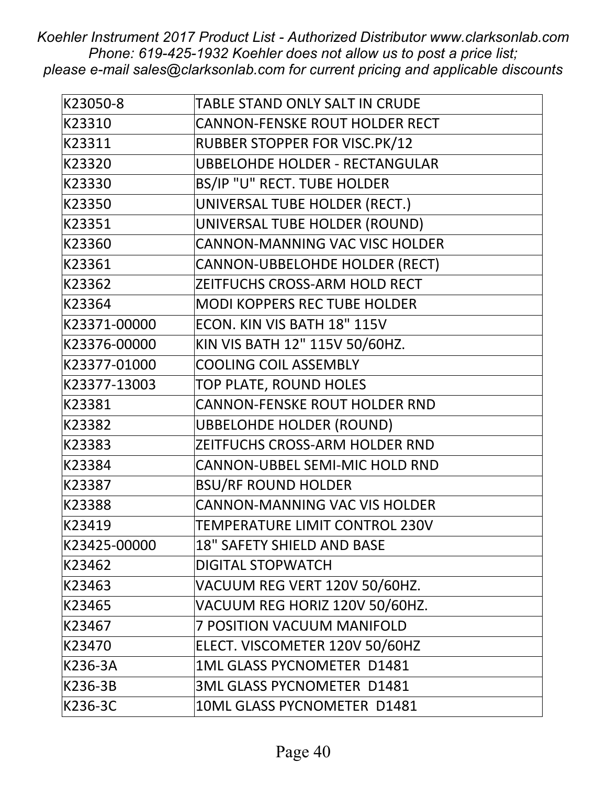| K23050-8     | TABLE STAND ONLY SALT IN CRUDE        |
|--------------|---------------------------------------|
| K23310       | <b>CANNON-FENSKE ROUT HOLDER RECT</b> |
| K23311       | <b>RUBBER STOPPER FOR VISC.PK/12</b>  |
| K23320       | <b>UBBELOHDE HOLDER - RECTANGULAR</b> |
| K23330       | BS/IP "U" RECT. TUBE HOLDER           |
| K23350       | UNIVERSAL TUBE HOLDER (RECT.)         |
| K23351       | UNIVERSAL TUBE HOLDER (ROUND)         |
| K23360       | CANNON-MANNING VAC VISC HOLDER        |
| K23361       | CANNON-UBBELOHDE HOLDER (RECT)        |
| K23362       | ZEITFUCHS CROSS-ARM HOLD RECT         |
| K23364       | <b>MODI KOPPERS REC TUBE HOLDER</b>   |
| K23371-00000 | ECON. KIN VIS BATH 18" 115V           |
| K23376-00000 | KIN VIS BATH 12" 115V 50/60HZ.        |
| K23377-01000 | <b>COOLING COIL ASSEMBLY</b>          |
| K23377-13003 | TOP PLATE, ROUND HOLES                |
| K23381       | <b>CANNON-FENSKE ROUT HOLDER RND</b>  |
| K23382       | <b>UBBELOHDE HOLDER (ROUND)</b>       |
| K23383       | ZEITFUCHS CROSS-ARM HOLDER RND        |
| K23384       | CANNON-UBBEL SEMI-MIC HOLD RND        |
| K23387       | <b>BSU/RF ROUND HOLDER</b>            |
| K23388       | <b>CANNON-MANNING VAC VIS HOLDER</b>  |
| K23419       | TEMPERATURE LIMIT CONTROL 230V        |
| K23425-00000 | 18" SAFETY SHIELD AND BASE            |
| K23462       | <b>DIGITAL STOPWATCH</b>              |
| K23463       | VACUUM REG VERT 120V 50/60HZ.         |
| K23465       | VACUUM REG HORIZ 120V 50/60HZ.        |
| K23467       | 7 POSITION VACUUM MANIFOLD            |
| K23470       | ELECT. VISCOMETER 120V 50/60HZ        |
| K236-3A      | 1ML GLASS PYCNOMETER D1481            |
| K236-3B      | 3ML GLASS PYCNOMETER D1481            |
| K236-3C      | 10ML GLASS PYCNOMETER D1481           |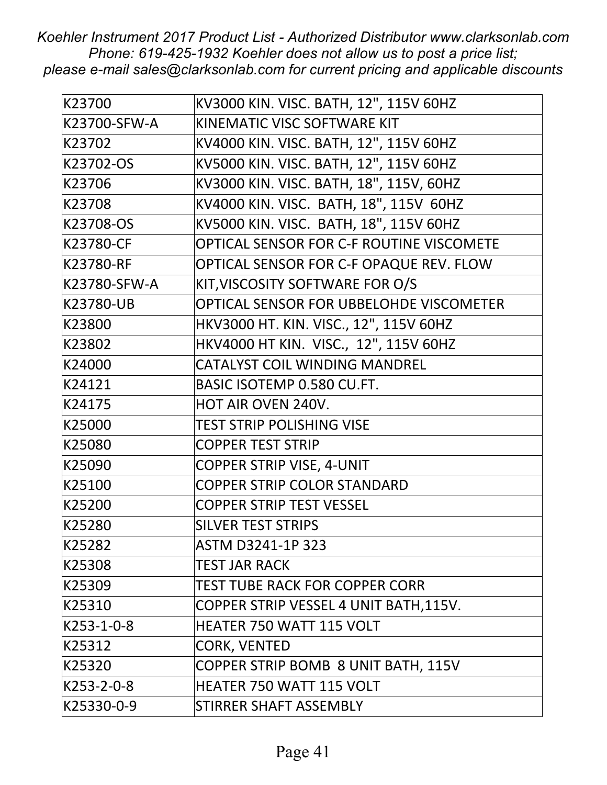| K23700       | KV3000 KIN. VISC. BATH, 12", 115V 60HZ   |
|--------------|------------------------------------------|
| K23700-SFW-A | KINEMATIC VISC SOFTWARE KIT              |
| K23702       | KV4000 KIN. VISC. BATH, 12", 115V 60HZ   |
| K23702-OS    | KV5000 KIN. VISC. BATH, 12", 115V 60HZ   |
| K23706       | KV3000 KIN. VISC. BATH, 18", 115V, 60HZ  |
| K23708       | KV4000 KIN. VISC. BATH, 18", 115V 60HZ   |
| K23708-OS    | KV5000 KIN. VISC. BATH, 18", 115V 60HZ   |
| K23780-CF    | OPTICAL SENSOR FOR C-F ROUTINE VISCOMETE |
| K23780-RF    | OPTICAL SENSOR FOR C-F OPAQUE REV. FLOW  |
| K23780-SFW-A | KIT, VISCOSITY SOFTWARE FOR O/S          |
| K23780-UB    | OPTICAL SENSOR FOR UBBELOHDE VISCOMETER  |
| K23800       | HKV3000 HT. KIN. VISC., 12", 115V 60HZ   |
| K23802       | HKV4000 HT KIN. VISC., 12", 115V 60HZ    |
| K24000       | <b>CATALYST COIL WINDING MANDREL</b>     |
| K24121       | <b>BASIC ISOTEMP 0.580 CU.FT.</b>        |
| K24175       | <b>HOT AIR OVEN 240V.</b>                |
| K25000       | <b>TEST STRIP POLISHING VISE</b>         |
| K25080       | <b>COPPER TEST STRIP</b>                 |
| K25090       | <b>COPPER STRIP VISE, 4-UNIT</b>         |
| K25100       | <b>COPPER STRIP COLOR STANDARD</b>       |
| K25200       | <b>COPPER STRIP TEST VESSEL</b>          |
| K25280       | <b>SILVER TEST STRIPS</b>                |
| K25282       | ASTM D3241-1P 323                        |
| K25308       | <b>TEST JAR RACK</b>                     |
| K25309       | <b>TEST TUBE RACK FOR COPPER CORR</b>    |
| K25310       | COPPER STRIP VESSEL 4 UNIT BATH, 115V.   |
| K253-1-0-8   | <b>HEATER 750 WATT 115 VOLT</b>          |
| K25312       | <b>CORK, VENTED</b>                      |
| K25320       | COPPER STRIP BOMB 8 UNIT BATH, 115V      |
| K253-2-0-8   | HEATER 750 WATT 115 VOLT                 |
| K25330-0-9   | STIRRER SHAFT ASSEMBLY                   |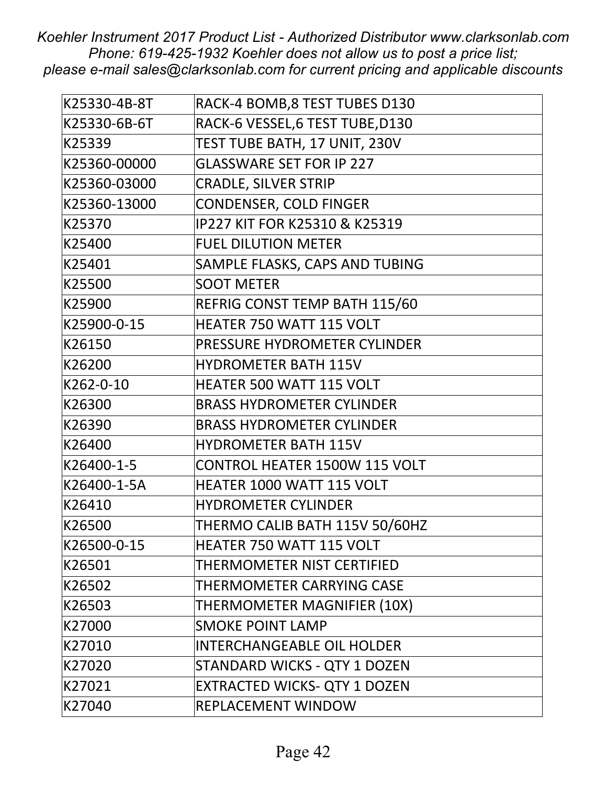| K25330-4B-8T | RACK-4 BOMB, 8 TEST TUBES D130       |
|--------------|--------------------------------------|
| K25330-6B-6T | RACK-6 VESSEL, 6 TEST TUBE, D130     |
| K25339       | TEST TUBE BATH, 17 UNIT, 230V        |
| K25360-00000 | <b>GLASSWARE SET FOR IP 227</b>      |
| K25360-03000 | <b>CRADLE, SILVER STRIP</b>          |
| K25360-13000 | <b>CONDENSER, COLD FINGER</b>        |
| K25370       | IP227 KIT FOR K25310 & K25319        |
| K25400       | <b>FUEL DILUTION METER</b>           |
| K25401       | SAMPLE FLASKS, CAPS AND TUBING       |
| K25500       | <b>SOOT METER</b>                    |
| K25900       | REFRIG CONST TEMP BATH 115/60        |
| K25900-0-15  | HEATER 750 WATT 115 VOLT             |
| K26150       | PRESSURE HYDROMETER CYLINDER         |
| K26200       | <b>HYDROMETER BATH 115V</b>          |
| K262-0-10    | <b>HEATER 500 WATT 115 VOLT</b>      |
| K26300       | <b>BRASS HYDROMETER CYLINDER</b>     |
| K26390       | <b>BRASS HYDROMETER CYLINDER</b>     |
| K26400       | <b>HYDROMETER BATH 115V</b>          |
| K26400-1-5   | <b>CONTROL HEATER 1500W 115 VOLT</b> |
| K26400-1-5A  | <b>HEATER 1000 WATT 115 VOLT</b>     |
| K26410       | <b>HYDROMETER CYLINDER</b>           |
| K26500       | THERMO CALIB BATH 115V 50/60HZ       |
| K26500-0-15  | HEATER 750 WATT 115 VOLT             |
| K26501       | THERMOMETER NIST CERTIFIED           |
| K26502       | THERMOMETER CARRYING CASE            |
| K26503       | THERMOMETER MAGNIFIER (10X)          |
| K27000       | <b>SMOKE POINT LAMP</b>              |
| K27010       | <b>INTERCHANGEABLE OIL HOLDER</b>    |
| K27020       | STANDARD WICKS - QTY 1 DOZEN         |
| K27021       | <b>EXTRACTED WICKS- QTY 1 DOZEN</b>  |
| K27040       | REPLACEMENT WINDOW                   |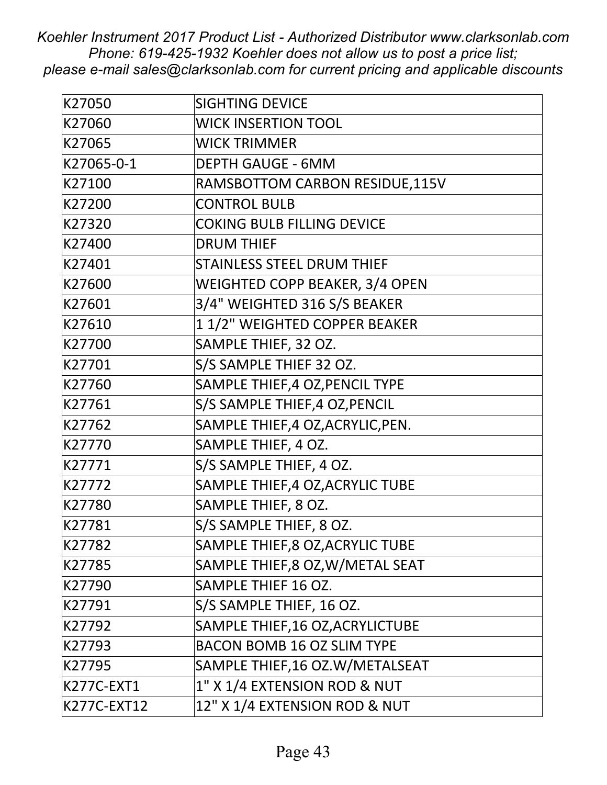| K27050      | <b>SIGHTING DEVICE</b>            |
|-------------|-----------------------------------|
| K27060      | <b>WICK INSERTION TOOL</b>        |
| K27065      | <b>WICK TRIMMER</b>               |
| K27065-0-1  | <b>DEPTH GAUGE - 6MM</b>          |
| K27100      | RAMSBOTTOM CARBON RESIDUE, 115V   |
| K27200      | <b>CONTROL BULB</b>               |
| K27320      | <b>COKING BULB FILLING DEVICE</b> |
| K27400      | <b>DRUM THIEF</b>                 |
| K27401      | <b>STAINLESS STEEL DRUM THIEF</b> |
| K27600      | WEIGHTED COPP BEAKER, 3/4 OPEN    |
| K27601      | 3/4" WEIGHTED 316 S/S BEAKER      |
| K27610      | 11/2" WEIGHTED COPPER BEAKER      |
| K27700      | SAMPLE THIEF, 32 OZ.              |
| K27701      | S/S SAMPLE THIEF 32 OZ.           |
| K27760      | SAMPLE THIEF, 4 OZ, PENCIL TYPE   |
| K27761      | S/S SAMPLE THIEF, 4 OZ, PENCIL    |
| K27762      | SAMPLE THIEF, 4 OZ, ACRYLIC, PEN. |
| K27770      | SAMPLE THIEF, 4 OZ.               |
| K27771      | S/S SAMPLE THIEF, 4 OZ.           |
| K27772      | SAMPLE THIEF, 4 OZ, ACRYLIC TUBE  |
| K27780      | SAMPLE THIEF, 8 OZ.               |
| K27781      | S/S SAMPLE THIEF, 8 OZ.           |
| K27782      | SAMPLE THIEF, 8 OZ, ACRYLIC TUBE  |
| K27785      | SAMPLE THIEF, 8 OZ, W/METAL SEAT  |
| K27790      | SAMPLE THIEF 16 OZ.               |
| K27791      | S/S SAMPLE THIEF, 16 OZ.          |
| K27792      | SAMPLE THIEF, 16 OZ, ACRYLICTUBE  |
| K27793      | <b>BACON BOMB 16 OZ SLIM TYPE</b> |
| K27795      | SAMPLE THIEF, 16 OZ.W/METALSEAT   |
| K277C-EXT1  | 1" X 1/4 EXTENSION ROD & NUT      |
| K277C-EXT12 | 12" X 1/4 EXTENSION ROD & NUT     |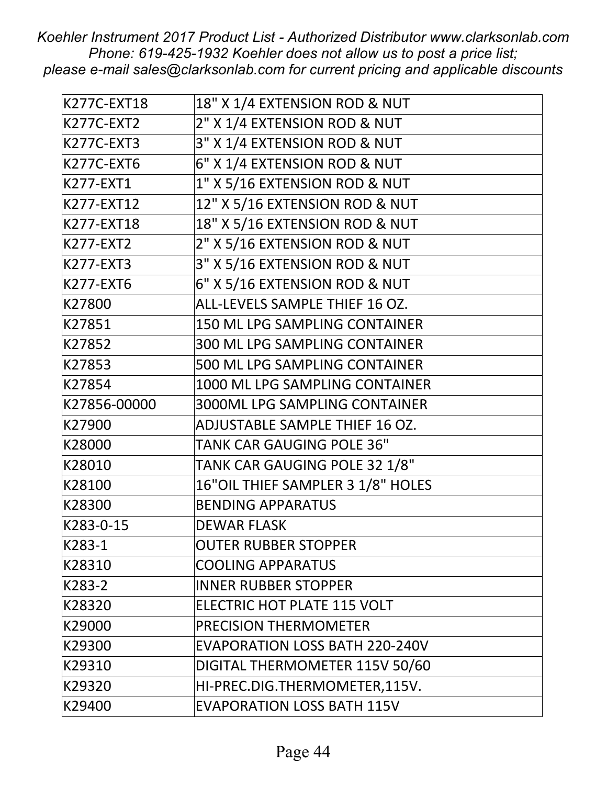| K277C-EXT18       | 18" X 1/4 EXTENSION ROD & NUT         |
|-------------------|---------------------------------------|
| <b>K277C-EXT2</b> | 2" X 1/4 EXTENSION ROD & NUT          |
| <b>K277C-EXT3</b> | 3" X 1/4 EXTENSION ROD & NUT          |
| <b>K277C-EXT6</b> | 6" X 1/4 EXTENSION ROD & NUT          |
| K277-EXT1         | 1" X 5/16 EXTENSION ROD & NUT         |
| K277-EXT12        | 12" X 5/16 EXTENSION ROD & NUT        |
| K277-EXT18        | 18" X 5/16 EXTENSION ROD & NUT        |
| K277-EXT2         | 2" X 5/16 EXTENSION ROD & NUT         |
| K277-EXT3         | 3" X 5/16 EXTENSION ROD & NUT         |
| K277-EXT6         | 6" X 5/16 EXTENSION ROD & NUT         |
| K27800            | ALL-LEVELS SAMPLE THIEF 16 OZ.        |
| K27851            | 150 ML LPG SAMPLING CONTAINER         |
| K27852            | 300 ML LPG SAMPLING CONTAINER         |
| K27853            | 500 ML LPG SAMPLING CONTAINER         |
| K27854            | 1000 ML LPG SAMPLING CONTAINER        |
| K27856-00000      | <b>3000ML LPG SAMPLING CONTAINER</b>  |
| K27900            | ADJUSTABLE SAMPLE THIEF 16 OZ.        |
| K28000            | <b>TANK CAR GAUGING POLE 36"</b>      |
| K28010            | TANK CAR GAUGING POLE 32 1/8"         |
| K28100            | 16"OIL THIEF SAMPLER 3 1/8" HOLES     |
| K28300            | <b>BENDING APPARATUS</b>              |
| K283-0-15         | <b>DEWAR FLASK</b>                    |
| K283-1            | <b>OUTER RUBBER STOPPER</b>           |
| K28310            | <b>COOLING APPARATUS</b>              |
| K283-2            | <b>INNER RUBBER STOPPER</b>           |
| K28320            | ELECTRIC HOT PLATE 115 VOLT           |
| K29000            | <b>PRECISION THERMOMETER</b>          |
| K29300            | <b>EVAPORATION LOSS BATH 220-240V</b> |
| K29310            | DIGITAL THERMOMETER 115V 50/60        |
| K29320            | HI-PREC.DIG.THERMOMETER,115V.         |
| K29400            | <b>EVAPORATION LOSS BATH 115V</b>     |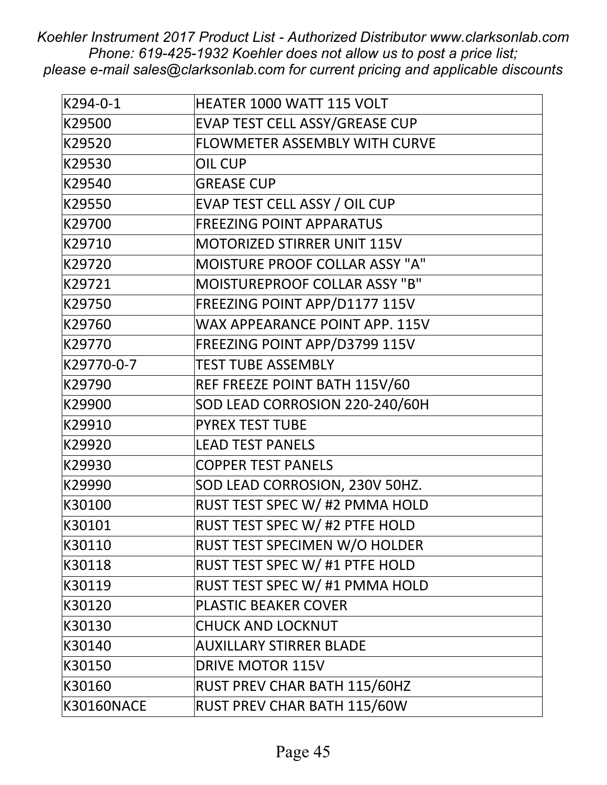| K294-0-1          | <b>HEATER 1000 WATT 115 VOLT</b>      |
|-------------------|---------------------------------------|
| K29500            | EVAP TEST CELL ASSY/GREASE CUP        |
| K29520            | FLOWMETER ASSEMBLY WITH CURVE         |
| K29530            | <b>OIL CUP</b>                        |
| K29540            | <b>GREASE CUP</b>                     |
| K29550            | EVAP TEST CELL ASSY / OIL CUP         |
| K29700            | <b>FREEZING POINT APPARATUS</b>       |
| K29710            | <b>MOTORIZED STIRRER UNIT 115V</b>    |
| K29720            | <b>MOISTURE PROOF COLLAR ASSY "A"</b> |
| K29721            | <b>MOISTUREPROOF COLLAR ASSY "B"</b>  |
| K29750            | FREEZING POINT APP/D1177 115V         |
| K29760            | WAX APPEARANCE POINT APP. 115V        |
| K29770            | FREEZING POINT APP/D3799 115V         |
| K29770-0-7        | <b>TEST TUBE ASSEMBLY</b>             |
| K29790            | REF FREEZE POINT BATH 115V/60         |
| K29900            | SOD LEAD CORROSION 220-240/60H        |
| K29910            | <b>PYREX TEST TUBE</b>                |
| K29920            | <b>LEAD TEST PANELS</b>               |
| K29930            | <b>COPPER TEST PANELS</b>             |
| K29990            | SOD LEAD CORROSION, 230V 50HZ.        |
| K30100            | RUST TEST SPEC W/ #2 PMMA HOLD        |
| K30101            | RUST TEST SPEC W/ #2 PTFE HOLD        |
| K30110            | RUST TEST SPECIMEN W/O HOLDER         |
| K30118            | RUST TEST SPEC W/ #1 PTFE HOLD        |
| K30119            | RUST TEST SPEC W/ #1 PMMA HOLD        |
| K30120            | <b>PLASTIC BEAKER COVER</b>           |
| K30130            | <b>CHUCK AND LOCKNUT</b>              |
| K30140            | <b>AUXILLARY STIRRER BLADE</b>        |
| K30150            | <b>DRIVE MOTOR 115V</b>               |
| K30160            | RUST PREV CHAR BATH 115/60HZ          |
| <b>K30160NACE</b> | RUST PREV CHAR BATH 115/60W           |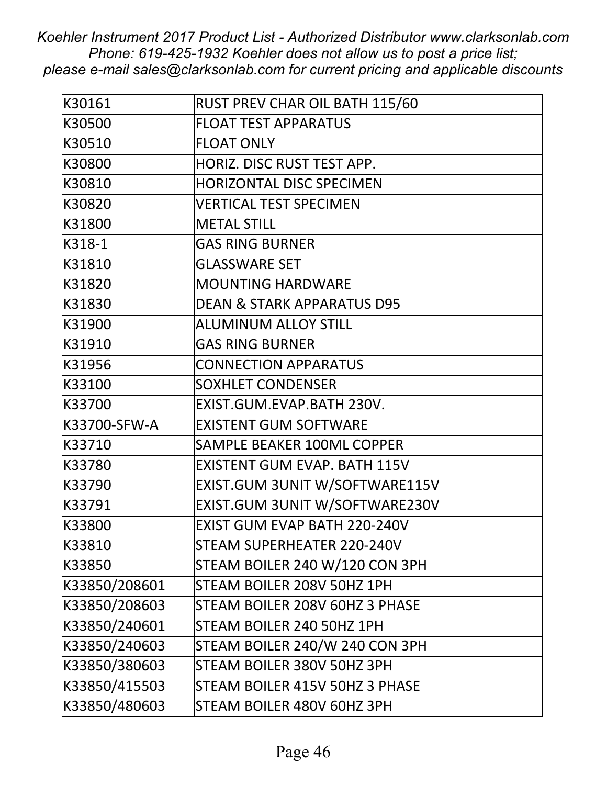| K30161        | RUST PREV CHAR OIL BATH 115/60        |
|---------------|---------------------------------------|
| K30500        | <b>FLOAT TEST APPARATUS</b>           |
| K30510        | <b>FLOAT ONLY</b>                     |
| K30800        | HORIZ. DISC RUST TEST APP.            |
| K30810        | <b>HORIZONTAL DISC SPECIMEN</b>       |
| K30820        | <b>VERTICAL TEST SPECIMEN</b>         |
| K31800        | <b>METAL STILL</b>                    |
| K318-1        | <b>GAS RING BURNER</b>                |
| K31810        | <b>GLASSWARE SET</b>                  |
| K31820        | <b>MOUNTING HARDWARE</b>              |
| K31830        | <b>DEAN &amp; STARK APPARATUS D95</b> |
| K31900        | <b>ALUMINUM ALLOY STILL</b>           |
| K31910        | <b>GAS RING BURNER</b>                |
| K31956        | <b>CONNECTION APPARATUS</b>           |
| K33100        | <b>SOXHLET CONDENSER</b>              |
| K33700        | EXIST.GUM.EVAP.BATH 230V.             |
| K33700-SFW-A  | <b>EXISTENT GUM SOFTWARE</b>          |
| K33710        | <b>SAMPLE BEAKER 100ML COPPER</b>     |
| K33780        | EXISTENT GUM EVAP. BATH 115V          |
| K33790        | EXIST.GUM 3UNIT W/SOFTWARE115V        |
| K33791        | EXIST.GUM 3UNIT W/SOFTWARE230V        |
| K33800        | <b>EXIST GUM EVAP BATH 220-240V</b>   |
| K33810        | STEAM SUPERHEATER 220-240V            |
| K33850        | STEAM BOILER 240 W/120 CON 3PH        |
| K33850/208601 | STEAM BOILER 208V 50HZ 1PH            |
| K33850/208603 | STEAM BOILER 208V 60HZ 3 PHASE        |
| K33850/240601 | STEAM BOILER 240 50HZ 1PH             |
| K33850/240603 | STEAM BOILER 240/W 240 CON 3PH        |
| K33850/380603 | STEAM BOILER 380V 50HZ 3PH            |
| K33850/415503 | STEAM BOILER 415V 50HZ 3 PHASE        |
| K33850/480603 | STEAM BOILER 480V 60HZ 3PH            |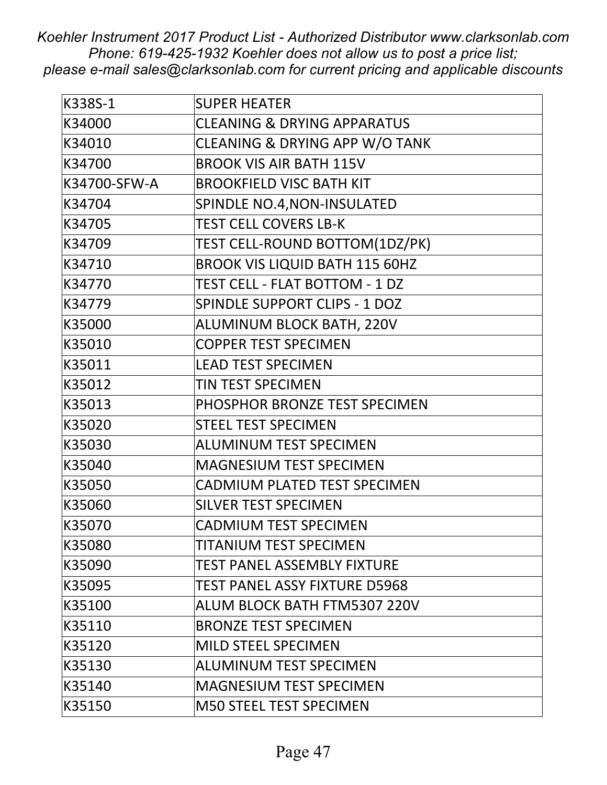| K338S-1      | <b>SUPER HEATER</b>                    |
|--------------|----------------------------------------|
| K34000       | <b>CLEANING &amp; DRYING APPARATUS</b> |
| K34010       | CLEANING & DRYING APP W/O TANK         |
| K34700       | <b>BROOK VIS AIR BATH 115V</b>         |
| K34700-SFW-A | <b>BROOKFIELD VISC BATH KIT</b>        |
| K34704       | SPINDLE NO.4, NON-INSULATED            |
| K34705       | <b>TEST CELL COVERS LB-K</b>           |
| K34709       | TEST CELL-ROUND BOTTOM(1DZ/PK)         |
| K34710       | <b>BROOK VIS LIQUID BATH 115 60HZ</b>  |
| K34770       | TEST CELL - FLAT BOTTOM - 1 DZ         |
| K34779       | <b>SPINDLE SUPPORT CLIPS - 1 DOZ</b>   |
| K35000       | ALUMINUM BLOCK BATH, 220V              |
| K35010       | <b>COPPER TEST SPECIMEN</b>            |
| K35011       | <b>LEAD TEST SPECIMEN</b>              |
| K35012       | TIN TEST SPECIMEN                      |
| K35013       | PHOSPHOR BRONZE TEST SPECIMEN          |
| K35020       | <b>STEEL TEST SPECIMEN</b>             |
| K35030       | <b>ALUMINUM TEST SPECIMEN</b>          |
| K35040       | <b>MAGNESIUM TEST SPECIMEN</b>         |
| K35050       | CADMIUM PLATED TEST SPECIMEN           |
| K35060       | <b>SILVER TEST SPECIMEN</b>            |
| K35070       | <b>CADMIUM TEST SPECIMEN</b>           |
| K35080       | TITANIUM TEST SPECIMEN                 |
| K35090       | <b>TEST PANEL ASSEMBLY FIXTURE</b>     |
| K35095       | <b>TEST PANEL ASSY FIXTURE D5968</b>   |
| K35100       | ALUM BLOCK BATH FTM5307 220V           |
| K35110       | <b>BRONZE TEST SPECIMEN</b>            |
| K35120       | <b>MILD STEEL SPECIMEN</b>             |
| K35130       | <b>ALUMINUM TEST SPECIMEN</b>          |
| K35140       | <b>MAGNESIUM TEST SPECIMEN</b>         |
| K35150       | <b>M50 STEEL TEST SPECIMEN</b>         |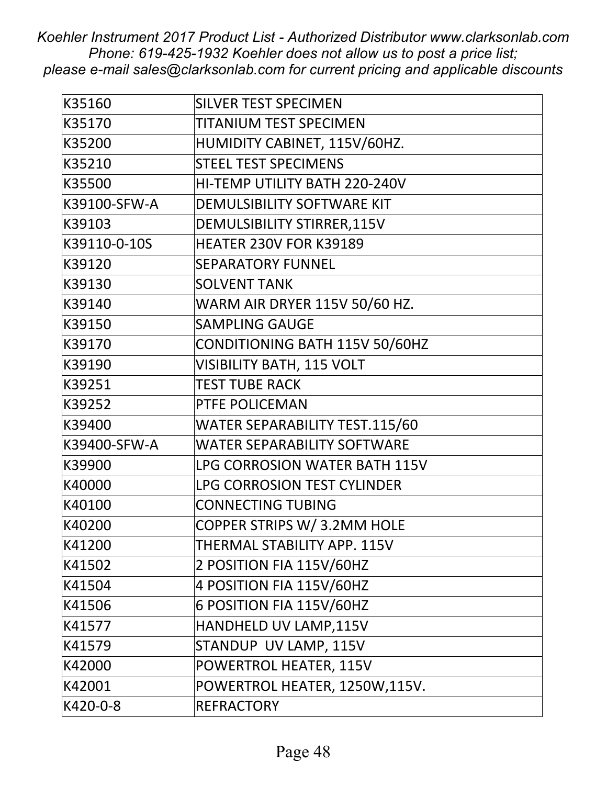| K35160       | <b>SILVER TEST SPECIMEN</b>          |
|--------------|--------------------------------------|
| K35170       | <b>TITANIUM TEST SPECIMEN</b>        |
| K35200       | HUMIDITY CABINET, 115V/60HZ.         |
| K35210       | <b>STEEL TEST SPECIMENS</b>          |
| K35500       | HI-TEMP UTILITY BATH 220-240V        |
| K39100-SFW-A | DEMULSIBILITY SOFTWARE KIT           |
| K39103       | <b>DEMULSIBILITY STIRRER, 115V</b>   |
| K39110-0-10S | <b>HEATER 230V FOR K39189</b>        |
| K39120       | <b>SEPARATORY FUNNEL</b>             |
| K39130       | <b>SOLVENT TANK</b>                  |
| K39140       | <b>WARM AIR DRYER 115V 50/60 HZ.</b> |
| K39150       | <b>SAMPLING GAUGE</b>                |
| K39170       | CONDITIONING BATH 115V 50/60HZ       |
| K39190       | <b>VISIBILITY BATH, 115 VOLT</b>     |
| K39251       | <b>TEST TUBE RACK</b>                |
| K39252       | PTFE POLICEMAN                       |
| K39400       | WATER SEPARABILITY TEST.115/60       |
| K39400-SFW-A | <b>WATER SEPARABILITY SOFTWARE</b>   |
| K39900       | LPG CORROSION WATER BATH 115V        |
| K40000       | LPG CORROSION TEST CYLINDER          |
| K40100       | <b>CONNECTING TUBING</b>             |
| K40200       | COPPER STRIPS W/ 3.2MM HOLE          |
| K41200       | THERMAL STABILITY APP. 115V          |
| K41502       | 2 POSITION FIA 115V/60HZ             |
| K41504       | 4 POSITION FIA 115V/60HZ             |
| K41506       | 6 POSITION FIA 115V/60HZ             |
| K41577       | HANDHELD UV LAMP, 115V               |
| K41579       | STANDUP UV LAMP, 115V                |
| K42000       | POWERTROL HEATER, 115V               |
| K42001       | POWERTROL HEATER, 1250W,115V.        |
| K420-0-8     | <b>REFRACTORY</b>                    |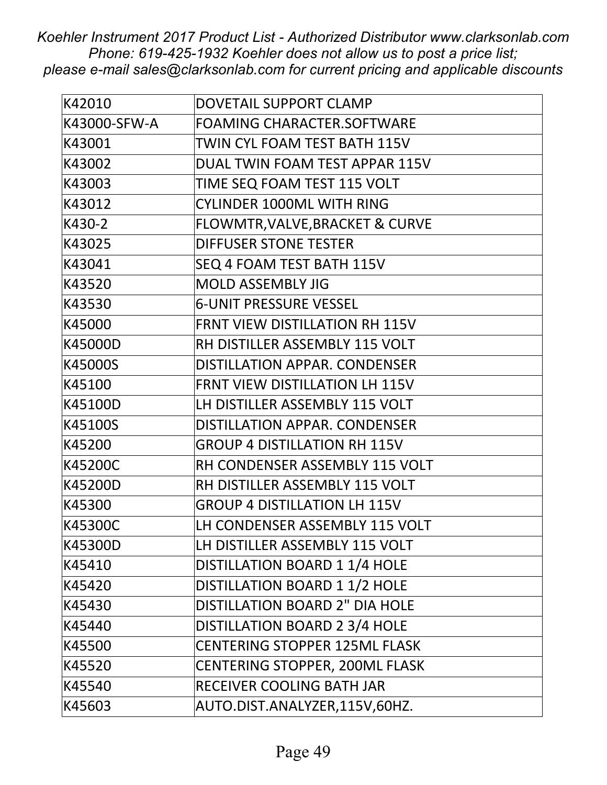| K42010       | DOVETAIL SUPPORT CLAMP                     |
|--------------|--------------------------------------------|
| K43000-SFW-A | <b>FOAMING CHARACTER.SOFTWARE</b>          |
| K43001       | TWIN CYL FOAM TEST BATH 115V               |
| K43002       | DUAL TWIN FOAM TEST APPAR 115V             |
| K43003       | TIME SEQ FOAM TEST 115 VOLT                |
| K43012       | <b>CYLINDER 1000ML WITH RING</b>           |
| K430-2       | <b>FLOWMTR, VALVE, BRACKET &amp; CURVE</b> |
| K43025       | <b>DIFFUSER STONE TESTER</b>               |
| K43041       | SEQ 4 FOAM TEST BATH 115V                  |
| K43520       | <b>MOLD ASSEMBLY JIG</b>                   |
| K43530       | <b>6-UNIT PRESSURE VESSEL</b>              |
| K45000       | <b>FRNT VIEW DISTILLATION RH 115V</b>      |
| K45000D      | RH DISTILLER ASSEMBLY 115 VOLT             |
| K45000S      | DISTILLATION APPAR. CONDENSER              |
| K45100       | <b>FRNT VIEW DISTILLATION LH 115V</b>      |
| K45100D      | LH DISTILLER ASSEMBLY 115 VOLT             |
| K45100S      | DISTILLATION APPAR. CONDENSER              |
| K45200       | <b>GROUP 4 DISTILLATION RH 115V</b>        |
| K45200C      | RH CONDENSER ASSEMBLY 115 VOLT             |
| K45200D      | RH DISTILLER ASSEMBLY 115 VOLT             |
| K45300       | <b>GROUP 4 DISTILLATION LH 115V</b>        |
| K45300C      | LH CONDENSER ASSEMBLY 115 VOLT             |
| K45300D      | LH DISTILLER ASSEMBLY 115 VOLT             |
| K45410       | DISTILLATION BOARD 1 1/4 HOLE              |
| K45420       | <b>DISTILLATION BOARD 1 1/2 HOLE</b>       |
| K45430       | <b>DISTILLATION BOARD 2" DIA HOLE</b>      |
| K45440       | DISTILLATION BOARD 2 3/4 HOLE              |
| K45500       | <b>CENTERING STOPPER 125ML FLASK</b>       |
| K45520       | CENTERING STOPPER, 200ML FLASK             |
| K45540       | RECEIVER COOLING BATH JAR                  |
| K45603       | AUTO.DIST.ANALYZER,115V,60HZ.              |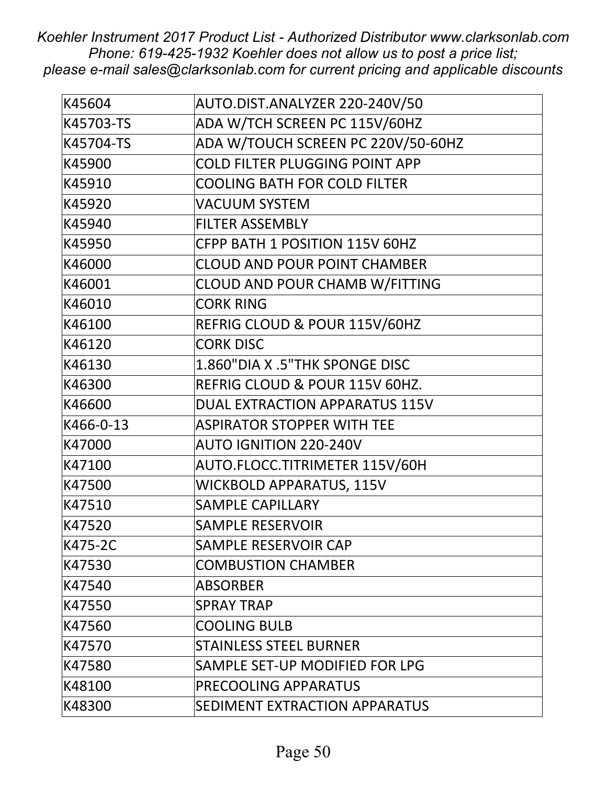| K45604    | AUTO.DIST.ANALYZER 220-240V/50        |
|-----------|---------------------------------------|
| K45703-TS | ADA W/TCH SCREEN PC 115V/60HZ         |
| K45704-TS | ADA W/TOUCH SCREEN PC 220V/50-60HZ    |
| K45900    | <b>COLD FILTER PLUGGING POINT APP</b> |
| K45910    | <b>COOLING BATH FOR COLD FILTER</b>   |
| K45920    | <b>VACUUM SYSTEM</b>                  |
| K45940    | <b>FILTER ASSEMBLY</b>                |
| K45950    | CFPP BATH 1 POSITION 115V 60HZ        |
| K46000    | <b>CLOUD AND POUR POINT CHAMBER</b>   |
| K46001    | CLOUD AND POUR CHAMB W/FITTING        |
| K46010    | <b>CORK RING</b>                      |
| K46100    | REFRIG CLOUD & POUR 115V/60HZ         |
| K46120    | <b>CORK DISC</b>                      |
| K46130    | 1.860"DIA X .5"THK SPONGE DISC        |
| K46300    | REFRIG CLOUD & POUR 115V 60HZ.        |
| K46600    | <b>DUAL EXTRACTION APPARATUS 115V</b> |
| K466-0-13 | <b>ASPIRATOR STOPPER WITH TEE</b>     |
| K47000    | <b>AUTO IGNITION 220-240V</b>         |
| K47100    | AUTO.FLOCC.TITRIMETER 115V/60H        |
| K47500    | <b>WICKBOLD APPARATUS, 115V</b>       |
| K47510    | <b>SAMPLE CAPILLARY</b>               |
| K47520    | <b>SAMPLE RESERVOIR</b>               |
| K475-2C   | SAMPLE RESERVOIR CAP                  |
| K47530    | <b>COMBUSTION CHAMBER</b>             |
| K47540    | <b>ABSORBER</b>                       |
| K47550    | <b>SPRAY TRAP</b>                     |
| K47560    | <b>COOLING BULB</b>                   |
| K47570    | <b>STAINLESS STEEL BURNER</b>         |
| K47580    | SAMPLE SET-UP MODIFIED FOR LPG        |
| K48100    | PRECOOLING APPARATUS                  |
| K48300    | SEDIMENT EXTRACTION APPARATUS         |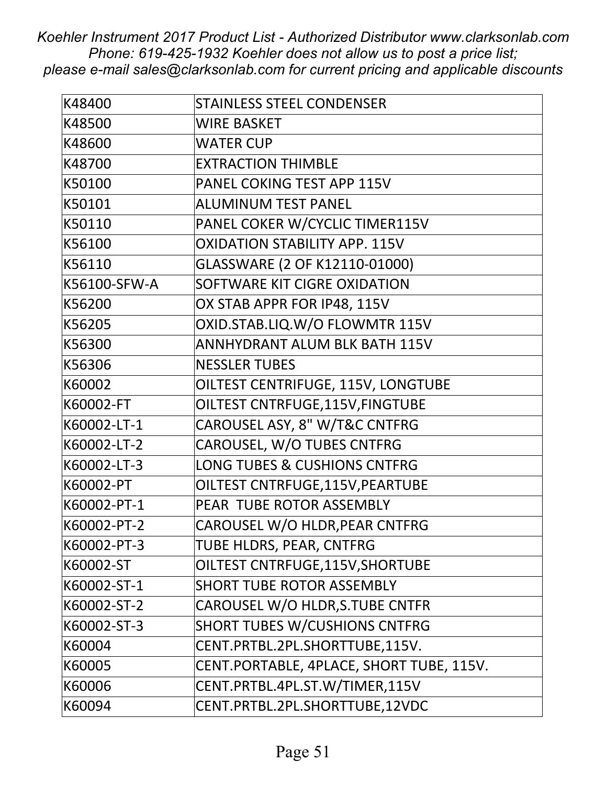| K48400       | <b>STAINLESS STEEL CONDENSER</b>         |
|--------------|------------------------------------------|
| K48500       | <b>WIRE BASKET</b>                       |
| K48600       | <b>WATER CUP</b>                         |
| K48700       | <b>EXTRACTION THIMBLE</b>                |
| K50100       | PANEL COKING TEST APP 115V               |
| K50101       | <b>ALUMINUM TEST PANEL</b>               |
| K50110       | PANEL COKER W/CYCLIC TIMER115V           |
| K56100       | <b>OXIDATION STABILITY APP. 115V</b>     |
| K56110       | GLASSWARE (2 OF K12110-01000)            |
| K56100-SFW-A | SOFTWARE KIT CIGRE OXIDATION             |
| K56200       | OX STAB APPR FOR IP48, 115V              |
| K56205       | OXID.STAB.LIQ.W/O FLOWMTR 115V           |
| K56300       | <b>ANNHYDRANT ALUM BLK BATH 115V</b>     |
| K56306       | <b>NESSLER TUBES</b>                     |
| K60002       | OILTEST CENTRIFUGE, 115V, LONGTUBE       |
| K60002-FT    | OILTEST CNTRFUGE, 115V, FINGTUBE         |
| K60002-LT-1  | CAROUSEL ASY, 8" W/T&C CNTFRG            |
| K60002-LT-2  | CAROUSEL, W/O TUBES CNTFRG               |
| K60002-LT-3  | <b>LONG TUBES &amp; CUSHIONS CNTFRG</b>  |
| K60002-PT    | OILTEST CNTRFUGE, 115V, PEARTUBE         |
| K60002-PT-1  | PEAR TUBE ROTOR ASSEMBLY                 |
| K60002-PT-2  | CAROUSEL W/O HLDR, PEAR CNTFRG           |
| K60002-PT-3  | TUBE HLDRS, PEAR, CNTFRG                 |
| K60002-ST    | OILTEST CNTRFUGE, 115V, SHORTUBE         |
| K60002-ST-1  | <b>SHORT TUBE ROTOR ASSEMBLY</b>         |
| K60002-ST-2  | CAROUSEL W/O HLDR, S. TUBE CNTFR         |
| K60002-ST-3  | <b>SHORT TUBES W/CUSHIONS CNTFRG</b>     |
| K60004       | CENT.PRTBL.2PL.SHORTTUBE,115V.           |
| K60005       | CENT.PORTABLE, 4PLACE, SHORT TUBE, 115V. |
| K60006       | CENT.PRTBL.4PL.ST.W/TIMER,115V           |
| K60094       | CENT.PRTBL.2PL.SHORTTUBE,12VDC           |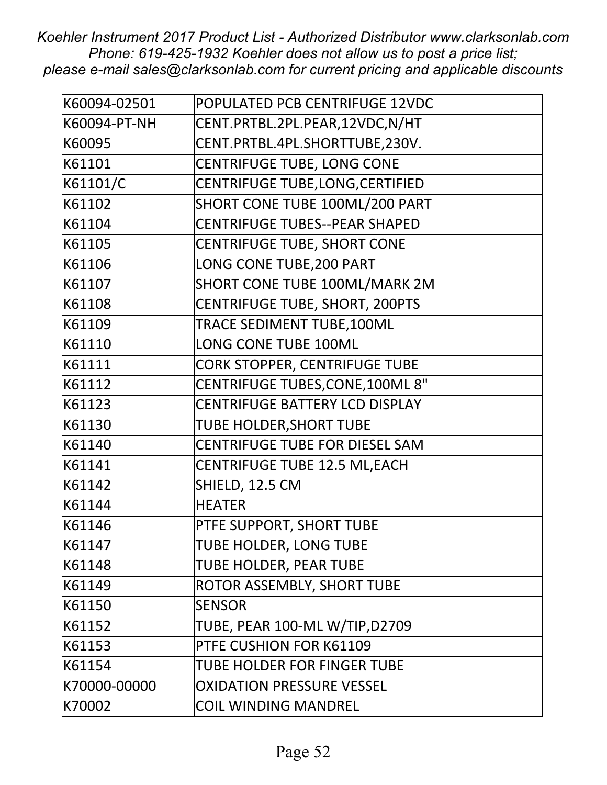| K60094-02501 | POPULATED PCB CENTRIFUGE 12VDC          |
|--------------|-----------------------------------------|
| K60094-PT-NH | CENT.PRTBL.2PL.PEAR,12VDC,N/HT          |
| K60095       | CENT.PRTBL.4PL.SHORTTUBE,230V.          |
| K61101       | <b>CENTRIFUGE TUBE, LONG CONE</b>       |
| K61101/C     | CENTRIFUGE TUBE, LONG, CERTIFIED        |
| K61102       | SHORT CONE TUBE 100ML/200 PART          |
| K61104       | <b>CENTRIFUGE TUBES--PEAR SHAPED</b>    |
| K61105       | <b>CENTRIFUGE TUBE, SHORT CONE</b>      |
| K61106       | LONG CONE TUBE, 200 PART                |
| K61107       | SHORT CONE TUBE 100ML/MARK 2M           |
| K61108       | <b>CENTRIFUGE TUBE, SHORT, 200PTS</b>   |
| K61109       | TRACE SEDIMENT TUBE, 100ML              |
| K61110       | <b>LONG CONE TUBE 100ML</b>             |
| K61111       | <b>CORK STOPPER, CENTRIFUGE TUBE</b>    |
| K61112       | <b>CENTRIFUGE TUBES, CONE, 100ML 8"</b> |
| K61123       | <b>CENTRIFUGE BATTERY LCD DISPLAY</b>   |
| K61130       | <b>TUBE HOLDER, SHORT TUBE</b>          |
| K61140       | CENTRIFUGE TUBE FOR DIESEL SAM          |
| K61141       | <b>CENTRIFUGE TUBE 12.5 ML, EACH</b>    |
| K61142       | SHIELD, 12.5 CM                         |
| K61144       | <b>HEATER</b>                           |
| K61146       | PTFE SUPPORT, SHORT TUBE                |
| K61147       | TUBE HOLDER, LONG TUBE                  |
| K61148       | TUBE HOLDER, PEAR TUBE                  |
| K61149       | ROTOR ASSEMBLY, SHORT TUBE              |
| K61150       | <b>SENSOR</b>                           |
| K61152       | TUBE, PEAR 100-ML W/TIP,D2709           |
| K61153       | PTFE CUSHION FOR K61109                 |
| K61154       | TUBE HOLDER FOR FINGER TUBE             |
| K70000-00000 | <b>OXIDATION PRESSURE VESSEL</b>        |
| K70002       | <b>COIL WINDING MANDREL</b>             |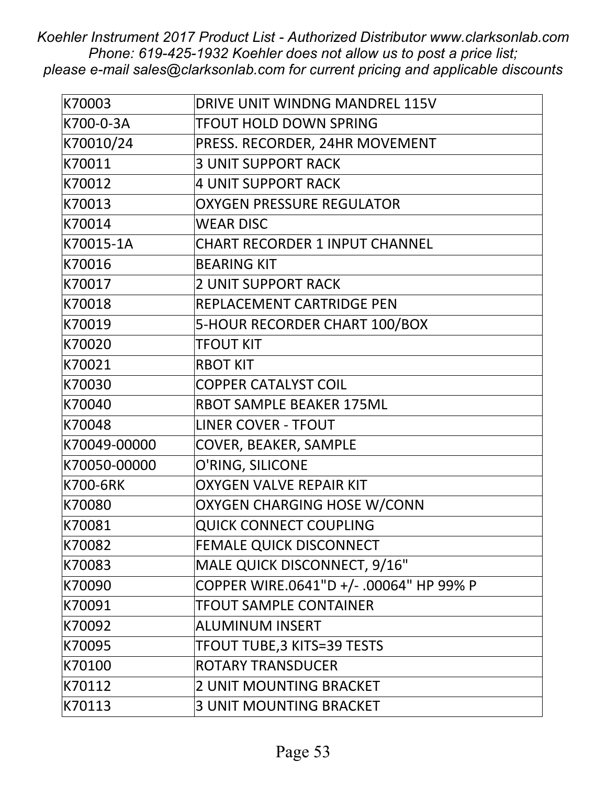| K70003       | DRIVE UNIT WINDNG MANDREL 115V          |
|--------------|-----------------------------------------|
| K700-0-3A    | <b>TFOUT HOLD DOWN SPRING</b>           |
| K70010/24    | PRESS. RECORDER, 24HR MOVEMENT          |
| K70011       | <b>3 UNIT SUPPORT RACK</b>              |
| K70012       | <b>4 UNIT SUPPORT RACK</b>              |
| K70013       | <b>OXYGEN PRESSURE REGULATOR</b>        |
| K70014       | <b>WEAR DISC</b>                        |
| K70015-1A    | <b>CHART RECORDER 1 INPUT CHANNEL</b>   |
| K70016       | <b>BEARING KIT</b>                      |
| K70017       | <b>2 UNIT SUPPORT RACK</b>              |
| K70018       | REPLACEMENT CARTRIDGE PEN               |
| K70019       | 5-HOUR RECORDER CHART 100/BOX           |
| K70020       | <b>TFOUT KIT</b>                        |
| K70021       | <b>RBOT KIT</b>                         |
| K70030       | <b>COPPER CATALYST COIL</b>             |
| K70040       | <b>RBOT SAMPLE BEAKER 175ML</b>         |
| K70048       | <b>LINER COVER - TFOUT</b>              |
| K70049-00000 | COVER, BEAKER, SAMPLE                   |
| K70050-00000 | O'RING, SILICONE                        |
| K700-6RK     | <b>OXYGEN VALVE REPAIR KIT</b>          |
| K70080       | <b>OXYGEN CHARGING HOSE W/CONN</b>      |
| K70081       | <b>QUICK CONNECT COUPLING</b>           |
| K70082       | <b>FEMALE QUICK DISCONNECT</b>          |
| K70083       | MALE QUICK DISCONNECT, 9/16"            |
| K70090       | COPPER WIRE.0641"D +/- .00064" HP 99% P |
| K70091       | <b>TFOUT SAMPLE CONTAINER</b>           |
| K70092       | <b>ALUMINUM INSERT</b>                  |
| K70095       | <b>TFOUT TUBE, 3 KITS=39 TESTS</b>      |
| K70100       | <b>ROTARY TRANSDUCER</b>                |
| K70112       | <b>2 UNIT MOUNTING BRACKET</b>          |
| K70113       | <b>3 UNIT MOUNTING BRACKET</b>          |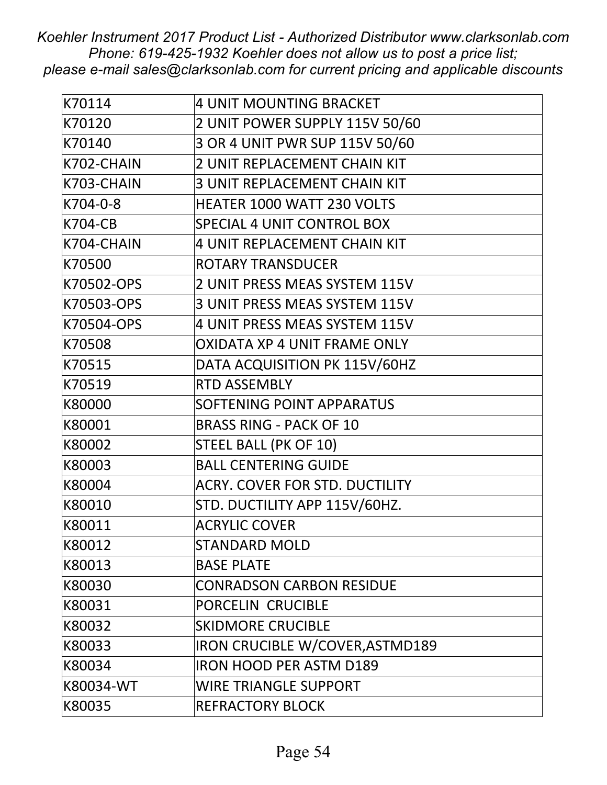| K70114         | <b>4 UNIT MOUNTING BRACKET</b>        |
|----------------|---------------------------------------|
| K70120         | 2 UNIT POWER SUPPLY 115V 50/60        |
| K70140         | 3 OR 4 UNIT PWR SUP 115V 50/60        |
| K702-CHAIN     | <b>2 UNIT REPLACEMENT CHAIN KIT</b>   |
| K703-CHAIN     | <b>3 UNIT REPLACEMENT CHAIN KIT</b>   |
| K704-0-8       | <b>HEATER 1000 WATT 230 VOLTS</b>     |
| <b>K704-CB</b> | SPECIAL 4 UNIT CONTROL BOX            |
| K704-CHAIN     | <b>4 UNIT REPLACEMENT CHAIN KIT</b>   |
| K70500         | <b>ROTARY TRANSDUCER</b>              |
| K70502-OPS     | 2 UNIT PRESS MEAS SYSTEM 115V         |
| K70503-OPS     | 3 UNIT PRESS MEAS SYSTEM 115V         |
| K70504-OPS     | 4 UNIT PRESS MEAS SYSTEM 115V         |
| K70508         | OXIDATA XP 4 UNIT FRAME ONLY          |
| K70515         | DATA ACQUISITION PK 115V/60HZ         |
| K70519         | <b>RTD ASSEMBLY</b>                   |
| K80000         | SOFTENING POINT APPARATUS             |
| K80001         | <b>BRASS RING - PACK OF 10</b>        |
| K80002         | STEEL BALL (PK OF 10)                 |
| K80003         | <b>BALL CENTERING GUIDE</b>           |
| K80004         | <b>ACRY. COVER FOR STD. DUCTILITY</b> |
| K80010         | STD. DUCTILITY APP 115V/60HZ.         |
| K80011         | <b>ACRYLIC COVER</b>                  |
| K80012         | <b>STANDARD MOLD</b>                  |
| K80013         | <b>BASE PLATE</b>                     |
| K80030         | <b>CONRADSON CARBON RESIDUE</b>       |
| K80031         | PORCELIN CRUCIBLE                     |
| K80032         | <b>SKIDMORE CRUCIBLE</b>              |
| K80033         | IRON CRUCIBLE W/COVER, ASTMD189       |
| K80034         | <b>IRON HOOD PER ASTM D189</b>        |
| K80034-WT      | <b>WIRE TRIANGLE SUPPORT</b>          |
| K80035         | <b>REFRACTORY BLOCK</b>               |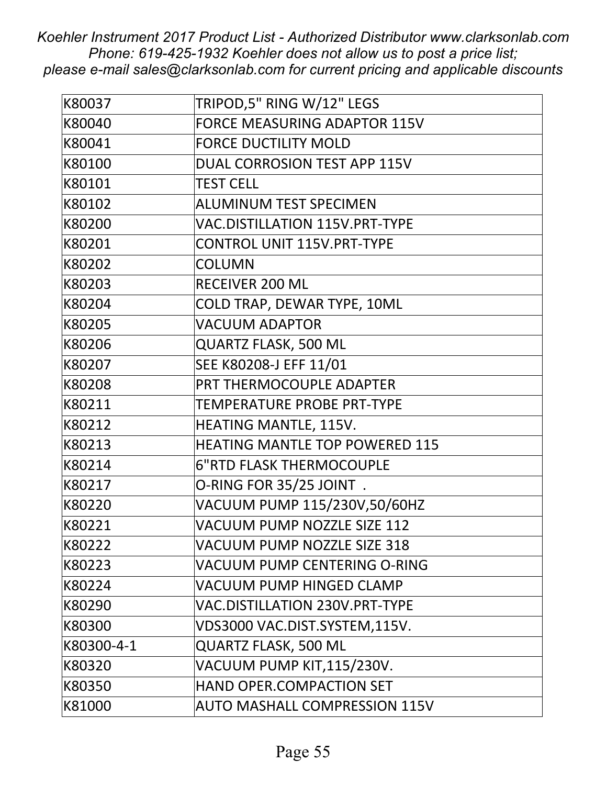| K80037     | TRIPOD,5" RING W/12" LEGS             |
|------------|---------------------------------------|
| K80040     | <b>FORCE MEASURING ADAPTOR 115V</b>   |
| K80041     | <b>FORCE DUCTILITY MOLD</b>           |
| K80100     | DUAL CORROSION TEST APP 115V          |
| K80101     | <b>TEST CELL</b>                      |
| K80102     | <b>ALUMINUM TEST SPECIMEN</b>         |
| K80200     | <b>VAC.DISTILLATION 115V.PRT-TYPE</b> |
| K80201     | <b>CONTROL UNIT 115V.PRT-TYPE</b>     |
| K80202     | <b>COLUMN</b>                         |
| K80203     | <b>RECEIVER 200 ML</b>                |
| K80204     | COLD TRAP, DEWAR TYPE, 10ML           |
| K80205     | <b>VACUUM ADAPTOR</b>                 |
| K80206     | <b>QUARTZ FLASK, 500 ML</b>           |
| K80207     | SEE K80208-J EFF 11/01                |
| K80208     | PRT THERMOCOUPLE ADAPTER              |
| K80211     | TEMPERATURE PROBE PRT-TYPE            |
| K80212     | HEATING MANTLE, 115V.                 |
| K80213     | <b>HEATING MANTLE TOP POWERED 115</b> |
| K80214     | <b>6"RTD FLASK THERMOCOUPLE</b>       |
| K80217     | O-RING FOR 35/25 JOINT.               |
| K80220     | VACUUM PUMP 115/230V,50/60HZ          |
| K80221     | VACUUM PUMP NOZZLE SIZE 112           |
| K80222     | VACUUM PUMP NOZZLE SIZE 318           |
| K80223     | VACUUM PUMP CENTERING O-RING          |
| K80224     | VACUUM PUMP HINGED CLAMP              |
| K80290     | VAC.DISTILLATION 230V.PRT-TYPE        |
| K80300     | VDS3000 VAC.DIST.SYSTEM,115V.         |
| K80300-4-1 | <b>QUARTZ FLASK, 500 ML</b>           |
| K80320     | VACUUM PUMP KIT,115/230V.             |
| K80350     | HAND OPER.COMPACTION SET              |
| K81000     | <b>AUTO MASHALL COMPRESSION 115V</b>  |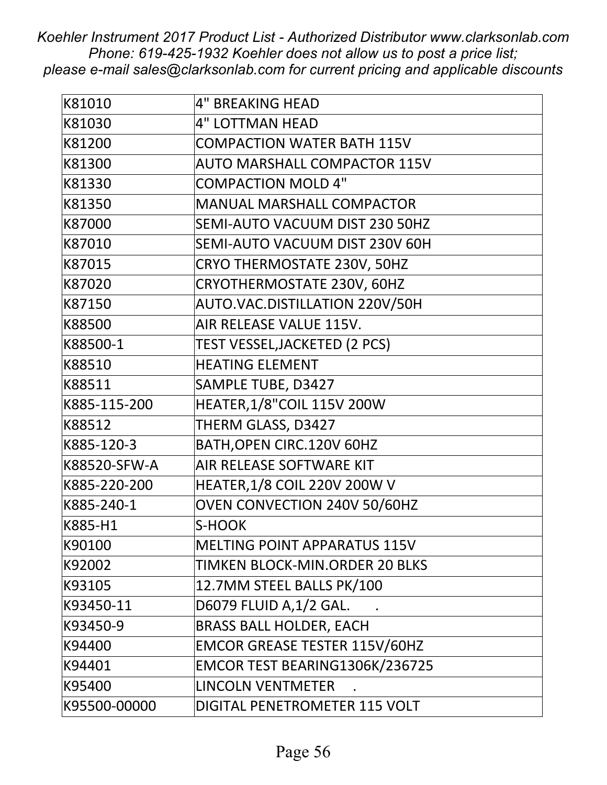| K81010       | <b>4" BREAKING HEAD</b>              |
|--------------|--------------------------------------|
| K81030       | <b>4" LOTTMAN HEAD</b>               |
| K81200       | <b>COMPACTION WATER BATH 115V</b>    |
| K81300       | <b>AUTO MARSHALL COMPACTOR 115V</b>  |
| K81330       | <b>COMPACTION MOLD 4"</b>            |
| K81350       | <b>MANUAL MARSHALL COMPACTOR</b>     |
| K87000       | SEMI-AUTO VACUUM DIST 230 50HZ       |
| K87010       | SEMI-AUTO VACUUM DIST 230V 60H       |
| K87015       | CRYO THERMOSTATE 230V, 50HZ          |
| K87020       | CRYOTHERMOSTATE 230V, 60HZ           |
| K87150       | AUTO.VAC.DISTILLATION 220V/50H       |
| K88500       | AIR RELEASE VALUE 115V.              |
| K88500-1     | TEST VESSEL, JACKETED (2 PCS)        |
| K88510       | <b>HEATING ELEMENT</b>               |
| K88511       | SAMPLE TUBE, D3427                   |
| K885-115-200 | <b>HEATER, 1/8"COIL 115V 200W</b>    |
| K88512       | THERM GLASS, D3427                   |
| K885-120-3   | BATH, OPEN CIRC. 120V 60HZ           |
| K88520-SFW-A | AIR RELEASE SOFTWARE KIT             |
| K885-220-200 | <b>HEATER, 1/8 COIL 220V 200W V</b>  |
| K885-240-1   | OVEN CONVECTION 240V 50/60HZ         |
| K885-H1      | S-HOOK                               |
| K90100       | MELTING POINT APPARATUS 115V         |
| K92002       | TIMKEN BLOCK-MIN.ORDER 20 BLKS       |
| K93105       | 12.7MM STEEL BALLS PK/100            |
| K93450-11    | D6079 FLUID A, 1/2 GAL.              |
| K93450-9     | <b>BRASS BALL HOLDER, EACH</b>       |
| K94400       | <b>EMCOR GREASE TESTER 115V/60HZ</b> |
| K94401       | EMCOR TEST BEARING1306K/236725       |
| K95400       | <b>LINCOLN VENTMETER</b>             |
| K95500-00000 | DIGITAL PENETROMETER 115 VOLT        |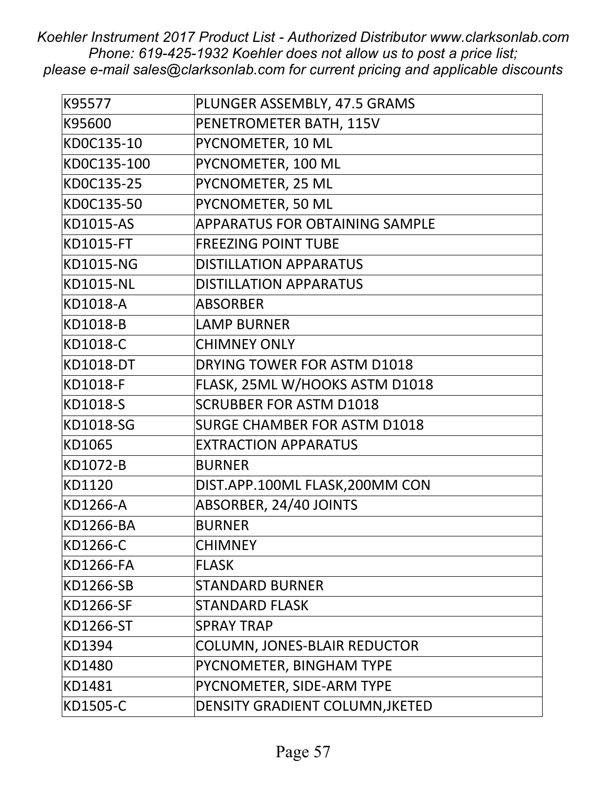| K95577           | PLUNGER ASSEMBLY, 47.5 GRAMS          |
|------------------|---------------------------------------|
| K95600           | PENETROMETER BATH, 115V               |
| KD0C135-10       | PYCNOMETER, 10 ML                     |
| KD0C135-100      | PYCNOMETER, 100 ML                    |
| KD0C135-25       | PYCNOMETER, 25 ML                     |
| KD0C135-50       | PYCNOMETER, 50 ML                     |
| <b>KD1015-AS</b> | <b>APPARATUS FOR OBTAINING SAMPLE</b> |
| <b>KD1015-FT</b> | <b>FREEZING POINT TUBE</b>            |
| <b>KD1015-NG</b> | <b>DISTILLATION APPARATUS</b>         |
| <b>KD1015-NL</b> | <b>DISTILLATION APPARATUS</b>         |
| KD1018-A         | <b>ABSORBER</b>                       |
| KD1018-B         | <b>LAMP BURNER</b>                    |
| KD1018-C         | <b>CHIMNEY ONLY</b>                   |
| <b>KD1018-DT</b> | DRYING TOWER FOR ASTM D1018           |
| KD1018-F         | FLASK, 25ML W/HOOKS ASTM D1018        |
| KD1018-S         | <b>SCRUBBER FOR ASTM D1018</b>        |
| KD1018-SG        | <b>SURGE CHAMBER FOR ASTM D1018</b>   |
| KD1065           | <b>EXTRACTION APPARATUS</b>           |
| KD1072-B         | <b>BURNER</b>                         |
| KD1120           | DIST.APP.100ML FLASK,200MM CON        |
| KD1266-A         | ABSORBER, 24/40 JOINTS                |
| KD1266-BA        | <b>BURNER</b>                         |
| KD1266-C         | <b>CHIMNEY</b>                        |
| <b>KD1266-FA</b> | <b>FLASK</b>                          |
| <b>KD1266-SB</b> | <b>STANDARD BURNER</b>                |
| KD1266-SF        | <b>STANDARD FLASK</b>                 |
| KD1266-ST        | <b>SPRAY TRAP</b>                     |
| KD1394           | <b>COLUMN, JONES-BLAIR REDUCTOR</b>   |
| KD1480           | PYCNOMETER, BINGHAM TYPE              |
| KD1481           | PYCNOMETER, SIDE-ARM TYPE             |
| KD1505-C         | DENSITY GRADIENT COLUMN, JKETED       |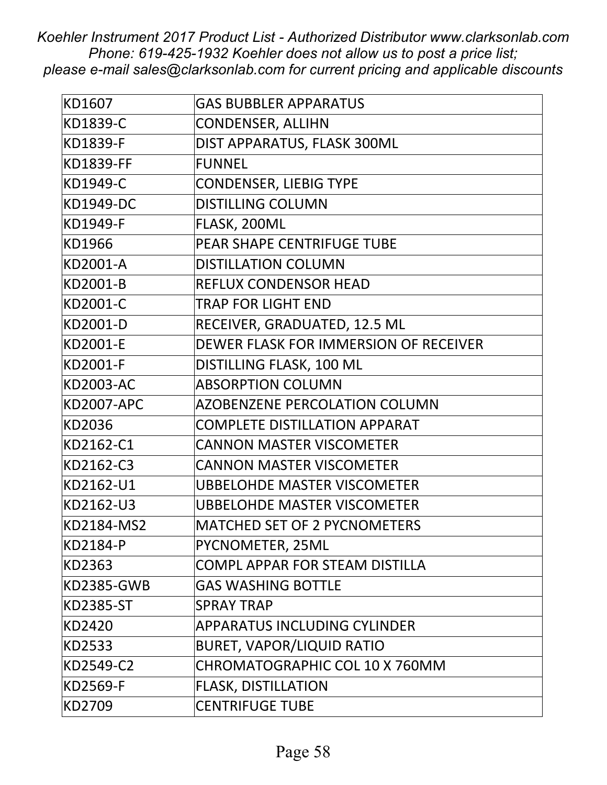| KD1607            | <b>GAS BUBBLER APPARATUS</b>          |
|-------------------|---------------------------------------|
| KD1839-C          | <b>CONDENSER, ALLIHN</b>              |
| KD1839-F          | DIST APPARATUS, FLASK 300ML           |
| <b>KD1839-FF</b>  | <b>FUNNEL</b>                         |
| KD1949-C          | <b>CONDENSER, LIEBIG TYPE</b>         |
| KD1949-DC         | <b>DISTILLING COLUMN</b>              |
| KD1949-F          | FLASK, 200ML                          |
| KD1966            | PEAR SHAPE CENTRIFUGE TUBE            |
| KD2001-A          | <b>DISTILLATION COLUMN</b>            |
| KD2001-B          | <b>REFLUX CONDENSOR HEAD</b>          |
| KD2001-C          | <b>TRAP FOR LIGHT END</b>             |
| KD2001-D          | RECEIVER, GRADUATED, 12.5 ML          |
| KD2001-E          | DEWER FLASK FOR IMMERSION OF RECEIVER |
| KD2001-F          | DISTILLING FLASK, 100 ML              |
| <b>KD2003-AC</b>  | <b>ABSORPTION COLUMN</b>              |
| <b>KD2007-APC</b> | <b>AZOBENZENE PERCOLATION COLUMN</b>  |
| KD2036            | <b>COMPLETE DISTILLATION APPARAT</b>  |
| KD2162-C1         | <b>CANNON MASTER VISCOMETER</b>       |
| KD2162-C3         | <b>CANNON MASTER VISCOMETER</b>       |
| KD2162-U1         | <b>UBBELOHDE MASTER VISCOMETER</b>    |
| KD2162-U3         | <b>UBBELOHDE MASTER VISCOMETER</b>    |
| KD2184-MS2        | <b>MATCHED SET OF 2 PYCNOMETERS</b>   |
| KD2184-P          | PYCNOMETER, 25ML                      |
| KD2363            | COMPL APPAR FOR STEAM DISTILLA        |
| <b>KD2385-GWB</b> | <b>GAS WASHING BOTTLE</b>             |
| <b>KD2385-ST</b>  | <b>SPRAY TRAP</b>                     |
| KD2420            | APPARATUS INCLUDING CYLINDER          |
| KD2533            | <b>BURET, VAPOR/LIQUID RATIO</b>      |
| KD2549-C2         | CHROMATOGRAPHIC COL 10 X 760MM        |
| KD2569-F          | <b>FLASK, DISTILLATION</b>            |
| KD2709            | <b>CENTRIFUGE TUBE</b>                |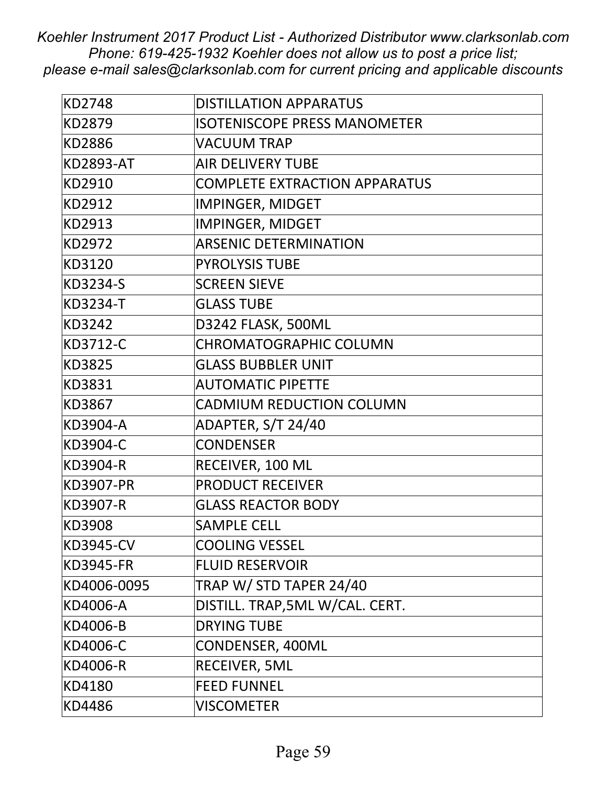| <b>KD2748</b>    | <b>DISTILLATION APPARATUS</b>        |
|------------------|--------------------------------------|
| KD2879           | <b>ISOTENISCOPE PRESS MANOMETER</b>  |
| KD2886           | <b>VACUUM TRAP</b>                   |
| <b>KD2893-AT</b> | <b>AIR DELIVERY TUBE</b>             |
| KD2910           | <b>COMPLETE EXTRACTION APPARATUS</b> |
| KD2912           | IMPINGER, MIDGET                     |
| KD2913           | IMPINGER, MIDGET                     |
| KD2972           | <b>ARSENIC DETERMINATION</b>         |
| KD3120           | <b>PYROLYSIS TUBE</b>                |
| KD3234-S         | <b>SCREEN SIEVE</b>                  |
| KD3234-T         | <b>GLASS TUBE</b>                    |
| KD3242           | D3242 FLASK, 500ML                   |
| KD3712-C         | <b>CHROMATOGRAPHIC COLUMN</b>        |
| KD3825           | <b>GLASS BUBBLER UNIT</b>            |
| KD3831           | <b>AUTOMATIC PIPETTE</b>             |
| KD3867           | <b>CADMIUM REDUCTION COLUMN</b>      |
| KD3904-A         | ADAPTER, S/T 24/40                   |
| KD3904-C         | <b>CONDENSER</b>                     |
| KD3904-R         | RECEIVER, 100 ML                     |
| <b>KD3907-PR</b> | <b>PRODUCT RECEIVER</b>              |
| KD3907-R         | <b>GLASS REACTOR BODY</b>            |
| KD3908           | <b>SAMPLE CELL</b>                   |
| <b>KD3945-CV</b> | <b>COOLING VESSEL</b>                |
| <b>KD3945-FR</b> | <b>FLUID RESERVOIR</b>               |
| KD4006-0095      | TRAP W/ STD TAPER 24/40              |
| KD4006-A         | DISTILL. TRAP, 5ML W/CAL. CERT.      |
| KD4006-B         | <b>DRYING TUBE</b>                   |
| KD4006-C         | CONDENSER, 400ML                     |
| KD4006-R         | RECEIVER, 5ML                        |
| KD4180           | <b>FEED FUNNEL</b>                   |
| KD4486           | <b>VISCOMETER</b>                    |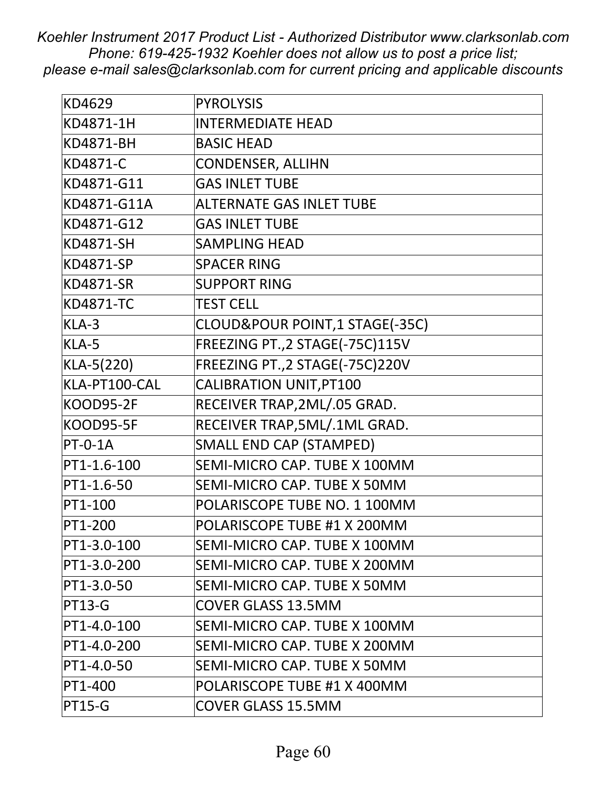| KD4629           | <b>PYROLYSIS</b>                 |
|------------------|----------------------------------|
| KD4871-1H        | <b>INTERMEDIATE HEAD</b>         |
| <b>KD4871-BH</b> | <b>BASIC HEAD</b>                |
| KD4871-C         | <b>CONDENSER, ALLIHN</b>         |
| KD4871-G11       | <b>GAS INLET TUBE</b>            |
| KD4871-G11A      | <b>ALTERNATE GAS INLET TUBE</b>  |
| KD4871-G12       | <b>GAS INLET TUBE</b>            |
| KD4871-SH        | <b>SAMPLING HEAD</b>             |
| <b>KD4871-SP</b> | <b>SPACER RING</b>               |
| <b>KD4871-SR</b> | <b>SUPPORT RING</b>              |
| <b>KD4871-TC</b> | <b>TEST CELL</b>                 |
| KLA-3            | CLOUD&POUR POINT,1 STAGE(-35C)   |
| KLA-5            | FREEZING PT., 2 STAGE(-75C)115V  |
| KLA-5(220)       | FREEZING PT., 2 STAGE(-75C) 220V |
| KLA-PT100-CAL    | CALIBRATION UNIT, PT100          |
| KOOD95-2F        | RECEIVER TRAP, 2ML/.05 GRAD.     |
| KOOD95-5F        | RECEIVER TRAP, 5ML/.1ML GRAD.    |
| $PT-O-1A$        | <b>SMALL END CAP (STAMPED)</b>   |
| PT1-1.6-100      | SEMI-MICRO CAP. TUBE X 100MM     |
| PT1-1.6-50       | SEMI-MICRO CAP. TUBE X 50MM      |
| PT1-100          | POLARISCOPE TUBE NO. 1 100MM     |
| PT1-200          | POLARISCOPE TUBE #1 X 200MM      |
| PT1-3.0-100      | SEMI-MICRO CAP. TUBE X 100MM     |
| PT1-3.0-200      | SEMI-MICRO CAP. TUBE X 200MM     |
| PT1-3.0-50       | SEMI-MICRO CAP. TUBE X 50MM      |
| <b>PT13-G</b>    | <b>COVER GLASS 13.5MM</b>        |
| PT1-4.0-100      | SEMI-MICRO CAP. TUBE X 100MM     |
| PT1-4.0-200      | SEMI-MICRO CAP. TUBE X 200MM     |
| PT1-4.0-50       | SEMI-MICRO CAP. TUBE X 50MM      |
| PT1-400          | POLARISCOPE TUBE #1 X 400MM      |
| <b>PT15-G</b>    | <b>COVER GLASS 15.5MM</b>        |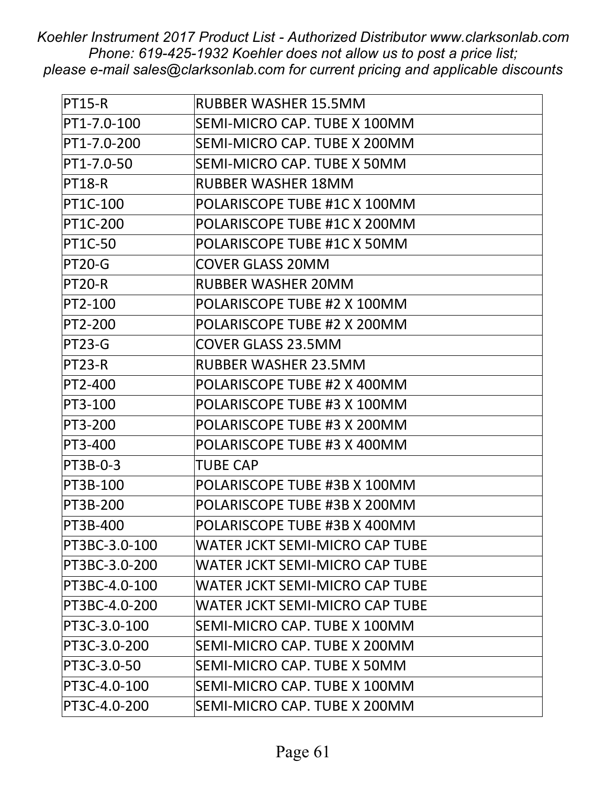| <b>PT15-R</b>  | <b>RUBBER WASHER 15.5MM</b>           |
|----------------|---------------------------------------|
| PT1-7.0-100    | SEMI-MICRO CAP. TUBE X 100MM          |
| PT1-7.0-200    | SEMI-MICRO CAP. TUBE X 200MM          |
| PT1-7.0-50     | SEMI-MICRO CAP. TUBE X 50MM           |
| <b>PT18-R</b>  | <b>RUBBER WASHER 18MM</b>             |
| PT1C-100       | POLARISCOPE TUBE #1C X 100MM          |
| PT1C-200       | POLARISCOPE TUBE #1C X 200MM          |
| <b>PT1C-50</b> | POLARISCOPE TUBE #1C X 50MM           |
| <b>PT20-G</b>  | <b>COVER GLASS 20MM</b>               |
| <b>PT20-R</b>  | <b>RUBBER WASHER 20MM</b>             |
| PT2-100        | POLARISCOPE TUBE #2 X 100MM           |
| PT2-200        | POLARISCOPE TUBE #2 X 200MM           |
| <b>PT23-G</b>  | <b>COVER GLASS 23.5MM</b>             |
| <b>PT23-R</b>  | <b>RUBBER WASHER 23.5MM</b>           |
| PT2-400        | POLARISCOPE TUBE #2 X 400MM           |
| PT3-100        | POLARISCOPE TUBE #3 X 100MM           |
| PT3-200        | POLARISCOPE TUBE #3 X 200MM           |
| PT3-400        | POLARISCOPE TUBE #3 X 400MM           |
| PT3B-0-3       | <b>TUBE CAP</b>                       |
| PT3B-100       | POLARISCOPE TUBE #3B X 100MM          |
| PT3B-200       | POLARISCOPE TUBE #3B X 200MM          |
| PT3B-400       | POLARISCOPE TUBE #3B X 400MM          |
| PT3BC-3.0-100  | <b>WATER JCKT SEMI-MICRO CAP TUBE</b> |
| PT3BC-3.0-200  | <b>WATER JCKT SEMI-MICRO CAP TUBE</b> |
| PT3BC-4.0-100  | <b>WATER JCKT SEMI-MICRO CAP TUBE</b> |
| PT3BC-4.0-200  | WATER JCKT SEMI-MICRO CAP TUBE        |
| PT3C-3.0-100   | SEMI-MICRO CAP. TUBE X 100MM          |
| PT3C-3.0-200   | SEMI-MICRO CAP. TUBE X 200MM          |
| PT3C-3.0-50    | SEMI-MICRO CAP. TUBE X 50MM           |
| PT3C-4.0-100   | SEMI-MICRO CAP. TUBE X 100MM          |
| PT3C-4.0-200   | SEMI-MICRO CAP. TUBE X 200MM          |